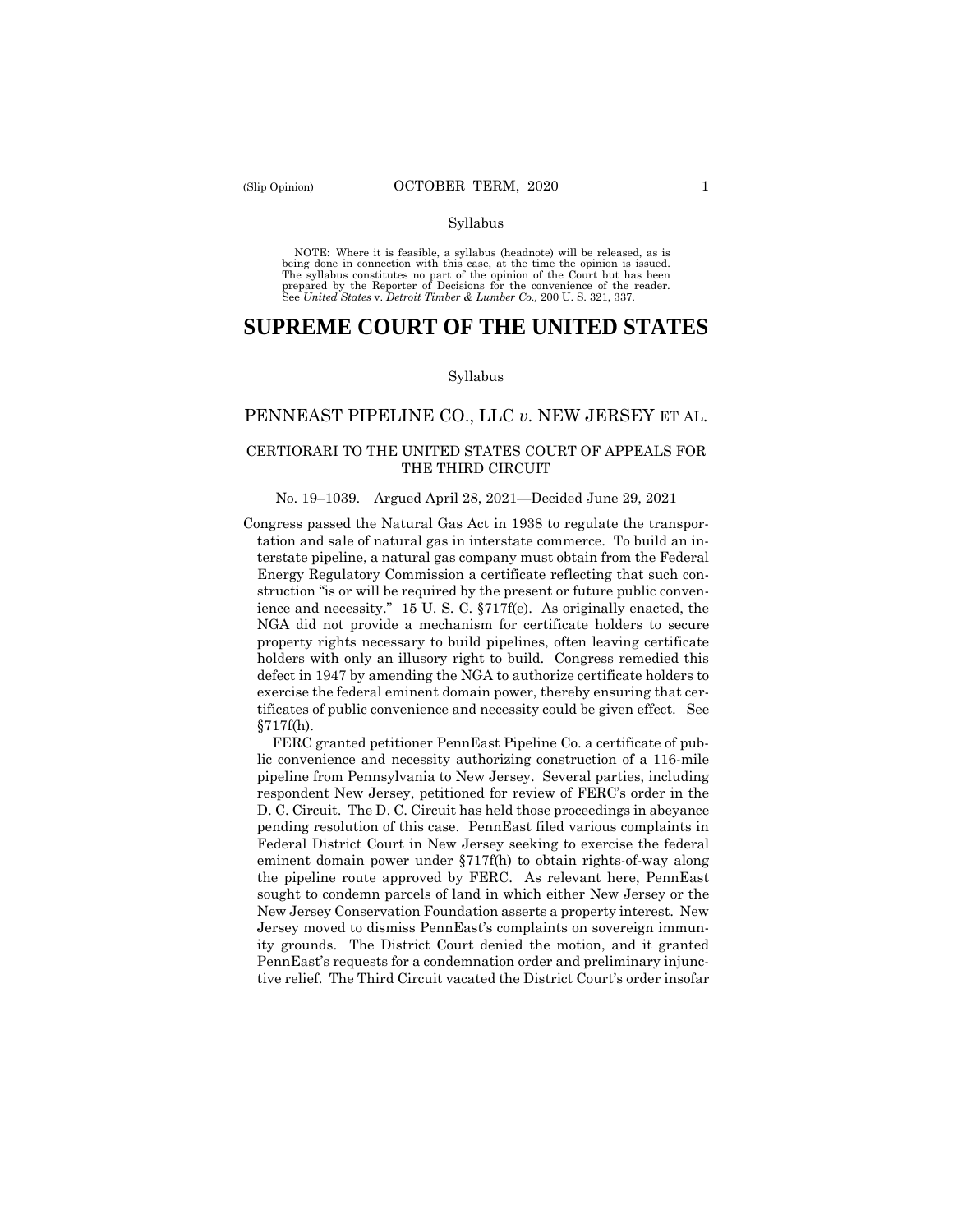NOTE: Where it is feasible, a syllabus (headnote) will be released, as is being done in connection with this case, at the time the opinion is issued. The syllabus constitutes no part of the opinion of the Court but has been<br>prepared by the Reporter of Decisions for the convenience of the reader.<br>See United States v. Detroit Timber & Lumber Co., 200 U.S. 321, 337.

# **SUPREME COURT OF THE UNITED STATES**

#### Syllabus

## PENNEAST PIPELINE CO., LLC *v*. NEW JERSEY ET AL.

### CERTIORARI TO THE UNITED STATES COURT OF APPEALS FOR THE THIRD CIRCUIT

#### No. 19–1039. Argued April 28, 2021—Decided June 29, 2021

Congress passed the Natural Gas Act in 1938 to regulate the transportation and sale of natural gas in interstate commerce. To build an interstate pipeline, a natural gas company must obtain from the Federal Energy Regulatory Commission a certificate reflecting that such construction "is or will be required by the present or future public convenience and necessity." 15 U. S. C. §717f(e). As originally enacted, the NGA did not provide a mechanism for certificate holders to secure property rights necessary to build pipelines, often leaving certificate holders with only an illusory right to build. Congress remedied this defect in 1947 by amending the NGA to authorize certificate holders to exercise the federal eminent domain power, thereby ensuring that certificates of public convenience and necessity could be given effect. See §717f(h).

 ity grounds. The District Court denied the motion, and it granted FERC granted petitioner PennEast Pipeline Co. a certificate of public convenience and necessity authorizing construction of a 116-mile pipeline from Pennsylvania to New Jersey. Several parties, including respondent New Jersey, petitioned for review of FERC's order in the D. C. Circuit. The D. C. Circuit has held those proceedings in abeyance pending resolution of this case. PennEast filed various complaints in Federal District Court in New Jersey seeking to exercise the federal eminent domain power under §717f(h) to obtain rights-of-way along the pipeline route approved by FERC. As relevant here, PennEast sought to condemn parcels of land in which either New Jersey or the New Jersey Conservation Foundation asserts a property interest. New Jersey moved to dismiss PennEast's complaints on sovereign immun-PennEast's requests for a condemnation order and preliminary injunctive relief. The Third Circuit vacated the District Court's order insofar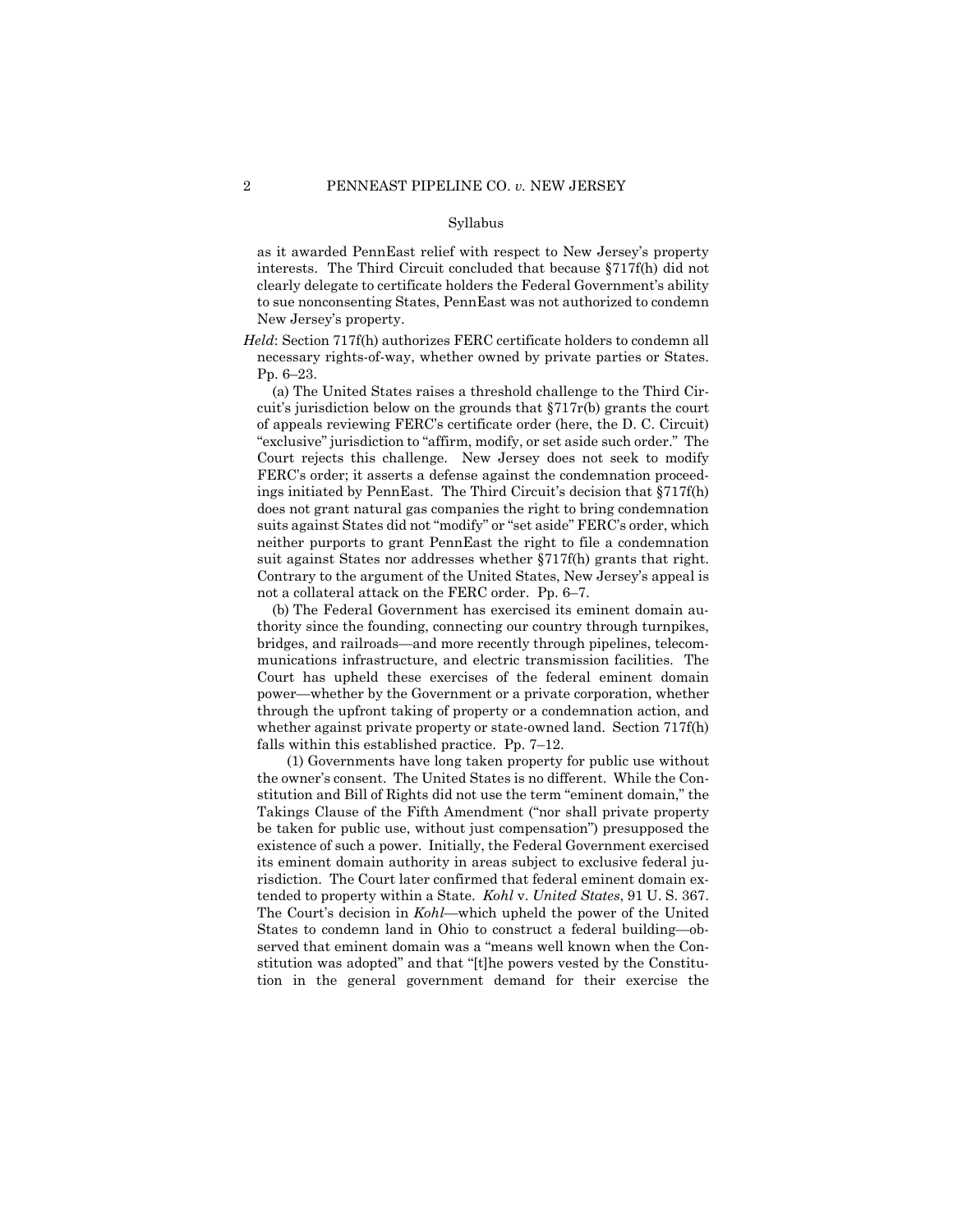as it awarded PennEast relief with respect to New Jersey's property interests. The Third Circuit concluded that because §717f(h) did not clearly delegate to certificate holders the Federal Government's ability to sue nonconsenting States, PennEast was not authorized to condemn New Jersey's property.

*Held*: Section 717f(h) authorizes FERC certificate holders to condemn all necessary rights-of-way, whether owned by private parties or States. Pp. 6–23.

 suit against States nor addresses whether §717f(h) grants that right. not a collateral attack on the FERC order. Pp. 6–7. (a) The United States raises a threshold challenge to the Third Circuit's jurisdiction below on the grounds that §717r(b) grants the court of appeals reviewing FERC's certificate order (here, the D. C. Circuit) "exclusive" jurisdiction to "affirm, modify, or set aside such order." The Court rejects this challenge. New Jersey does not seek to modify FERC's order; it asserts a defense against the condemnation proceedings initiated by PennEast. The Third Circuit's decision that §717f(h) does not grant natural gas companies the right to bring condemnation suits against States did not "modify" or "set aside" FERC's order, which neither purports to grant PennEast the right to file a condemnation Contrary to the argument of the United States, New Jersey's appeal is

(b) The Federal Government has exercised its eminent domain authority since the founding, connecting our country through turnpikes, bridges, and railroads—and more recently through pipelines, telecommunications infrastructure, and electric transmission facilities. The Court has upheld these exercises of the federal eminent domain power—whether by the Government or a private corporation, whether through the upfront taking of property or a condemnation action, and whether against private property or state-owned land. Section 717f(h) falls within this established practice. Pp. 7–12.

(1) Governments have long taken property for public use without the owner's consent. The United States is no different. While the Constitution and Bill of Rights did not use the term "eminent domain," the Takings Clause of the Fifth Amendment ("nor shall private property be taken for public use, without just compensation") presupposed the existence of such a power. Initially, the Federal Government exercised its eminent domain authority in areas subject to exclusive federal jurisdiction. The Court later confirmed that federal eminent domain extended to property within a State. *Kohl* v. *United States*, 91 U. S. 367. The Court's decision in *Kohl*—which upheld the power of the United States to condemn land in Ohio to construct a federal building—observed that eminent domain was a "means well known when the Constitution was adopted" and that "[t]he powers vested by the Constitution in the general government demand for their exercise the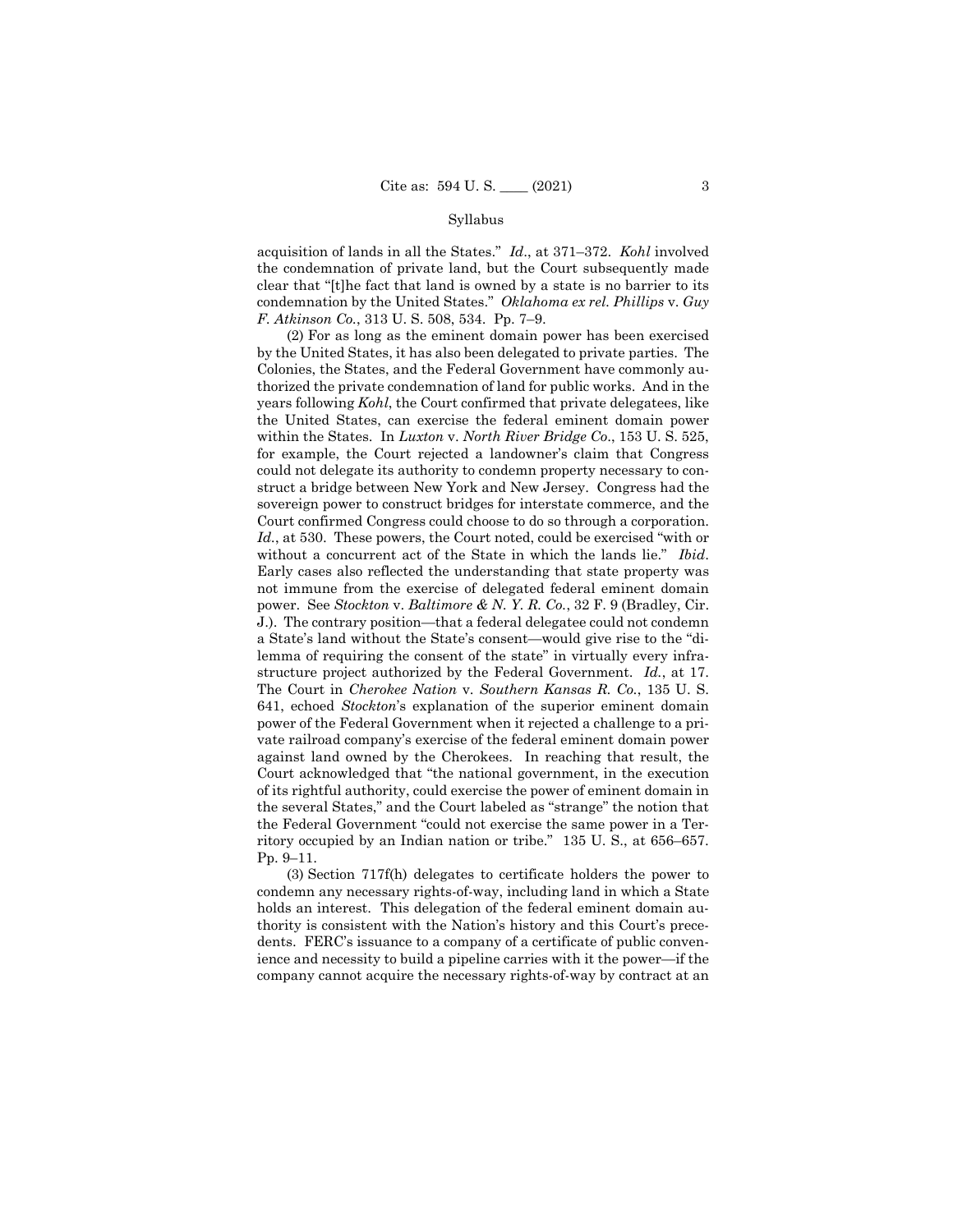acquisition of lands in all the States." *Id*., at 371–372. *Kohl* involved the condemnation of private land, but the Court subsequently made clear that "[t]he fact that land is owned by a state is no barrier to its condemnation by the United States." *Oklahoma ex rel. Phillips* v. *Guy F. Atkinson Co.*, 313 U. S. 508, 534. Pp. 7–9.

 structure project authorized by the Federal Government. *Id.*, at 17. (2) For as long as the eminent domain power has been exercised by the United States, it has also been delegated to private parties. The Colonies, the States, and the Federal Government have commonly authorized the private condemnation of land for public works. And in the years following *Kohl*, the Court confirmed that private delegatees, like the United States, can exercise the federal eminent domain power within the States. In *Luxton* v. *North River Bridge Co*., 153 U. S. 525, for example, the Court rejected a landowner's claim that Congress could not delegate its authority to condemn property necessary to construct a bridge between New York and New Jersey. Congress had the sovereign power to construct bridges for interstate commerce, and the Court confirmed Congress could choose to do so through a corporation. *Id.*, at 530. These powers, the Court noted, could be exercised "with or without a concurrent act of the State in which the lands lie." *Ibid*. Early cases also reflected the understanding that state property was not immune from the exercise of delegated federal eminent domain power. See *Stockton* v. *Baltimore & N. Y. R. Co.*, 32 F. 9 (Bradley, Cir. J.). The contrary position—that a federal delegatee could not condemn a State's land without the State's consent—would give rise to the "dilemma of requiring the consent of the state" in virtually every infra-The Court in *Cherokee Nation* v. *Southern Kansas R. Co.*, 135 U. S. 641, echoed *Stockton*'s explanation of the superior eminent domain power of the Federal Government when it rejected a challenge to a private railroad company's exercise of the federal eminent domain power against land owned by the Cherokees. In reaching that result, the Court acknowledged that "the national government, in the execution of its rightful authority, could exercise the power of eminent domain in the several States," and the Court labeled as "strange" the notion that the Federal Government "could not exercise the same power in a Territory occupied by an Indian nation or tribe." 135 U. S., at 656–657. Pp. 9–11.

(3) Section 717f(h) delegates to certificate holders the power to condemn any necessary rights-of-way, including land in which a State holds an interest. This delegation of the federal eminent domain authority is consistent with the Nation's history and this Court's precedents. FERC's issuance to a company of a certificate of public convenience and necessity to build a pipeline carries with it the power—if the company cannot acquire the necessary rights-of-way by contract at an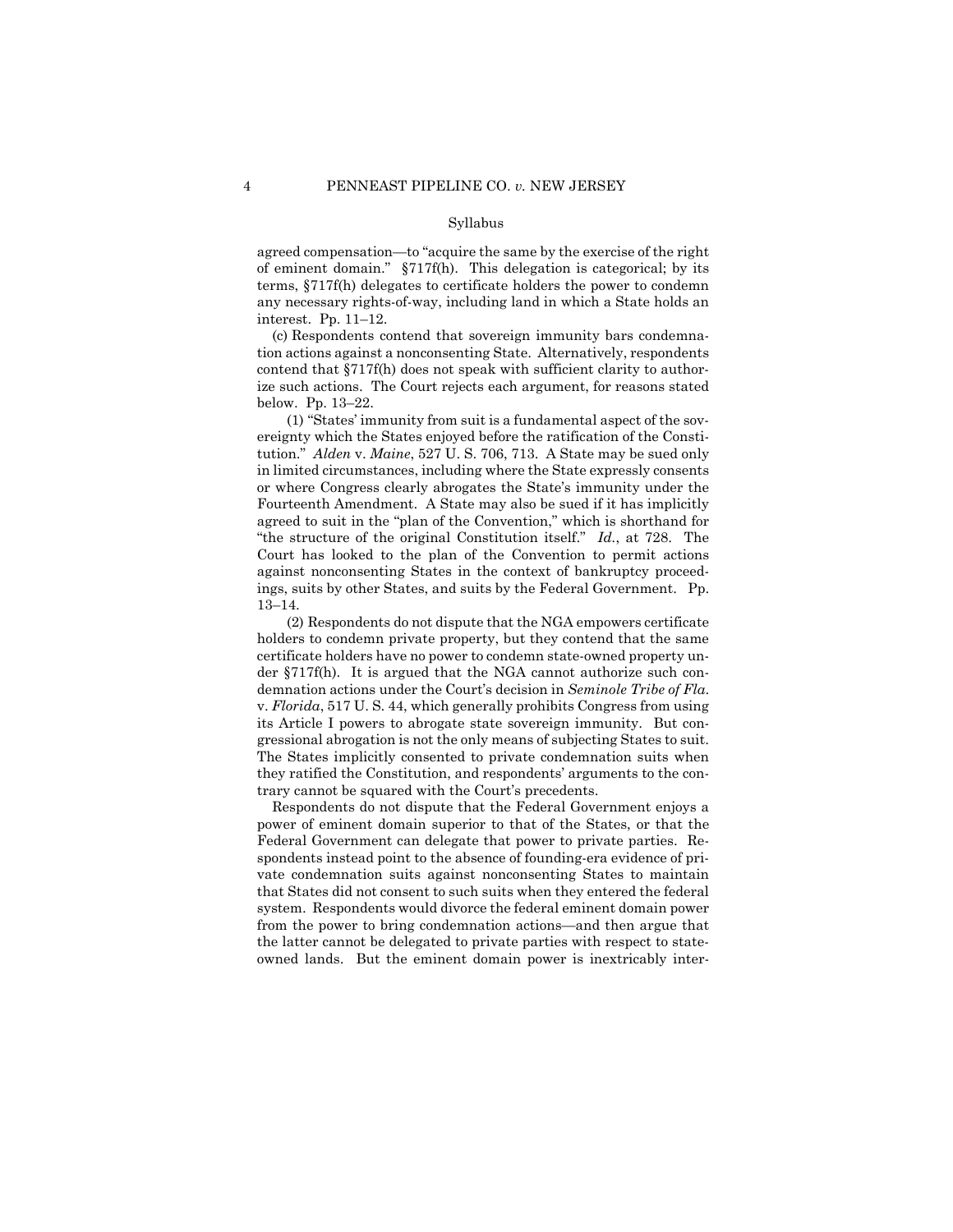agreed compensation—to "acquire the same by the exercise of the right of eminent domain." §717f(h). This delegation is categorical; by its terms, §717f(h) delegates to certificate holders the power to condemn any necessary rights-of-way, including land in which a State holds an interest. Pp. 11–12.

(c) Respondents contend that sovereign immunity bars condemnation actions against a nonconsenting State. Alternatively, respondents contend that §717f(h) does not speak with sufficient clarity to authorize such actions. The Court rejects each argument, for reasons stated below. Pp. 13–22.

(1) "States' immunity from suit is a fundamental aspect of the sovereignty which the States enjoyed before the ratification of the Constitution." *Alden* v. *Maine*, 527 U. S. 706, 713. A State may be sued only in limited circumstances, including where the State expressly consents or where Congress clearly abrogates the State's immunity under the Fourteenth Amendment. A State may also be sued if it has implicitly agreed to suit in the "plan of the Convention," which is shorthand for "the structure of the original Constitution itself." *Id.*, at 728. The Court has looked to the plan of the Convention to permit actions against nonconsenting States in the context of bankruptcy proceedings, suits by other States, and suits by the Federal Government. Pp. 13–14.

(2) Respondents do not dispute that the NGA empowers certificate holders to condemn private property, but they contend that the same certificate holders have no power to condemn state-owned property under §717f(h). It is argued that the NGA cannot authorize such condemnation actions under the Court's decision in *Seminole Tribe of Fla*. v. *Florida*, 517 U. S. 44, which generally prohibits Congress from using its Article I powers to abrogate state sovereign immunity. But congressional abrogation is not the only means of subjecting States to suit. The States implicitly consented to private condemnation suits when they ratified the Constitution, and respondents' arguments to the contrary cannot be squared with the Court's precedents.

Respondents do not dispute that the Federal Government enjoys a power of eminent domain superior to that of the States, or that the Federal Government can delegate that power to private parties. Respondents instead point to the absence of founding-era evidence of private condemnation suits against nonconsenting States to maintain that States did not consent to such suits when they entered the federal system. Respondents would divorce the federal eminent domain power from the power to bring condemnation actions—and then argue that the latter cannot be delegated to private parties with respect to stateowned lands. But the eminent domain power is inextricably inter-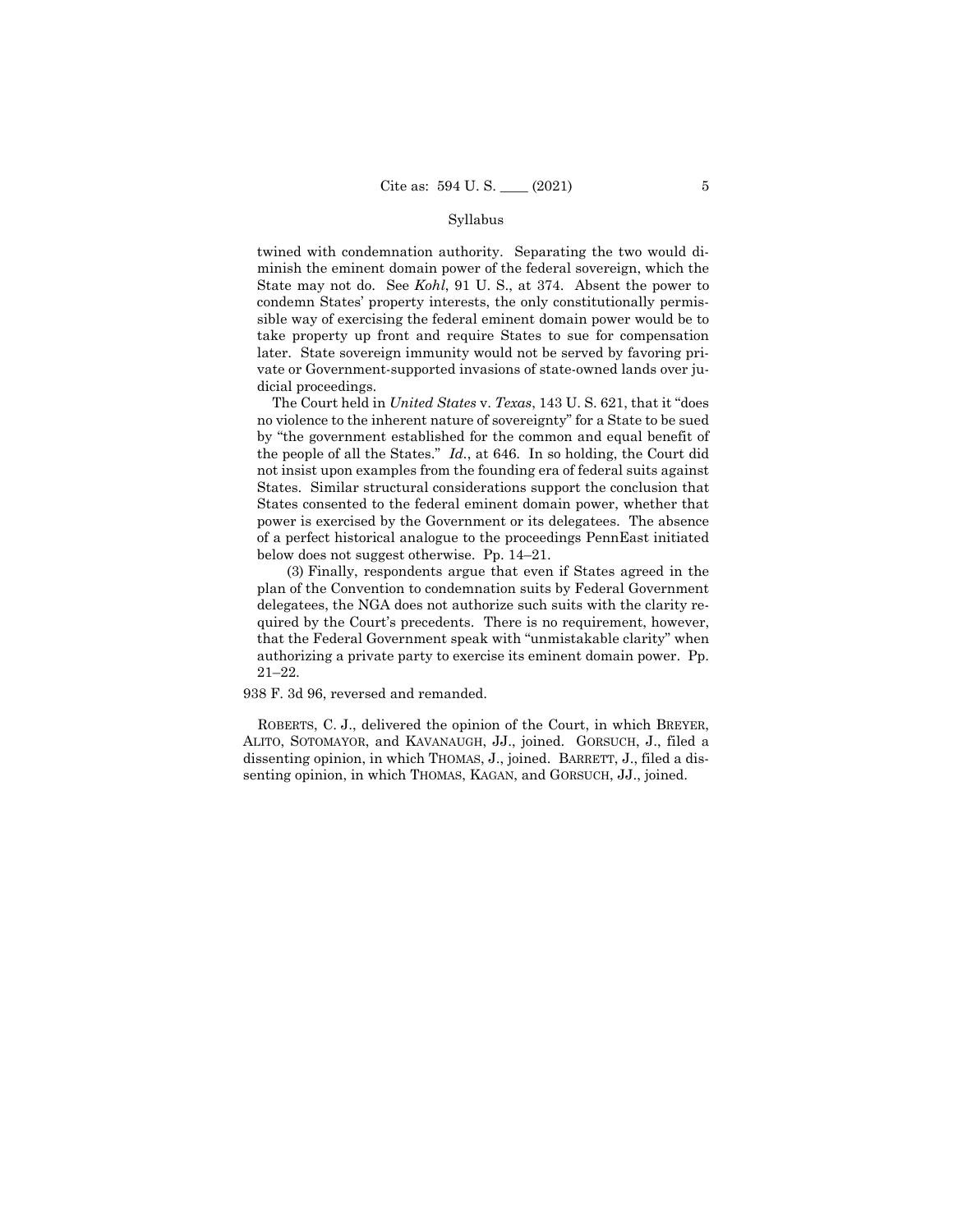twined with condemnation authority. Separating the two would diminish the eminent domain power of the federal sovereign, which the State may not do. See *Kohl*, 91 U. S., at 374. Absent the power to condemn States' property interests, the only constitutionally permissible way of exercising the federal eminent domain power would be to take property up front and require States to sue for compensation later. State sovereign immunity would not be served by favoring private or Government-supported invasions of state-owned lands over judicial proceedings.

The Court held in *United States* v. *Texas*, 143 U. S. 621, that it "does no violence to the inherent nature of sovereignty" for a State to be sued by "the government established for the common and equal benefit of the people of all the States." *Id.*, at 646. In so holding, the Court did not insist upon examples from the founding era of federal suits against States. Similar structural considerations support the conclusion that States consented to the federal eminent domain power, whether that power is exercised by the Government or its delegatees. The absence of a perfect historical analogue to the proceedings PennEast initiated below does not suggest otherwise. Pp. 14–21.

(3) Finally, respondents argue that even if States agreed in the plan of the Convention to condemnation suits by Federal Government delegatees, the NGA does not authorize such suits with the clarity required by the Court's precedents. There is no requirement, however, that the Federal Government speak with "unmistakable clarity" when authorizing a private party to exercise its eminent domain power. Pp. 21–22.

938 F. 3d 96, reversed and remanded.

ROBERTS, C. J., delivered the opinion of the Court, in which BREYER, ALITO, SOTOMAYOR, and KAVANAUGH, JJ., joined. GORSUCH, J., filed a dissenting opinion, in which THOMAS, J., joined. BARRETT, J., filed a dissenting opinion, in which THOMAS, KAGAN, and GORSUCH, JJ., joined.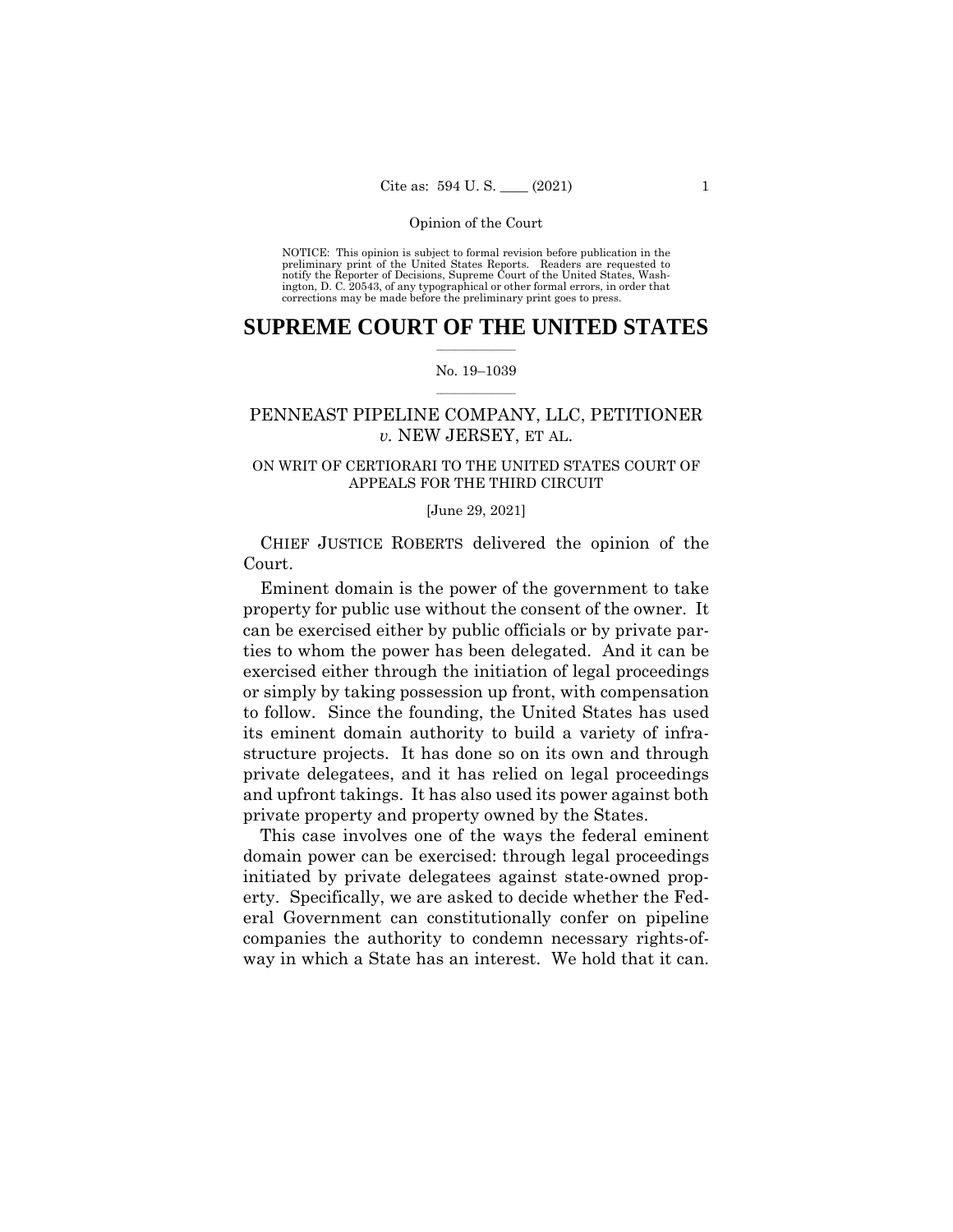NOTICE: This opinion is subject to formal revision before publication in the preliminary print of the United States Reports. Readers are requested to notify the Reporter of Decisions, Supreme Court of the United States, Wash-ington, D. C. 20543, of any typographical or other formal errors, in order that corrections may be made before the preliminary print goes to press.

## $\frac{1}{2}$  ,  $\frac{1}{2}$  ,  $\frac{1}{2}$  ,  $\frac{1}{2}$  ,  $\frac{1}{2}$  ,  $\frac{1}{2}$  ,  $\frac{1}{2}$ **SUPREME COURT OF THE UNITED STATES**

#### $\frac{1}{2}$  ,  $\frac{1}{2}$  ,  $\frac{1}{2}$  ,  $\frac{1}{2}$  ,  $\frac{1}{2}$  ,  $\frac{1}{2}$ No. 19–1039

# PENNEAST PIPELINE COMPANY, LLC, PETITIONER *v.* NEW JERSEY, ET AL.

## ON WRIT OF CERTIORARI TO THE UNITED STATES COURT OF APPEALS FOR THE THIRD CIRCUIT

#### [June 29, 2021]

CHIEF JUSTICE ROBERTS delivered the opinion of the Court.

Eminent domain is the power of the government to take property for public use without the consent of the owner. It can be exercised either by public officials or by private parties to whom the power has been delegated. And it can be exercised either through the initiation of legal proceedings or simply by taking possession up front, with compensation to follow. Since the founding, the United States has used its eminent domain authority to build a variety of infrastructure projects. It has done so on its own and through private delegatees, and it has relied on legal proceedings and upfront takings. It has also used its power against both private property and property owned by the States.

This case involves one of the ways the federal eminent domain power can be exercised: through legal proceedings initiated by private delegatees against state-owned property. Specifically, we are asked to decide whether the Federal Government can constitutionally confer on pipeline companies the authority to condemn necessary rights-ofway in which a State has an interest. We hold that it can.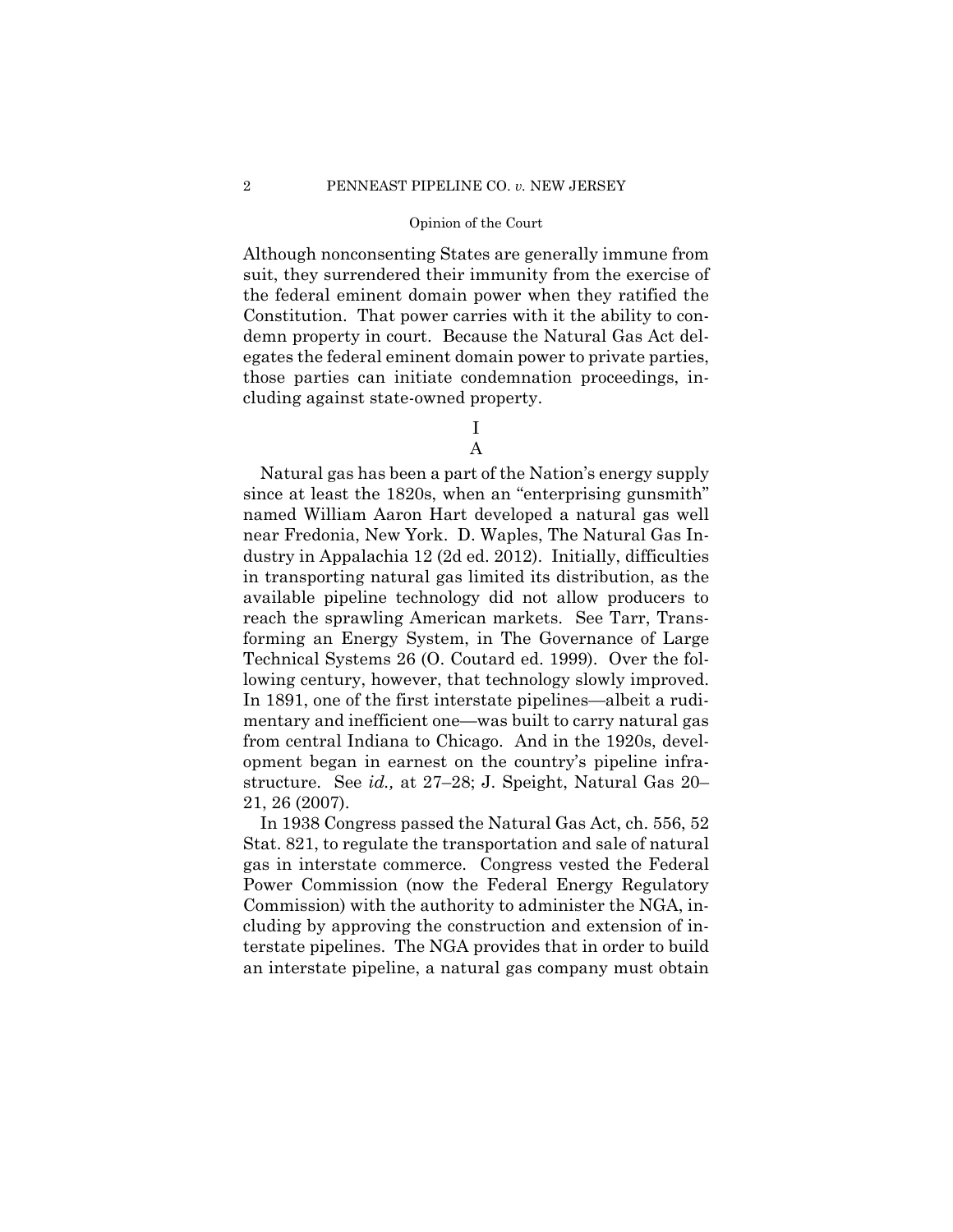Although nonconsenting States are generally immune from suit, they surrendered their immunity from the exercise of the federal eminent domain power when they ratified the Constitution. That power carries with it the ability to condemn property in court. Because the Natural Gas Act delegates the federal eminent domain power to private parties, those parties can initiate condemnation proceedings, including against state-owned property.

I

# A

Natural gas has been a part of the Nation's energy supply since at least the 1820s, when an "enterprising gunsmith" named William Aaron Hart developed a natural gas well near Fredonia, New York. D. Waples, The Natural Gas Industry in Appalachia 12 (2d ed. 2012). Initially, difficulties in transporting natural gas limited its distribution, as the available pipeline technology did not allow producers to reach the sprawling American markets. See Tarr, Transforming an Energy System, in The Governance of Large Technical Systems 26 (O. Coutard ed. 1999). Over the following century, however, that technology slowly improved. In 1891, one of the first interstate pipelines—albeit a rudimentary and inefficient one—was built to carry natural gas from central Indiana to Chicago. And in the 1920s, development began in earnest on the country's pipeline infrastructure. See *id.,* at 27–28; J. Speight, Natural Gas 20– 21, 26 (2007).

In 1938 Congress passed the Natural Gas Act, ch. 556, 52 Stat. 821, to regulate the transportation and sale of natural gas in interstate commerce. Congress vested the Federal Power Commission (now the Federal Energy Regulatory Commission) with the authority to administer the NGA, including by approving the construction and extension of interstate pipelines. The NGA provides that in order to build an interstate pipeline, a natural gas company must obtain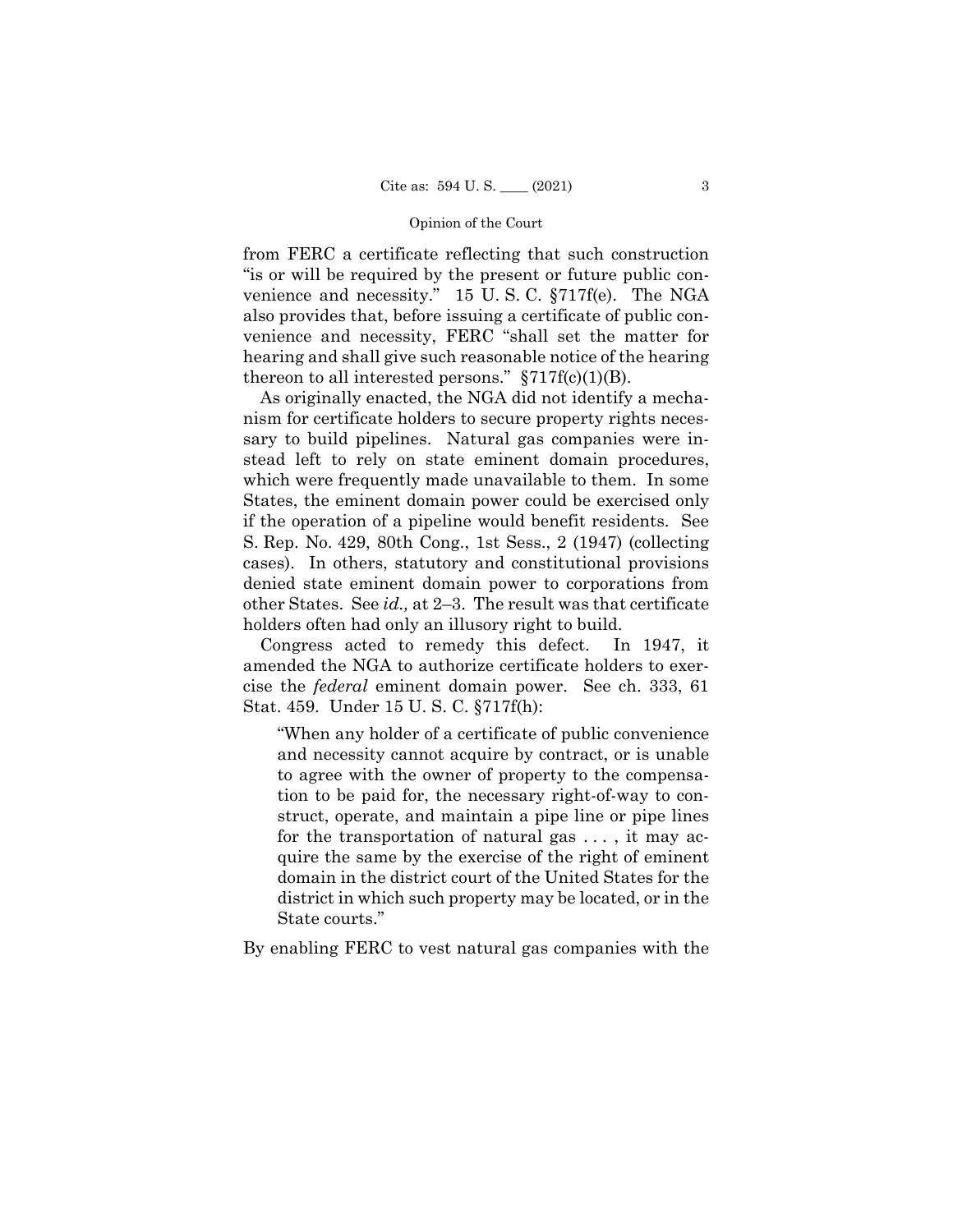from FERC a certificate reflecting that such construction "is or will be required by the present or future public convenience and necessity." 15 U. S. C. §717f(e). The NGA also provides that, before issuing a certificate of public convenience and necessity, FERC "shall set the matter for hearing and shall give such reasonable notice of the hearing thereon to all interested persons."  $\S 717f(c)(1)(B)$ .

As originally enacted, the NGA did not identify a mechanism for certificate holders to secure property rights necessary to build pipelines. Natural gas companies were instead left to rely on state eminent domain procedures, which were frequently made unavailable to them. In some States, the eminent domain power could be exercised only if the operation of a pipeline would benefit residents. See S. Rep. No. 429, 80th Cong., 1st Sess., 2 (1947) (collecting cases). In others, statutory and constitutional provisions denied state eminent domain power to corporations from other States. See *id.,* at 2–3. The result was that certificate holders often had only an illusory right to build.

Congress acted to remedy this defect. In 1947, it amended the NGA to authorize certificate holders to exercise the *federal* eminent domain power. See ch. 333, 61 Stat. 459. Under 15 U. S. C. §717f(h):

"When any holder of a certificate of public convenience and necessity cannot acquire by contract, or is unable to agree with the owner of property to the compensation to be paid for, the necessary right-of-way to construct, operate, and maintain a pipe line or pipe lines for the transportation of natural gas . . . , it may acquire the same by the exercise of the right of eminent domain in the district court of the United States for the district in which such property may be located, or in the State courts."

By enabling FERC to vest natural gas companies with the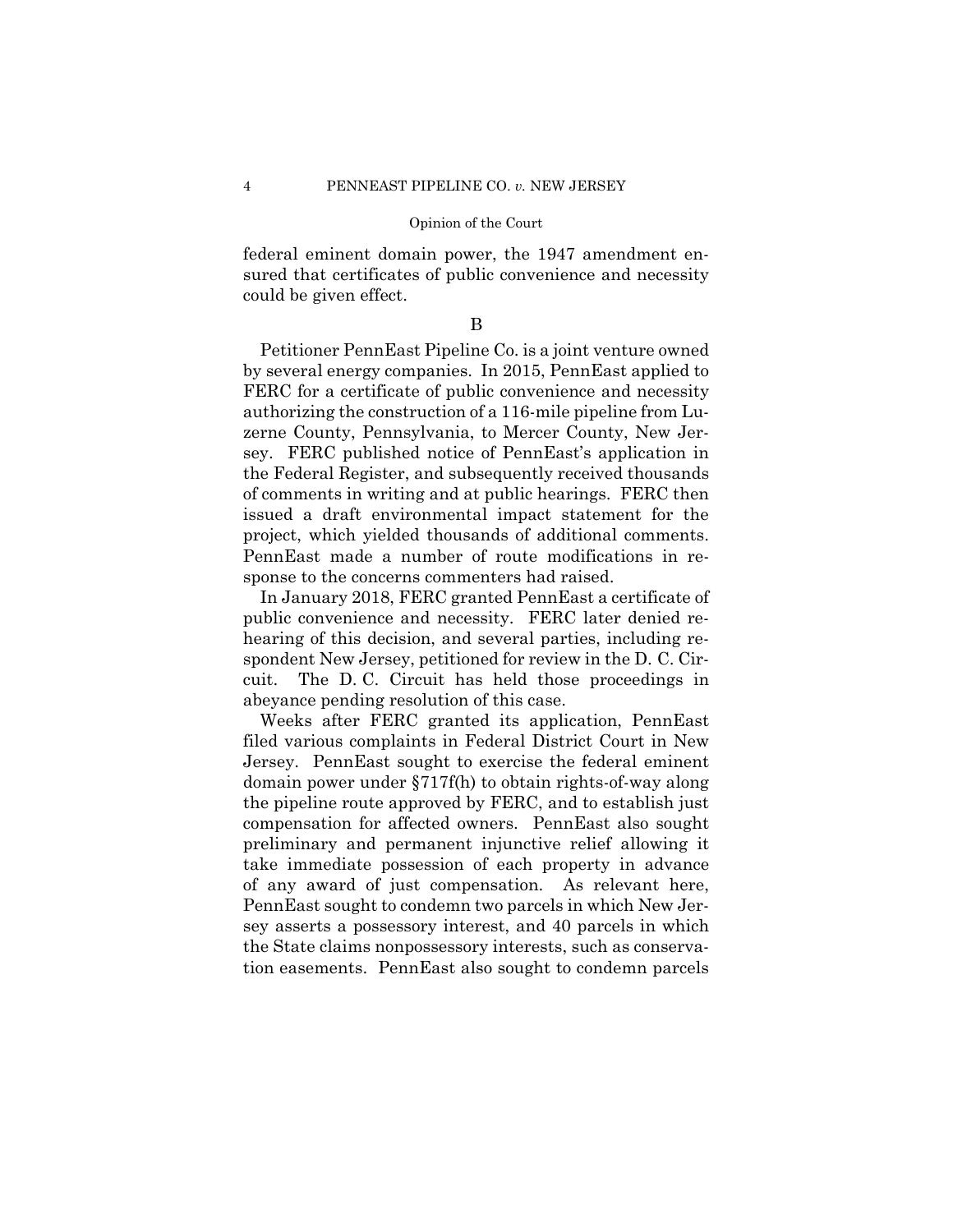federal eminent domain power, the 1947 amendment ensured that certificates of public convenience and necessity could be given effect.

B

Petitioner PennEast Pipeline Co. is a joint venture owned by several energy companies. In 2015, PennEast applied to FERC for a certificate of public convenience and necessity authorizing the construction of a 116-mile pipeline from Luzerne County, Pennsylvania, to Mercer County, New Jersey. FERC published notice of PennEast's application in the Federal Register, and subsequently received thousands of comments in writing and at public hearings. FERC then issued a draft environmental impact statement for the project, which yielded thousands of additional comments. PennEast made a number of route modifications in response to the concerns commenters had raised.

In January 2018, FERC granted PennEast a certificate of public convenience and necessity. FERC later denied rehearing of this decision, and several parties, including respondent New Jersey, petitioned for review in the D. C. Circuit. The D. C. Circuit has held those proceedings in abeyance pending resolution of this case.

Weeks after FERC granted its application, PennEast filed various complaints in Federal District Court in New Jersey. PennEast sought to exercise the federal eminent domain power under §717f(h) to obtain rights-of-way along the pipeline route approved by FERC, and to establish just compensation for affected owners. PennEast also sought preliminary and permanent injunctive relief allowing it take immediate possession of each property in advance of any award of just compensation. As relevant here, PennEast sought to condemn two parcels in which New Jersey asserts a possessory interest, and 40 parcels in which the State claims nonpossessory interests, such as conservation easements. PennEast also sought to condemn parcels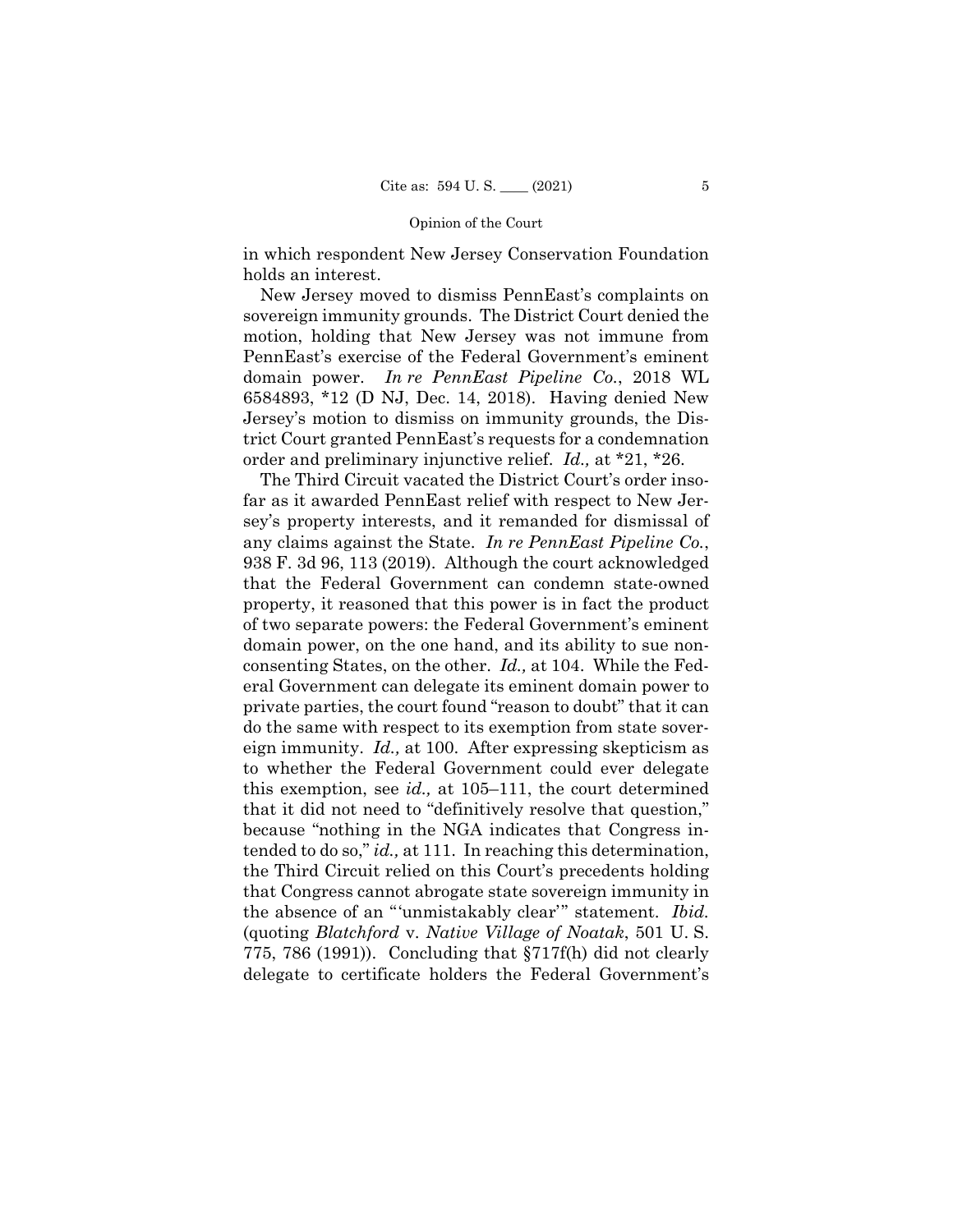in which respondent New Jersey Conservation Foundation holds an interest.

New Jersey moved to dismiss PennEast's complaints on sovereign immunity grounds. The District Court denied the motion, holding that New Jersey was not immune from PennEast's exercise of the Federal Government's eminent domain power. *In re PennEast Pipeline Co.*, 2018 WL 6584893, \*12 (D NJ, Dec. 14, 2018). Having denied New Jersey's motion to dismiss on immunity grounds, the District Court granted PennEast's requests for a condemnation order and preliminary injunctive relief. *Id.,* at \*21, \*26.

The Third Circuit vacated the District Court's order insofar as it awarded PennEast relief with respect to New Jersey's property interests, and it remanded for dismissal of any claims against the State. *In re PennEast Pipeline Co.*, 938 F. 3d 96, 113 (2019). Although the court acknowledged that the Federal Government can condemn state-owned property, it reasoned that this power is in fact the product of two separate powers: the Federal Government's eminent domain power, on the one hand, and its ability to sue nonconsenting States, on the other. *Id.,* at 104. While the Federal Government can delegate its eminent domain power to private parties, the court found "reason to doubt" that it can do the same with respect to its exemption from state sovereign immunity. *Id.,* at 100. After expressing skepticism as to whether the Federal Government could ever delegate this exemption, see *id.,* at 105–111, the court determined that it did not need to "definitively resolve that question," because "nothing in the NGA indicates that Congress intended to do so," *id.,* at 111. In reaching this determination, the Third Circuit relied on this Court's precedents holding that Congress cannot abrogate state sovereign immunity in the absence of an "'unmistakably clear'" statement. *Ibid.*  (quoting *Blatchford* v. *Native Village of Noatak*, 501 U. S. 775, 786 (1991)). Concluding that §717f(h) did not clearly delegate to certificate holders the Federal Government's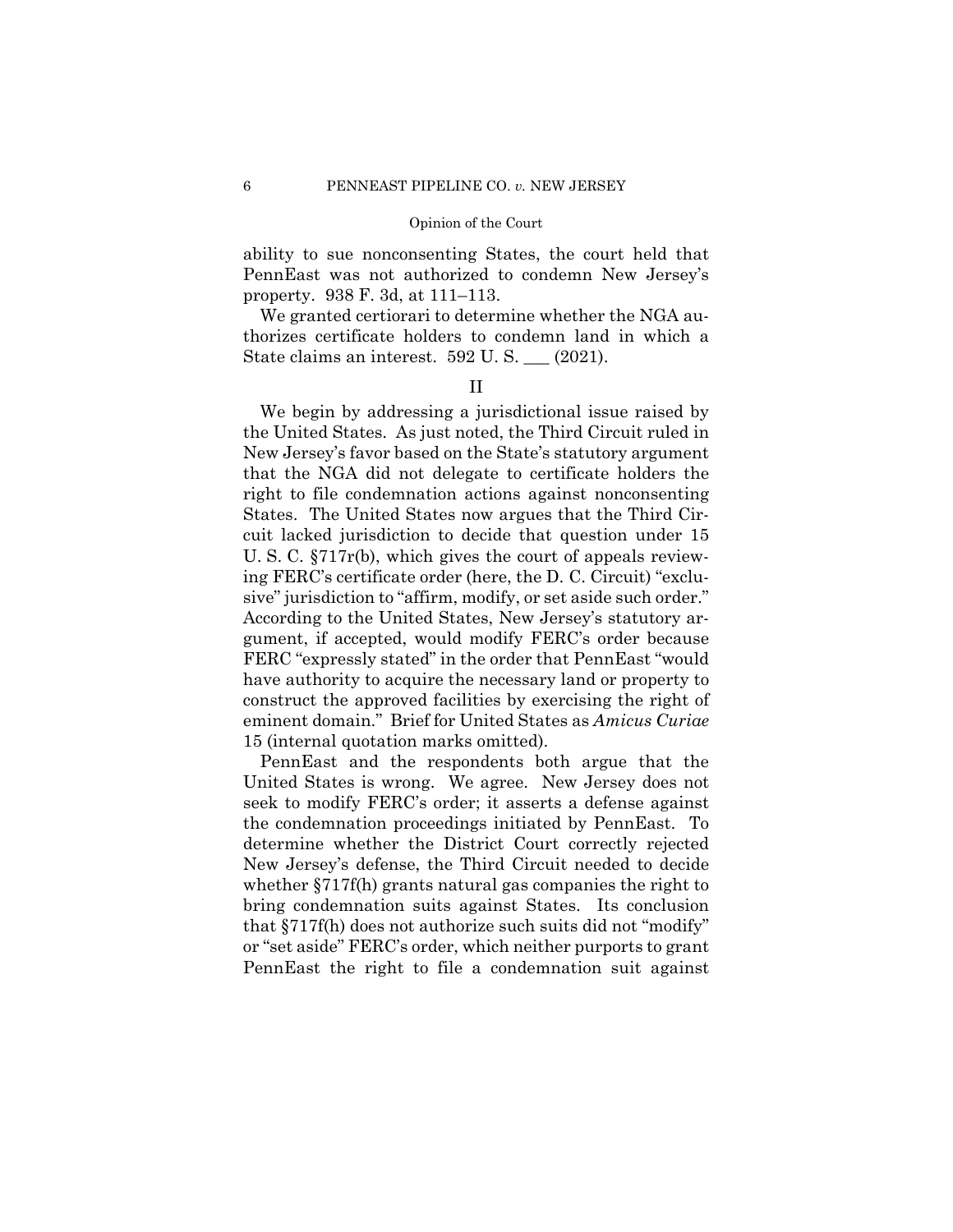ability to sue nonconsenting States, the court held that PennEast was not authorized to condemn New Jersey's property. 938 F. 3d, at 111–113.

We granted certiorari to determine whether the NGA authorizes certificate holders to condemn land in which a State claims an interest. 592 U. S. \_\_\_ (2021).

# II

We begin by addressing a jurisdictional issue raised by the United States. As just noted, the Third Circuit ruled in New Jersey's favor based on the State's statutory argument that the NGA did not delegate to certificate holders the right to file condemnation actions against nonconsenting States. The United States now argues that the Third Circuit lacked jurisdiction to decide that question under 15 U. S. C. §717r(b), which gives the court of appeals reviewing FERC's certificate order (here, the D. C. Circuit) "exclusive" jurisdiction to "affirm, modify, or set aside such order." According to the United States, New Jersey's statutory argument, if accepted, would modify FERC's order because FERC "expressly stated" in the order that PennEast "would have authority to acquire the necessary land or property to construct the approved facilities by exercising the right of eminent domain." Brief for United States as *Amicus Curiae*  15 (internal quotation marks omitted).

PennEast and the respondents both argue that the United States is wrong. We agree. New Jersey does not seek to modify FERC's order; it asserts a defense against the condemnation proceedings initiated by PennEast. To determine whether the District Court correctly rejected New Jersey's defense, the Third Circuit needed to decide whether §717f(h) grants natural gas companies the right to bring condemnation suits against States. Its conclusion that §717f(h) does not authorize such suits did not "modify" or "set aside" FERC's order, which neither purports to grant PennEast the right to file a condemnation suit against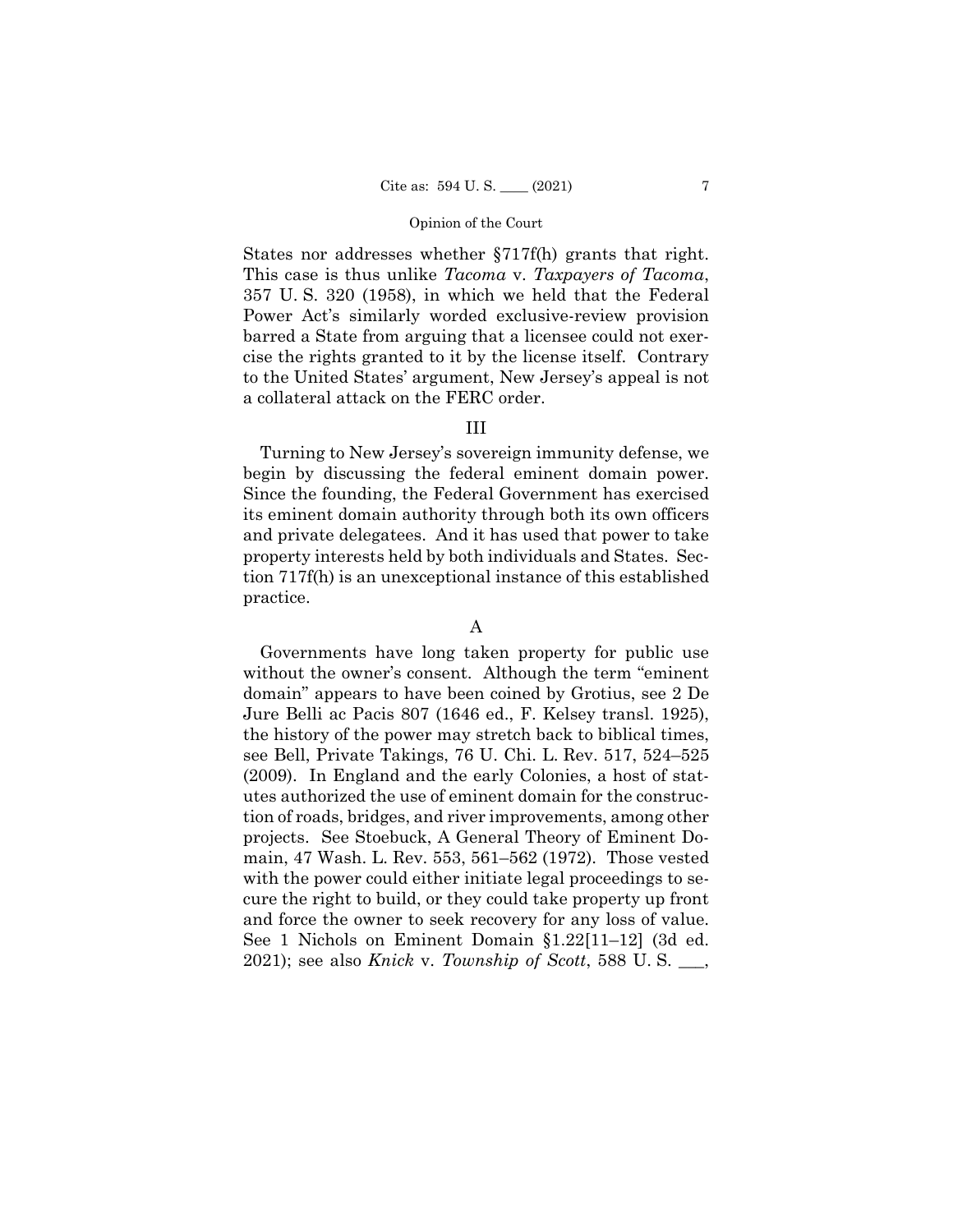States nor addresses whether §717f(h) grants that right. This case is thus unlike *Tacoma* v. *Taxpayers of Tacoma*, 357 U. S. 320 (1958), in which we held that the Federal Power Act's similarly worded exclusive-review provision barred a State from arguing that a licensee could not exercise the rights granted to it by the license itself. Contrary to the United States' argument, New Jersey's appeal is not a collateral attack on the FERC order.

# III

Turning to New Jersey's sovereign immunity defense, we begin by discussing the federal eminent domain power. Since the founding, the Federal Government has exercised its eminent domain authority through both its own officers and private delegatees. And it has used that power to take property interests held by both individuals and States. Section 717f(h) is an unexceptional instance of this established practice.

# A

Governments have long taken property for public use without the owner's consent. Although the term "eminent domain" appears to have been coined by Grotius, see 2 De Jure Belli ac Pacis 807 (1646 ed., F. Kelsey transl. 1925), the history of the power may stretch back to biblical times, see Bell, Private Takings, 76 U. Chi. L. Rev. 517, 524–525 (2009). In England and the early Colonies, a host of statutes authorized the use of eminent domain for the construction of roads, bridges, and river improvements, among other projects. See Stoebuck, A General Theory of Eminent Domain, 47 Wash. L. Rev. 553, 561–562 (1972). Those vested with the power could either initiate legal proceedings to secure the right to build, or they could take property up front and force the owner to seek recovery for any loss of value. See 1 Nichols on Eminent Domain §1.22[11–12] (3d ed. 2021); see also *Knick* v. *Township of Scott*, 588 U. S. \_\_\_,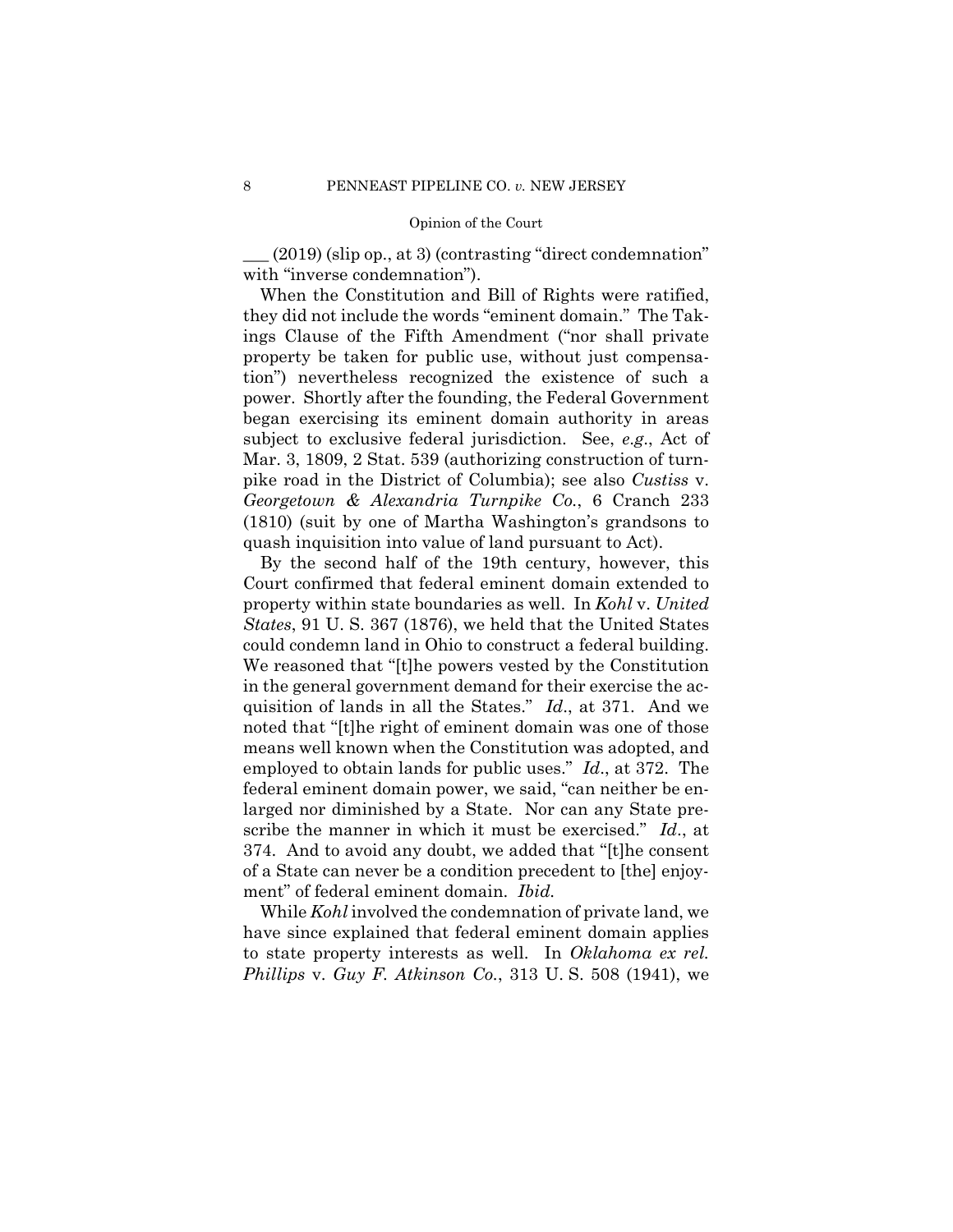$(2019)$  (slip op., at 3) (contrasting "direct condemnation" with "inverse condemnation").

When the Constitution and Bill of Rights were ratified, they did not include the words "eminent domain." The Takings Clause of the Fifth Amendment ("nor shall private property be taken for public use, without just compensation") nevertheless recognized the existence of such a power. Shortly after the founding, the Federal Government began exercising its eminent domain authority in areas subject to exclusive federal jurisdiction. See, *e*.*g*., Act of Mar. 3, 1809, 2 Stat. 539 (authorizing construction of turnpike road in the District of Columbia); see also *Custiss* v. *Georgetown & Alexandria Turnpike Co.*, 6 Cranch 233 (1810) (suit by one of Martha Washington's grandsons to quash inquisition into value of land pursuant to Act).

By the second half of the 19th century, however, this Court confirmed that federal eminent domain extended to property within state boundaries as well. In *Kohl* v. *United States*, 91 U. S. 367 (1876), we held that the United States could condemn land in Ohio to construct a federal building. We reasoned that "[t]he powers vested by the Constitution in the general government demand for their exercise the acquisition of lands in all the States." *Id*., at 371. And we noted that "[t]he right of eminent domain was one of those means well known when the Constitution was adopted, and employed to obtain lands for public uses." *Id*., at 372. The federal eminent domain power, we said, "can neither be enlarged nor diminished by a State. Nor can any State prescribe the manner in which it must be exercised." *Id*., at 374. And to avoid any doubt, we added that "[t]he consent of a State can never be a condition precedent to [the] enjoyment" of federal eminent domain. *Ibid.*

 While *Kohl* involved the condemnation of private land, we have since explained that federal eminent domain applies to state property interests as well. In *Oklahoma ex rel. Phillips* v. *Guy F. Atkinson Co.*, 313 U. S. 508 (1941), we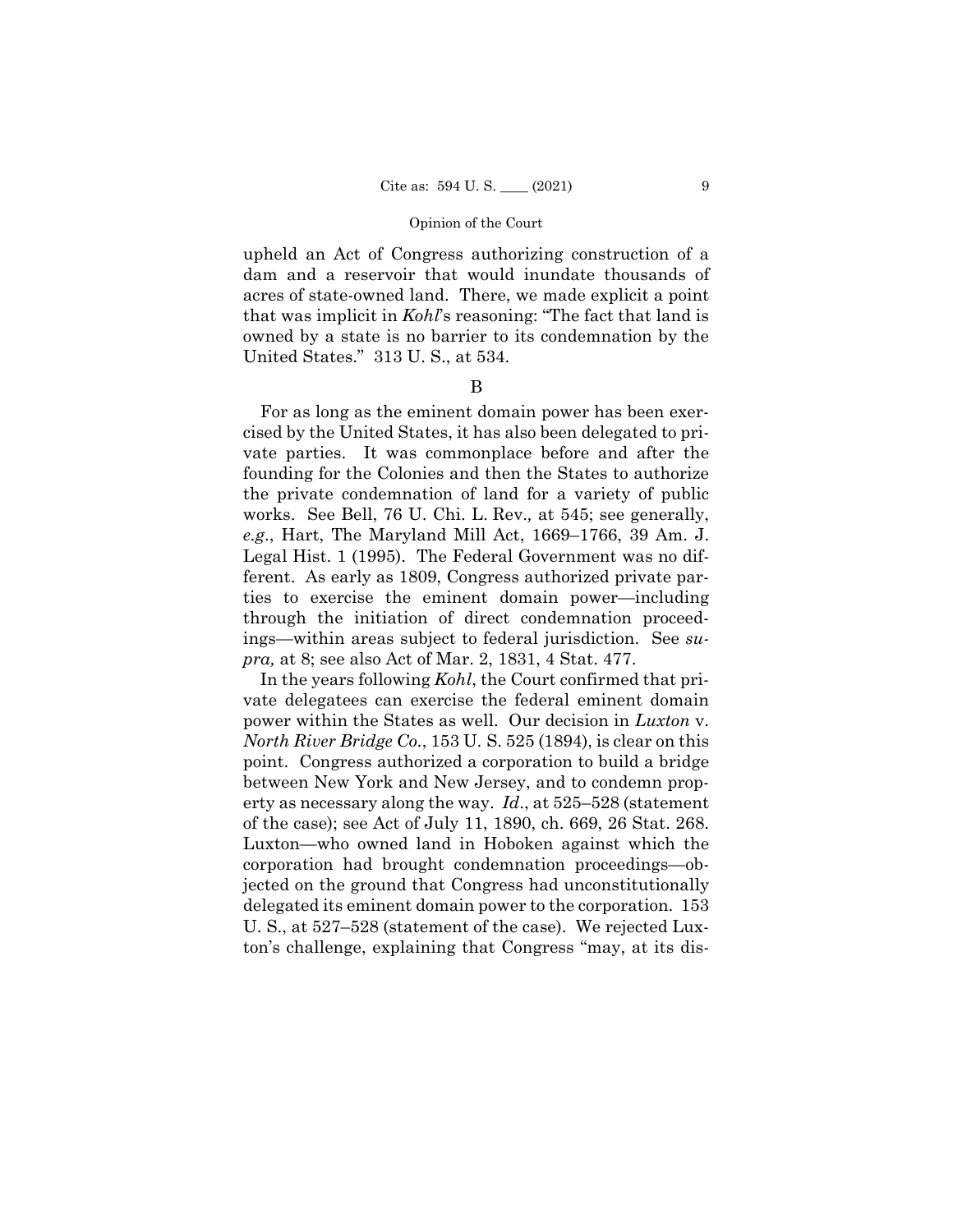upheld an Act of Congress authorizing construction of a dam and a reservoir that would inundate thousands of acres of state-owned land. There, we made explicit a point that was implicit in *Kohl*'s reasoning: "The fact that land is owned by a state is no barrier to its condemnation by the United States." 313 U. S., at 534.

## B

For as long as the eminent domain power has been exercised by the United States, it has also been delegated to private parties. It was commonplace before and after the founding for the Colonies and then the States to authorize the private condemnation of land for a variety of public works. See Bell, 76 U. Chi. L. Rev.*,* at 545; see generally, *e.g*., Hart, The Maryland Mill Act, 1669–1766, 39 Am. J. Legal Hist. 1 (1995). The Federal Government was no different. As early as 1809, Congress authorized private parties to exercise the eminent domain power—including through the initiation of direct condemnation proceedings—within areas subject to federal jurisdiction. See *supra,* at 8; see also Act of Mar. 2, 1831, 4 Stat. 477.

In the years following *Kohl*, the Court confirmed that private delegatees can exercise the federal eminent domain power within the States as well. Our decision in *Luxton* v. *North River Bridge Co.*, 153 U. S. 525 (1894), is clear on this point. Congress authorized a corporation to build a bridge between New York and New Jersey, and to condemn property as necessary along the way. *Id*., at 525–528 (statement of the case); see Act of July 11, 1890, ch. 669, 26 Stat. 268. Luxton—who owned land in Hoboken against which the corporation had brought condemnation proceedings—objected on the ground that Congress had unconstitutionally delegated its eminent domain power to the corporation. 153 U. S., at 527–528 (statement of the case). We rejected Luxton's challenge, explaining that Congress "may, at its dis-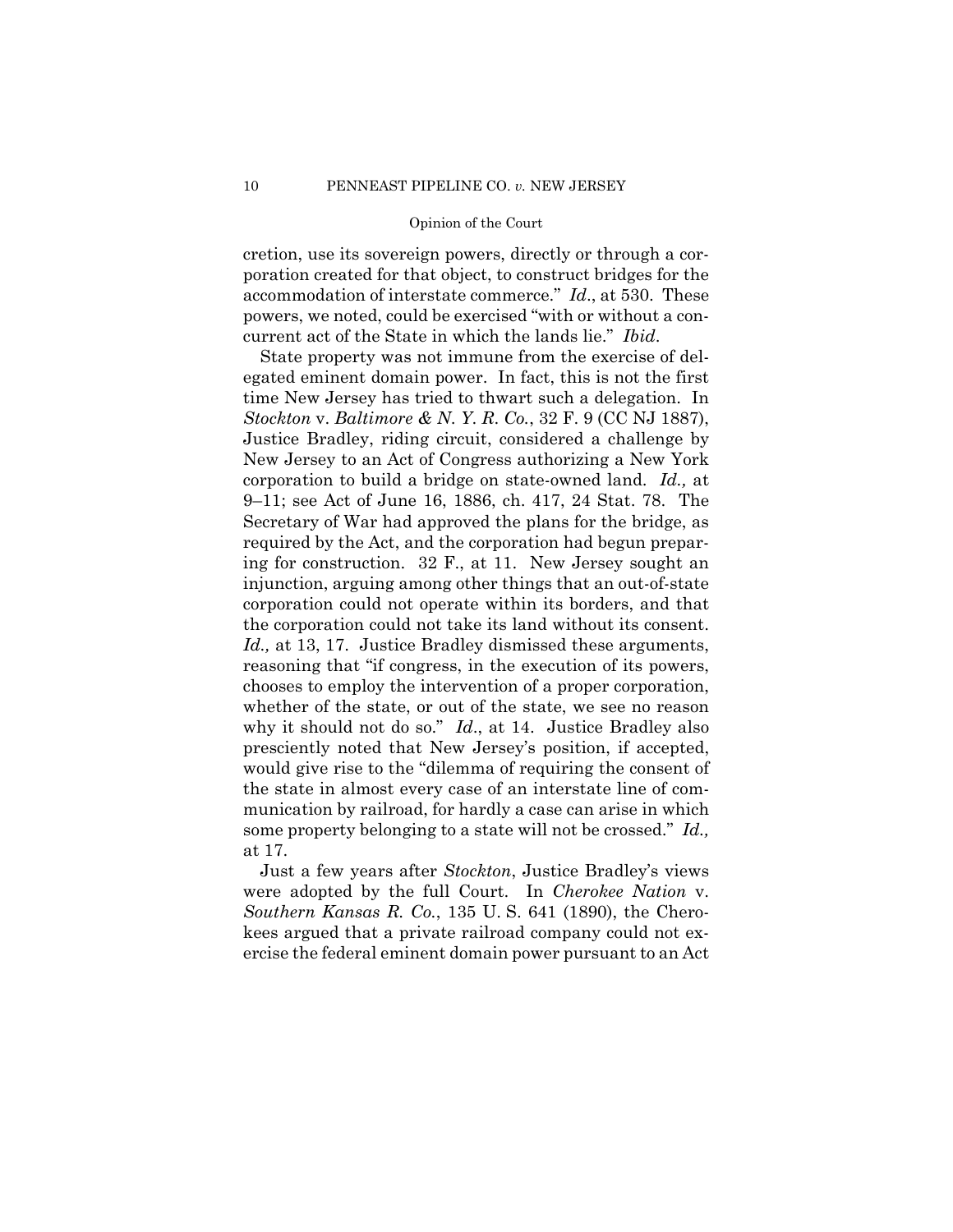cretion, use its sovereign powers, directly or through a corporation created for that object, to construct bridges for the accommodation of interstate commerce." *Id*., at 530. These powers, we noted, could be exercised "with or without a concurrent act of the State in which the lands lie." *Ibid*.

 the corporation could not take its land without its consent. State property was not immune from the exercise of delegated eminent domain power. In fact, this is not the first time New Jersey has tried to thwart such a delegation. In *Stockton* v. *Baltimore & N*. *Y*. *R*. *Co.*, 32 F. 9 (CC NJ 1887), Justice Bradley, riding circuit, considered a challenge by New Jersey to an Act of Congress authorizing a New York corporation to build a bridge on state-owned land. *Id.,* at 9–11; see Act of June 16, 1886, ch. 417, 24 Stat. 78. The Secretary of War had approved the plans for the bridge, as required by the Act, and the corporation had begun preparing for construction. 32 F., at 11. New Jersey sought an injunction, arguing among other things that an out-of-state corporation could not operate within its borders, and that *Id.,* at 13, 17. Justice Bradley dismissed these arguments, reasoning that "if congress, in the execution of its powers, chooses to employ the intervention of a proper corporation, whether of the state, or out of the state, we see no reason why it should not do so." *Id*., at 14. Justice Bradley also presciently noted that New Jersey's position, if accepted, would give rise to the "dilemma of requiring the consent of the state in almost every case of an interstate line of communication by railroad, for hardly a case can arise in which some property belonging to a state will not be crossed." *Id.,*  at 17.

Just a few years after *Stockton*, Justice Bradley's views were adopted by the full Court. In *Cherokee Nation* v. *Southern Kansas R. Co.*, 135 U. S. 641 (1890), the Cherokees argued that a private railroad company could not exercise the federal eminent domain power pursuant to an Act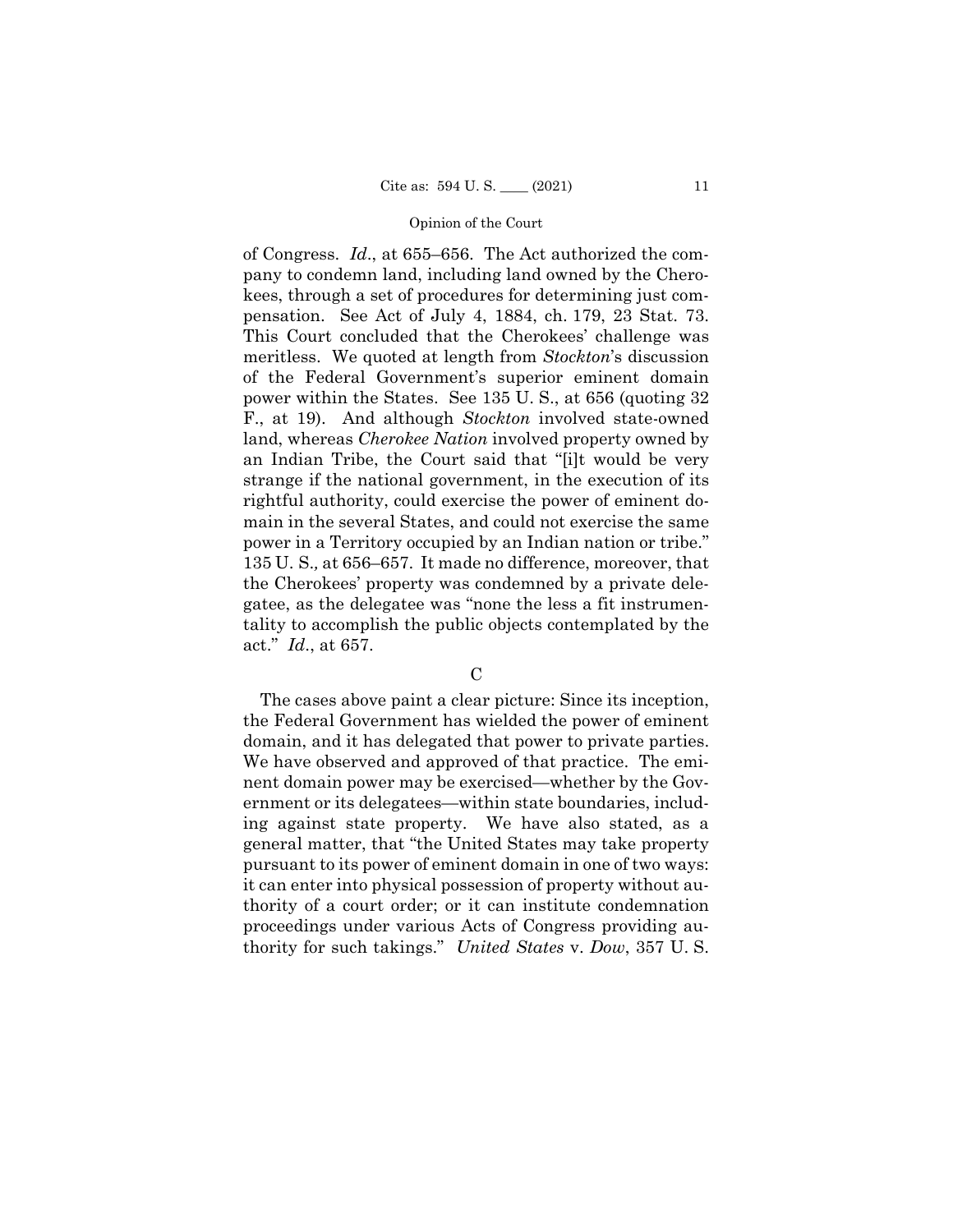of Congress. *Id*., at 655–656. The Act authorized the company to condemn land, including land owned by the Cherokees, through a set of procedures for determining just compensation. See Act of July 4, 1884, ch. 179, 23 Stat. 73. This Court concluded that the Cherokees' challenge was meritless. We quoted at length from *Stockton*'s discussion of the Federal Government's superior eminent domain power within the States. See 135 U. S., at 656 (quoting 32 F., at 19). And although *Stockton* involved state-owned land, whereas *Cherokee Nation* involved property owned by an Indian Tribe, the Court said that "[i]t would be very strange if the national government, in the execution of its rightful authority, could exercise the power of eminent domain in the several States, and could not exercise the same power in a Territory occupied by an Indian nation or tribe." 135 U. S.*,* at 656–657. It made no difference, moreover, that the Cherokees' property was condemned by a private delegatee, as the delegatee was "none the less a fit instrumentality to accomplish the public objects contemplated by the act." *Id*., at 657.

## $\mathcal{C}$

 domain, and it has delegated that power to private parties. The cases above paint a clear picture: Since its inception, the Federal Government has wielded the power of eminent We have observed and approved of that practice. The eminent domain power may be exercised—whether by the Government or its delegatees—within state boundaries, including against state property. We have also stated, as a general matter, that "the United States may take property pursuant to its power of eminent domain in one of two ways: it can enter into physical possession of property without authority of a court order; or it can institute condemnation proceedings under various Acts of Congress providing authority for such takings." *United States* v. *Dow*, 357 U. S.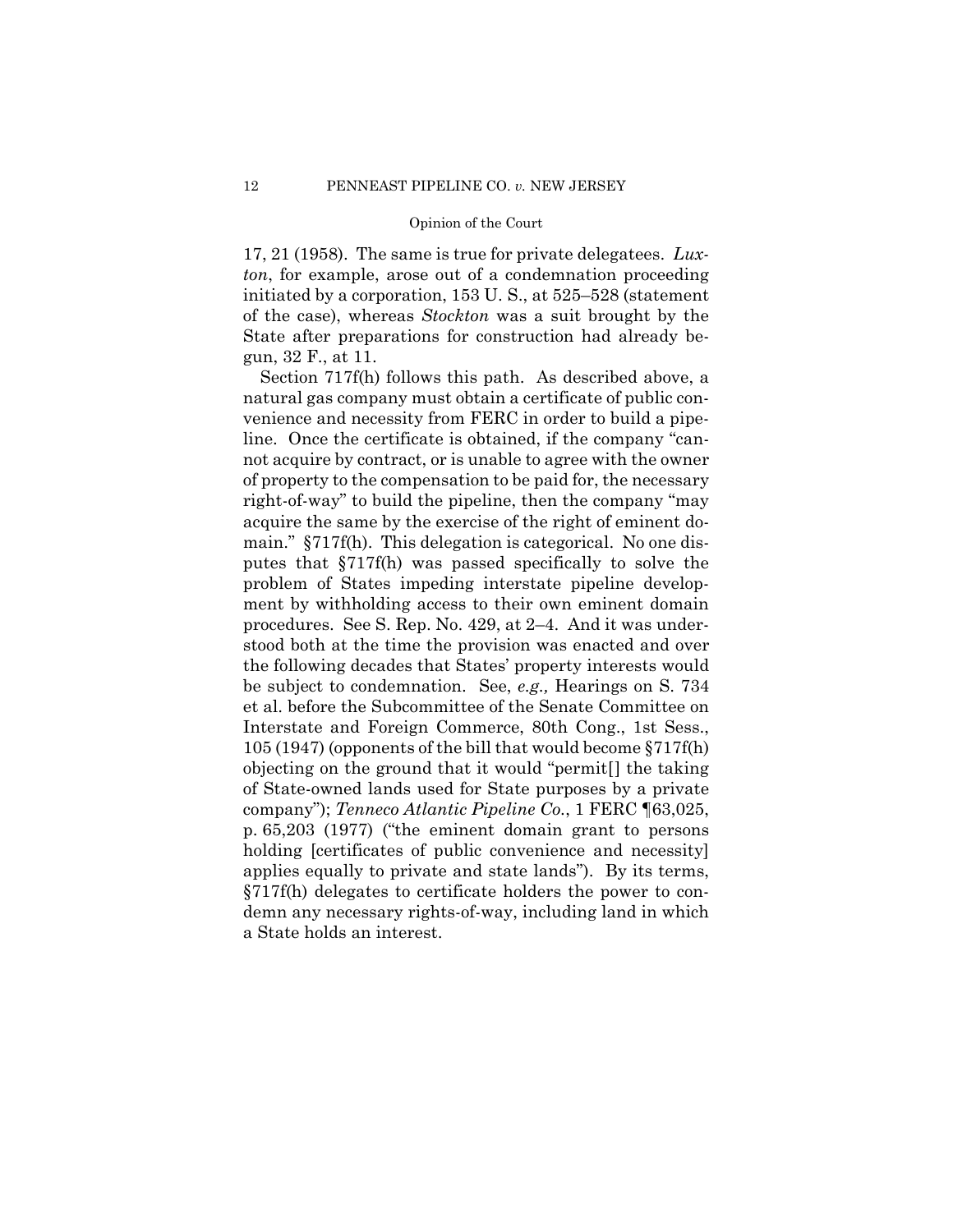17, 21 (1958). The same is true for private delegatees. *Luxton*, for example, arose out of a condemnation proceeding initiated by a corporation, 153 U. S., at 525–528 (statement of the case), whereas *Stockton* was a suit brought by the State after preparations for construction had already begun, 32 F., at 11.

Section 717f(h) follows this path. As described above, a natural gas company must obtain a certificate of public convenience and necessity from FERC in order to build a pipeline. Once the certificate is obtained, if the company "cannot acquire by contract, or is unable to agree with the owner of property to the compensation to be paid for, the necessary right-of-way" to build the pipeline, then the company "may acquire the same by the exercise of the right of eminent domain." §717f(h). This delegation is categorical. No one disputes that §717f(h) was passed specifically to solve the problem of States impeding interstate pipeline development by withholding access to their own eminent domain procedures. See S. Rep. No. 429, at 2–4. And it was understood both at the time the provision was enacted and over the following decades that States' property interests would be subject to condemnation. See, *e.g.,* Hearings on S. 734 et al. before the Subcommittee of the Senate Committee on Interstate and Foreign Commerce, 80th Cong., 1st Sess., 105 (1947) (opponents of the bill that would become §717f(h) objecting on the ground that it would "permit[] the taking of State-owned lands used for State purposes by a private company"); *Tenneco Atlantic Pipeline Co.*, 1 FERC ¶63,025, p. 65,203 (1977) ("the eminent domain grant to persons holding [certificates of public convenience and necessity] applies equally to private and state lands"). By its terms, §717f(h) delegates to certificate holders the power to condemn any necessary rights-of-way, including land in which a State holds an interest.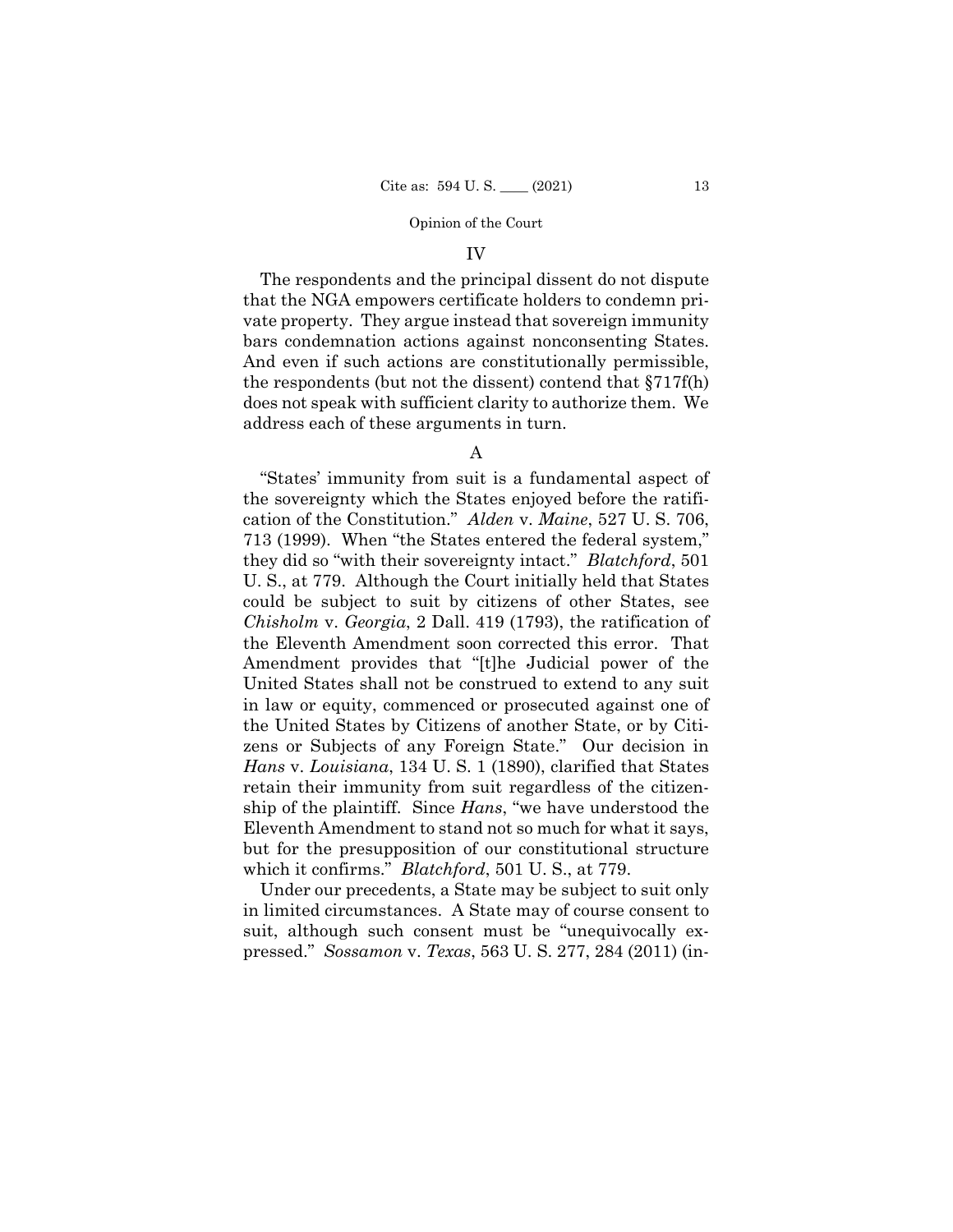#### IV

The respondents and the principal dissent do not dispute that the NGA empowers certificate holders to condemn private property. They argue instead that sovereign immunity bars condemnation actions against nonconsenting States. And even if such actions are constitutionally permissible, the respondents (but not the dissent) contend that §717f(h) does not speak with sufficient clarity to authorize them. We address each of these arguments in turn.

A

"States' immunity from suit is a fundamental aspect of the sovereignty which the States enjoyed before the ratification of the Constitution." *Alden* v. *Maine*, 527 U. S. 706, 713 (1999). When "the States entered the federal system," they did so "with their sovereignty intact." *Blatchford*, 501 U. S., at 779. Although the Court initially held that States could be subject to suit by citizens of other States, see *Chisholm* v. *Georgia*, 2 Dall. 419 (1793), the ratification of the Eleventh Amendment soon corrected this error. That Amendment provides that "[t]he Judicial power of the United States shall not be construed to extend to any suit in law or equity, commenced or prosecuted against one of the United States by Citizens of another State, or by Citizens or Subjects of any Foreign State." Our decision in *Hans* v. *Louisiana*, 134 U. S. 1 (1890), clarified that States retain their immunity from suit regardless of the citizenship of the plaintiff. Since *Hans*, "we have understood the Eleventh Amendment to stand not so much for what it says, but for the presupposition of our constitutional structure which it confirms." *Blatchford*, 501 U. S., at 779.

Under our precedents, a State may be subject to suit only in limited circumstances. A State may of course consent to suit, although such consent must be "unequivocally expressed." *Sossamon* v. *Texas*, 563 U. S. 277, 284 (2011) (in-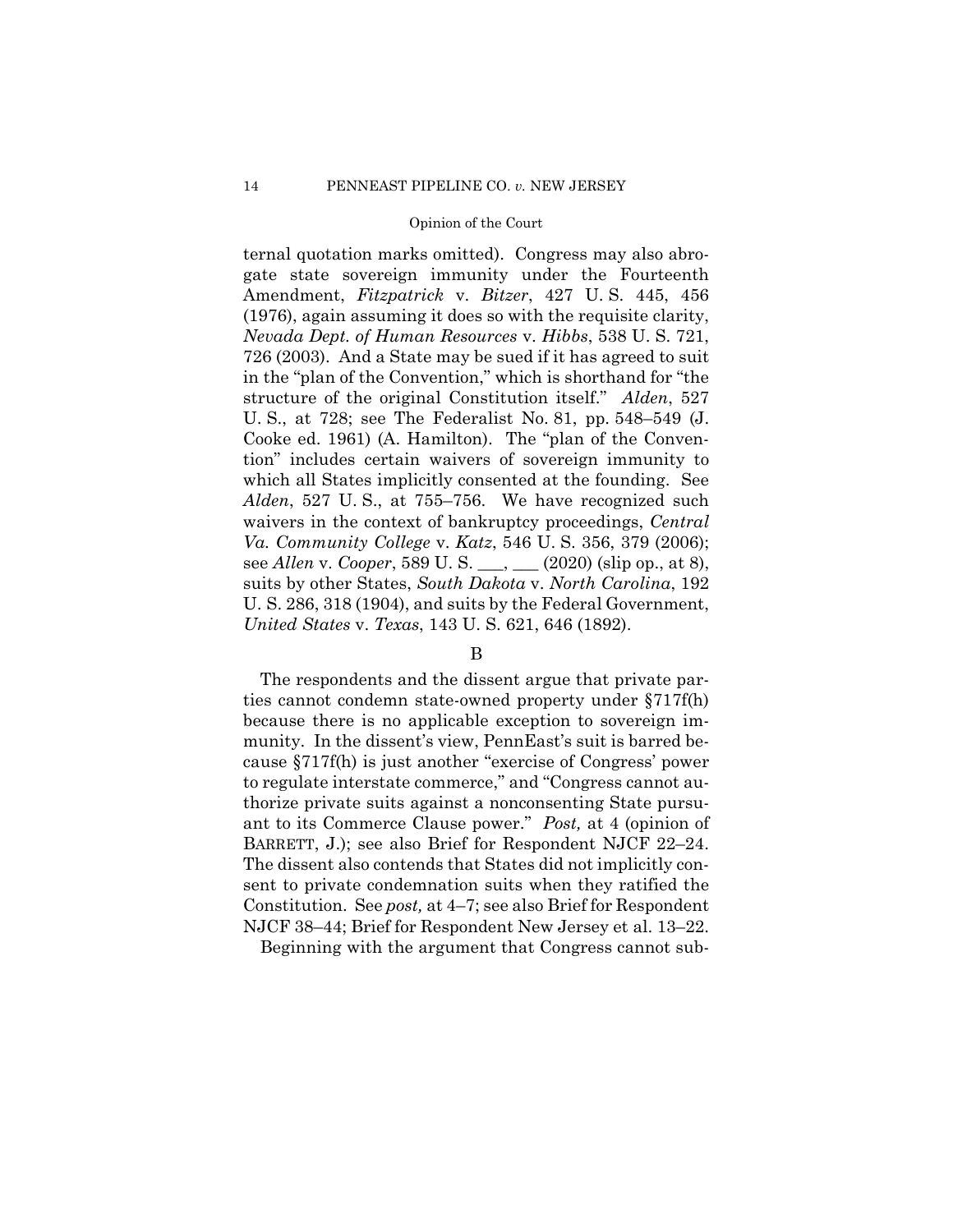structure of the original Constitution itself." *Alden*, 527 ternal quotation marks omitted). Congress may also abrogate state sovereign immunity under the Fourteenth Amendment, *Fitzpatrick* v. *Bitzer*, 427 U. S. 445, 456 (1976), again assuming it does so with the requisite clarity, *Nevada Dept. of Human Resources* v. *Hibbs*, 538 U. S. 721, 726 (2003). And a State may be sued if it has agreed to suit in the "plan of the Convention," which is shorthand for "the U. S., at 728; see The Federalist No. 81, pp. 548–549 (J. Cooke ed. 1961) (A. Hamilton). The "plan of the Convention" includes certain waivers of sovereign immunity to which all States implicitly consented at the founding. See *Alden*, 527 U. S., at 755–756. We have recognized such waivers in the context of bankruptcy proceedings, *Central Va. Community College* v. *Katz*, 546 U. S. 356, 379 (2006); see *Allen* v. *Cooper*, 589 U. S. \_\_\_, \_\_\_ (2020) (slip op., at 8), suits by other States, *South Dakota* v. *North Carolina*, 192 U. S. 286, 318 (1904), and suits by the Federal Government, *United States* v. *Texas*, 143 U. S. 621, 646 (1892).

# B

The respondents and the dissent argue that private parties cannot condemn state-owned property under §717f(h) because there is no applicable exception to sovereign immunity. In the dissent's view, PennEast's suit is barred because §717f(h) is just another "exercise of Congress' power to regulate interstate commerce," and "Congress cannot authorize private suits against a nonconsenting State pursuant to its Commerce Clause power." *Post,* at 4 (opinion of BARRETT, J.); see also Brief for Respondent NJCF 22–24. The dissent also contends that States did not implicitly consent to private condemnation suits when they ratified the Constitution. See *post,* at 4–7; see also Brief for Respondent NJCF 38–44; Brief for Respondent New Jersey et al. 13–22.

Beginning with the argument that Congress cannot sub-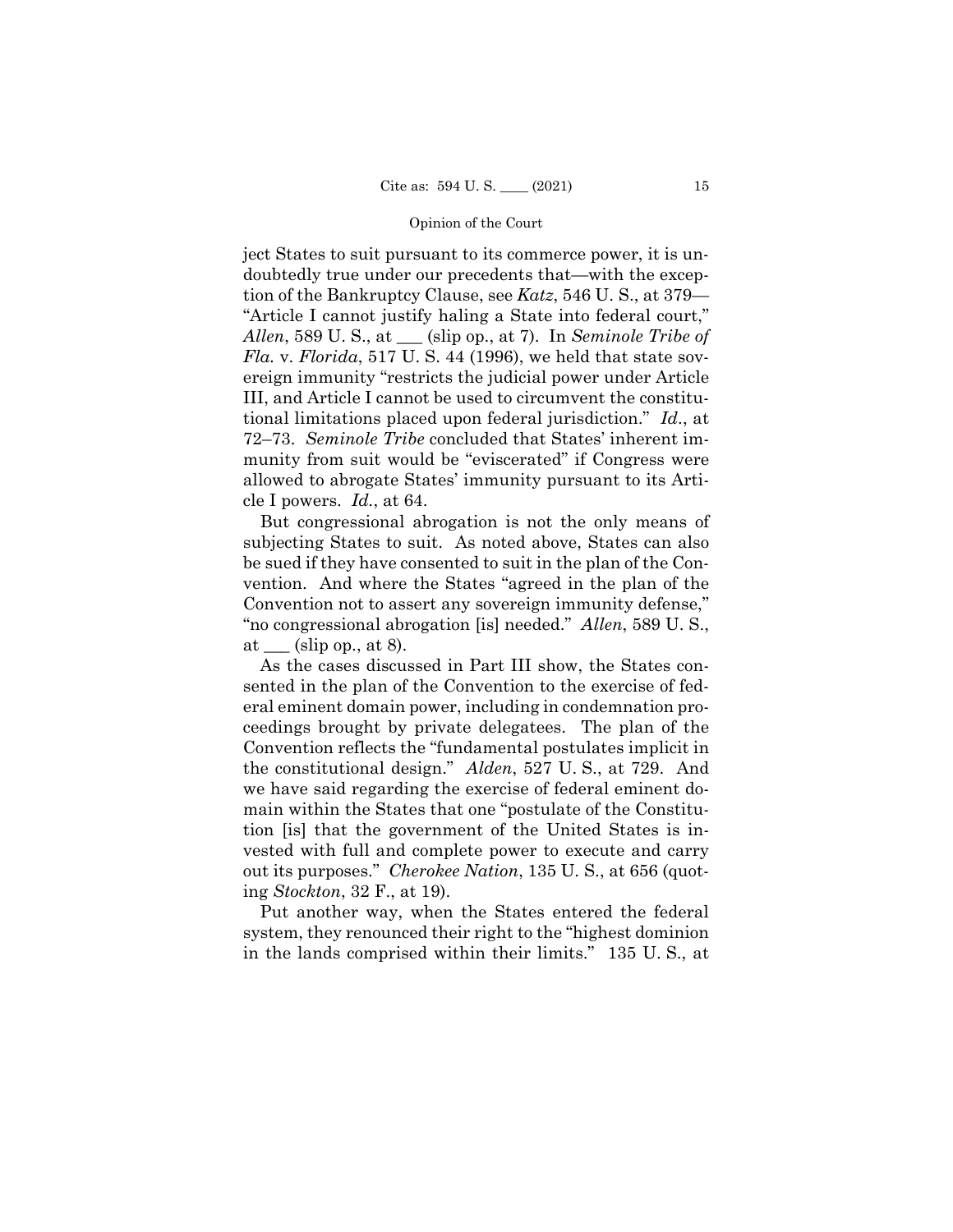ject States to suit pursuant to its commerce power, it is undoubtedly true under our precedents that—with the exception of the Bankruptcy Clause, see *Katz*, 546 U. S., at 379— "Article I cannot justify haling a State into federal court," *Allen*, 589 U. S., at \_\_\_ (slip op., at 7). In *Seminole Tribe of Fla.* v. *Florida*, 517 U. S. 44 (1996), we held that state sovereign immunity "restricts the judicial power under Article III, and Article I cannot be used to circumvent the constitutional limitations placed upon federal jurisdiction." *Id*., at 72–73. *Seminole Tribe* concluded that States' inherent immunity from suit would be "eviscerated" if Congress were allowed to abrogate States' immunity pursuant to its Article I powers. *Id.*, at 64.

But congressional abrogation is not the only means of subjecting States to suit. As noted above, States can also be sued if they have consented to suit in the plan of the Convention. And where the States "agreed in the plan of the Convention not to assert any sovereign immunity defense," "no congressional abrogation [is] needed." *Allen*, 589 U. S., at  $(\text{slip op.}, \text{at } 8).$ 

As the cases discussed in Part III show, the States consented in the plan of the Convention to the exercise of federal eminent domain power, including in condemnation proceedings brought by private delegatees. The plan of the Convention reflects the "fundamental postulates implicit in the constitutional design." *Alden*, 527 U. S., at 729. And we have said regarding the exercise of federal eminent domain within the States that one "postulate of the Constitution [is] that the government of the United States is invested with full and complete power to execute and carry out its purposes." *Cherokee Nation*, 135 U. S., at 656 (quoting *Stockton*, 32 F., at 19).

Put another way, when the States entered the federal system, they renounced their right to the "highest dominion in the lands comprised within their limits." 135 U. S., at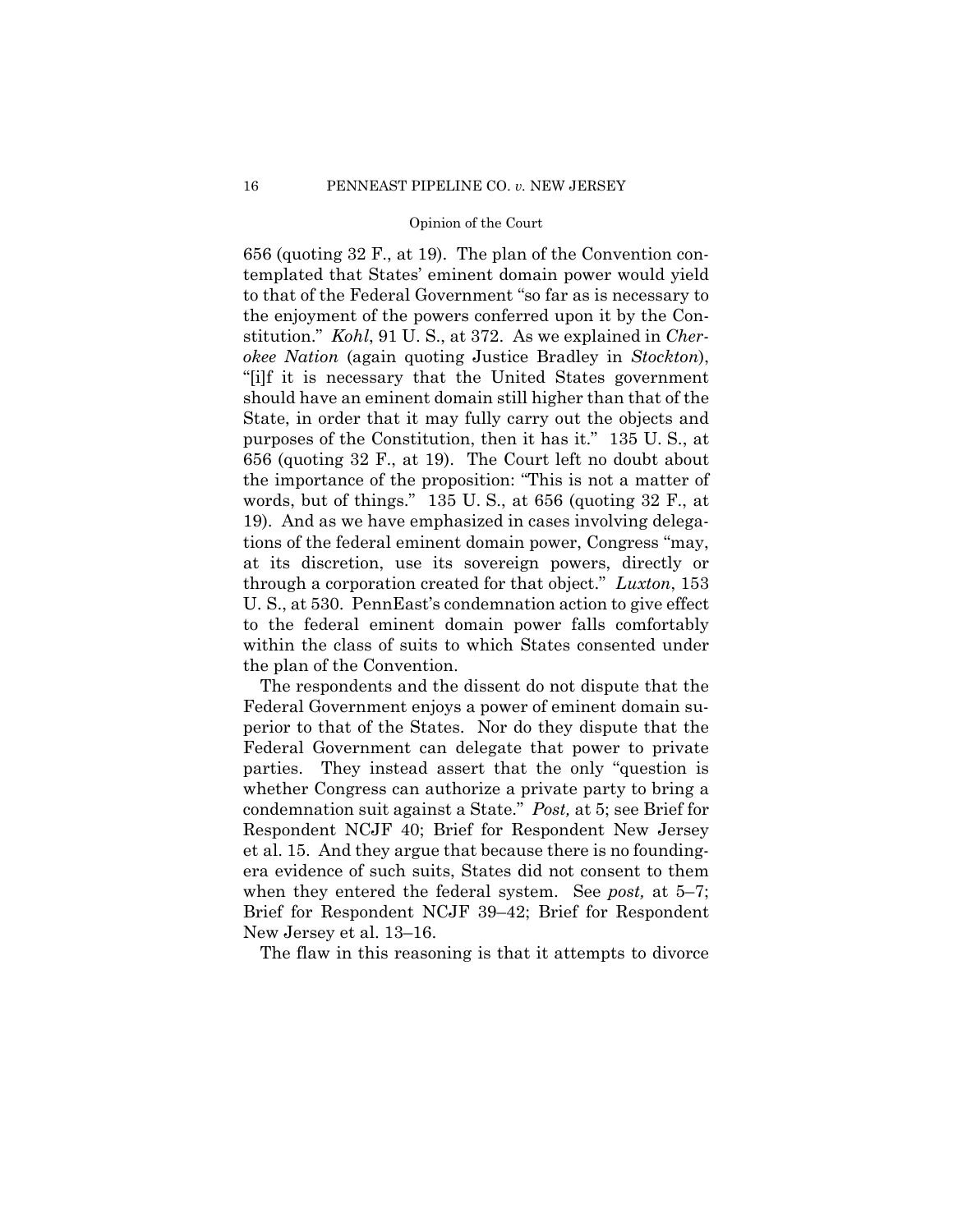through a corporation created for that object." *Luxton*, 153 656 (quoting 32 F., at 19). The plan of the Convention contemplated that States' eminent domain power would yield to that of the Federal Government "so far as is necessary to the enjoyment of the powers conferred upon it by the Constitution." *Kohl*, 91 U. S., at 372. As we explained in *Cherokee Nation* (again quoting Justice Bradley in *Stockton*), "[i]f it is necessary that the United States government should have an eminent domain still higher than that of the State, in order that it may fully carry out the objects and purposes of the Constitution, then it has it." 135 U. S., at 656 (quoting 32 F., at 19). The Court left no doubt about the importance of the proposition: "This is not a matter of words, but of things." 135 U. S., at 656 (quoting 32 F., at 19). And as we have emphasized in cases involving delegations of the federal eminent domain power, Congress "may, at its discretion, use its sovereign powers, directly or U. S., at 530. PennEast's condemnation action to give effect to the federal eminent domain power falls comfortably within the class of suits to which States consented under the plan of the Convention.

The respondents and the dissent do not dispute that the Federal Government enjoys a power of eminent domain superior to that of the States. Nor do they dispute that the Federal Government can delegate that power to private parties. They instead assert that the only "question is whether Congress can authorize a private party to bring a condemnation suit against a State." *Post,* at 5; see Brief for Respondent NCJF 40; Brief for Respondent New Jersey et al. 15. And they argue that because there is no foundingera evidence of such suits, States did not consent to them when they entered the federal system. See *post,* at 5–7; Brief for Respondent NCJF 39–42; Brief for Respondent New Jersey et al. 13–16.

The flaw in this reasoning is that it attempts to divorce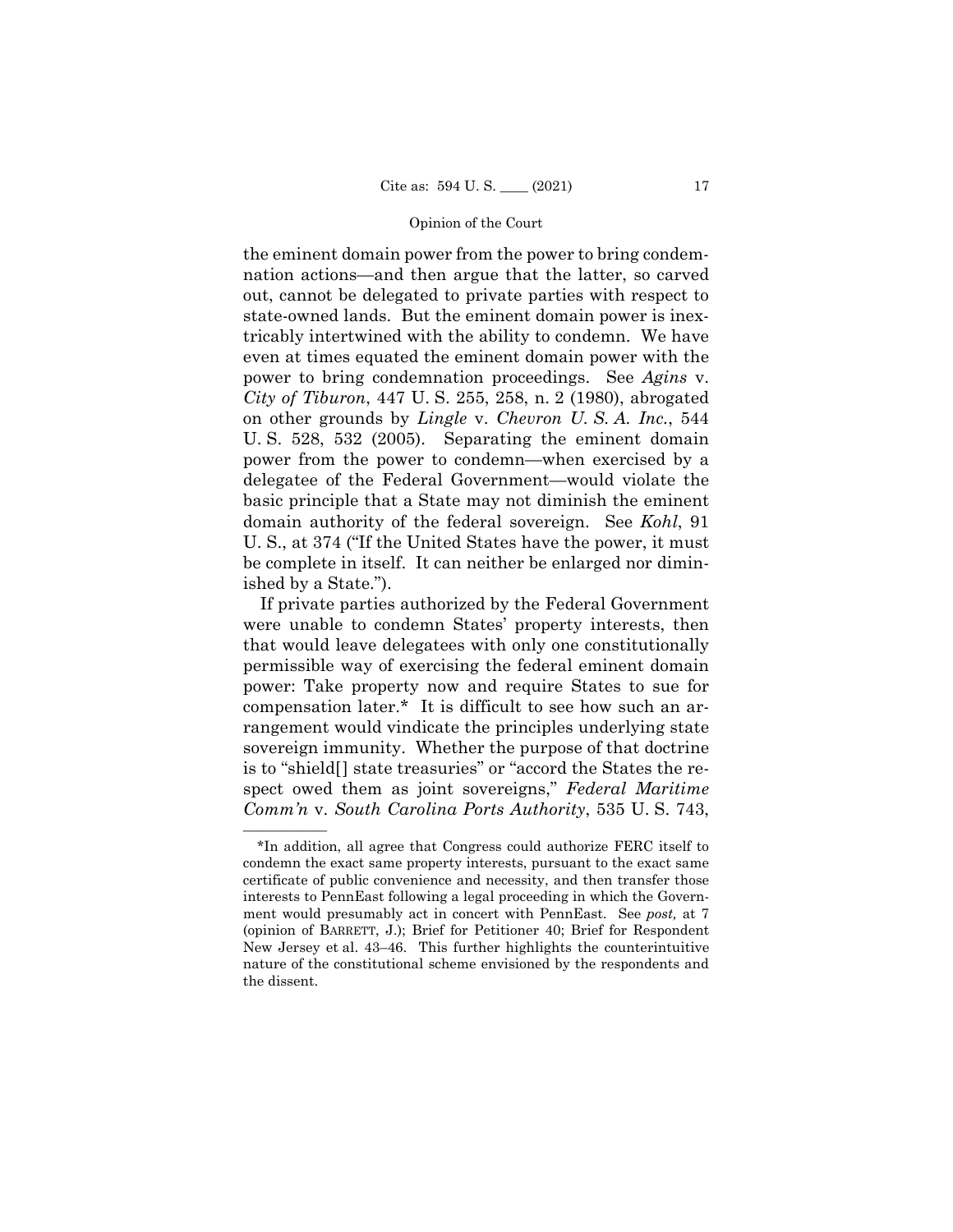the eminent domain power from the power to bring condemnation actions—and then argue that the latter, so carved out, cannot be delegated to private parties with respect to state-owned lands. But the eminent domain power is inextricably intertwined with the ability to condemn. We have even at times equated the eminent domain power with the power to bring condemnation proceedings. See *Agins* v. *City of Tiburon*, 447 U. S. 255, 258, n. 2 (1980), abrogated on other grounds by *Lingle* v. *Chevron U. S. A. Inc.*, 544 U. S. 528, 532 (2005). Separating the eminent domain power from the power to condemn—when exercised by a delegatee of the Federal Government—would violate the basic principle that a State may not diminish the eminent domain authority of the federal sovereign. See *Kohl*, 91 U. S., at 374 ("If the United States have the power, it must be complete in itself. It can neither be enlarged nor diminished by a State.").

If private parties authorized by the Federal Government were unable to condemn States' property interests, then that would leave delegatees with only one constitutionally permissible way of exercising the federal eminent domain power: Take property now and require States to sue for compensation later.\* It is difficult to see how such an arrangement would vindicate the principles underlying state sovereign immunity. Whether the purpose of that doctrine is to "shield[] state treasuries" or "accord the States the respect owed them as joint sovereigns," *Federal Maritime Comm'n* v. *South Carolina Ports Authority*, 535 U. S. 743,

——————

<sup>\*</sup>In addition, all agree that Congress could authorize FERC itself to condemn the exact same property interests, pursuant to the exact same certificate of public convenience and necessity, and then transfer those interests to PennEast following a legal proceeding in which the Government would presumably act in concert with PennEast. See *post,* at 7 (opinion of BARRETT, J.); Brief for Petitioner 40; Brief for Respondent New Jersey et al. 43–46. This further highlights the counterintuitive nature of the constitutional scheme envisioned by the respondents and the dissent.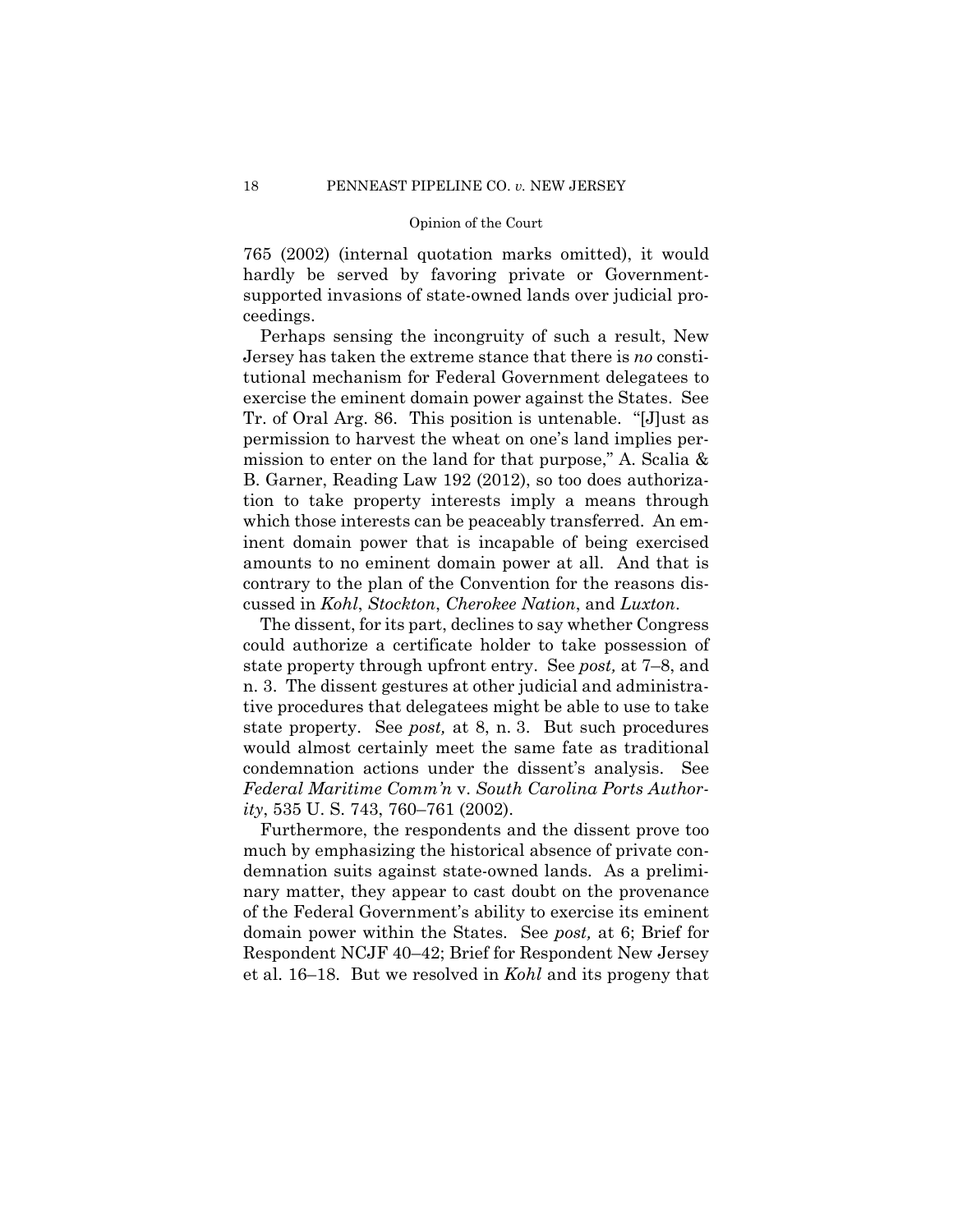765 (2002) (internal quotation marks omitted), it would hardly be served by favoring private or Governmentsupported invasions of state-owned lands over judicial proceedings.

Perhaps sensing the incongruity of such a result, New Jersey has taken the extreme stance that there is *no* constitutional mechanism for Federal Government delegatees to exercise the eminent domain power against the States. See Tr. of Oral Arg. 86. This position is untenable. "[J]ust as permission to harvest the wheat on one's land implies permission to enter on the land for that purpose," A. Scalia & B. Garner, Reading Law 192 (2012), so too does authorization to take property interests imply a means through which those interests can be peaceably transferred. An eminent domain power that is incapable of being exercised amounts to no eminent domain power at all. And that is contrary to the plan of the Convention for the reasons discussed in *Kohl*, *Stockton*, *Cherokee Nation*, and *Luxton*.

The dissent, for its part, declines to say whether Congress could authorize a certificate holder to take possession of state property through upfront entry. See *post,* at 7–8, and n. 3. The dissent gestures at other judicial and administrative procedures that delegatees might be able to use to take state property. See *post,* at 8, n. 3. But such procedures would almost certainly meet the same fate as traditional condemnation actions under the dissent's analysis. See *Federal Maritime Comm'n* v. *South Carolina Ports Authority*, 535 U. S. 743, 760–761 (2002).

Furthermore, the respondents and the dissent prove too much by emphasizing the historical absence of private condemnation suits against state-owned lands. As a preliminary matter, they appear to cast doubt on the provenance of the Federal Government's ability to exercise its eminent domain power within the States. See *post,* at 6; Brief for Respondent NCJF 40–42; Brief for Respondent New Jersey et al. 16–18. But we resolved in *Kohl* and its progeny that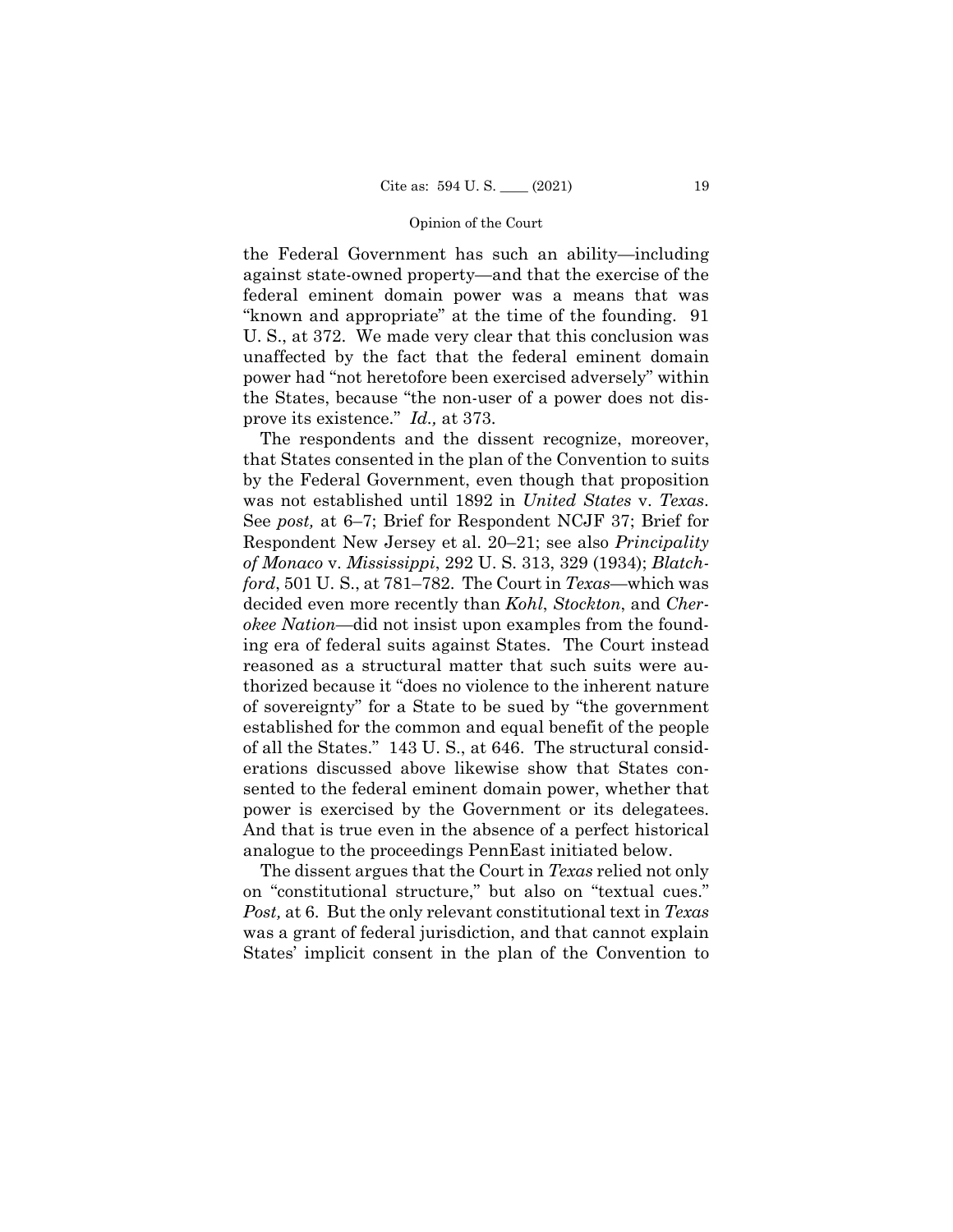the Federal Government has such an ability—including against state-owned property—and that the exercise of the federal eminent domain power was a means that was "known and appropriate" at the time of the founding. 91 U. S., at 372. We made very clear that this conclusion was unaffected by the fact that the federal eminent domain power had "not heretofore been exercised adversely" within the States, because "the non-user of a power does not disprove its existence." *Id.,* at 373.

The respondents and the dissent recognize, moreover, that States consented in the plan of the Convention to suits by the Federal Government, even though that proposition was not established until 1892 in *United States* v. *Texas*. See *post,* at 6–7; Brief for Respondent NCJF 37; Brief for Respondent New Jersey et al. 20–21; see also *Principality of Monaco* v. *Mississippi*, 292 U. S. 313, 329 (1934); *Blatchford*, 501 U. S., at 781–782. The Court in *Texas*—which was decided even more recently than *Kohl*, *Stockton*, and *Cherokee Nation*—did not insist upon examples from the founding era of federal suits against States. The Court instead reasoned as a structural matter that such suits were authorized because it "does no violence to the inherent nature of sovereignty" for a State to be sued by "the government established for the common and equal benefit of the people of all the States." 143 U. S., at 646. The structural considerations discussed above likewise show that States consented to the federal eminent domain power, whether that power is exercised by the Government or its delegatees. And that is true even in the absence of a perfect historical analogue to the proceedings PennEast initiated below.

The dissent argues that the Court in *Texas* relied not only on "constitutional structure," but also on "textual cues." *Post,* at 6. But the only relevant constitutional text in *Texas*  was a grant of federal jurisdiction, and that cannot explain States' implicit consent in the plan of the Convention to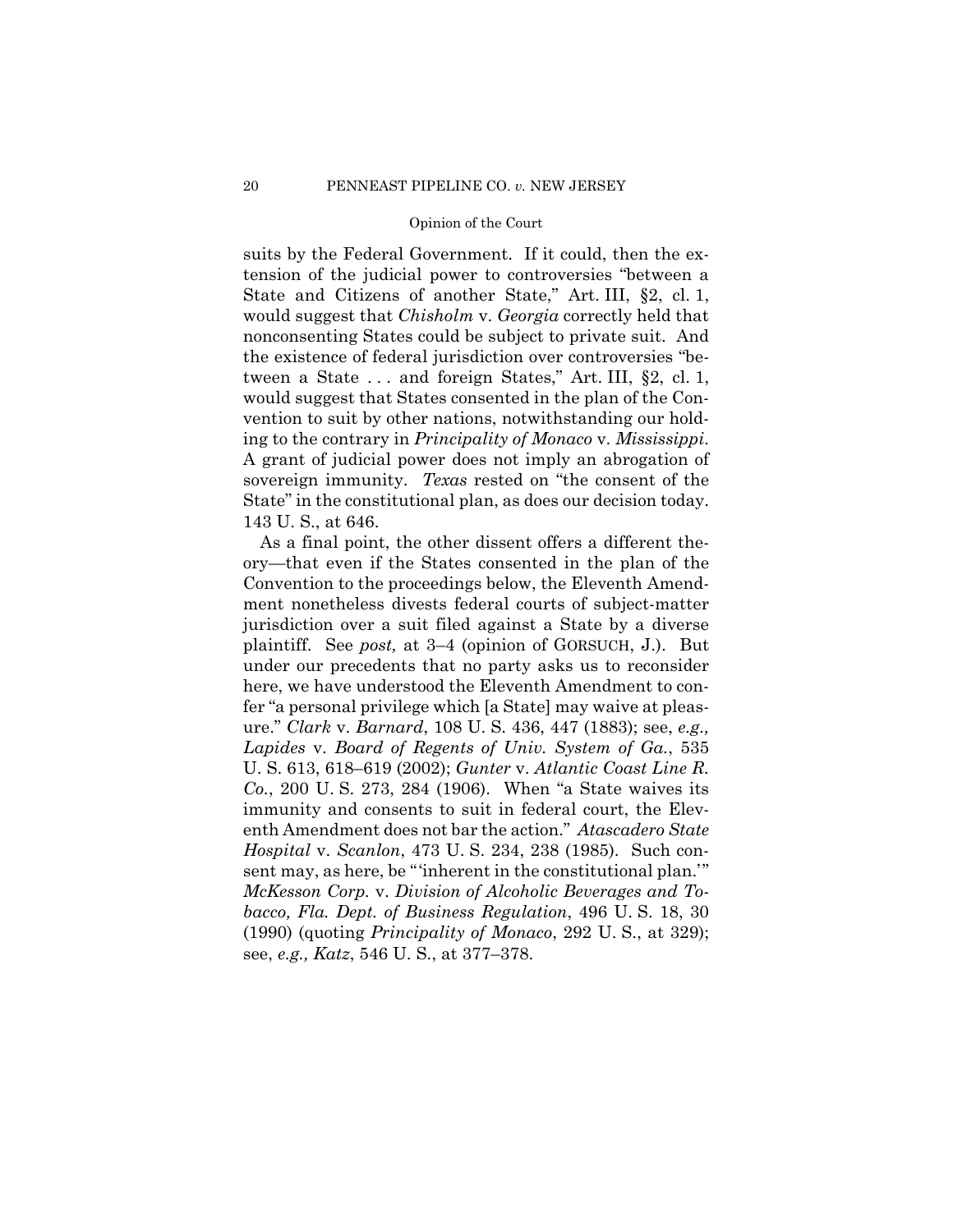suits by the Federal Government. If it could, then the extension of the judicial power to controversies "between a State and Citizens of another State," Art. III, §2, cl. 1, would suggest that *Chisholm* v. *Georgia* correctly held that nonconsenting States could be subject to private suit. And the existence of federal jurisdiction over controversies "between a State . . . and foreign States," Art. III, §2, cl. 1, would suggest that States consented in the plan of the Convention to suit by other nations, notwithstanding our holding to the contrary in *Principality of Monaco* v. *Mississippi*. A grant of judicial power does not imply an abrogation of sovereign immunity. *Texas* rested on "the consent of the State" in the constitutional plan, as does our decision today. 143 U. S., at 646.

As a final point, the other dissent offers a different theory—that even if the States consented in the plan of the Convention to the proceedings below, the Eleventh Amendment nonetheless divests federal courts of subject-matter jurisdiction over a suit filed against a State by a diverse plaintiff. See *post,* at 3–4 (opinion of GORSUCH, J.). But under our precedents that no party asks us to reconsider here, we have understood the Eleventh Amendment to confer "a personal privilege which [a State] may waive at pleasure." *Clark* v. *Barnard*, 108 U. S. 436, 447 (1883); see, *e.g., Lapides* v. *Board of Regents of Univ. System of Ga.*, 535 U. S. 613, 618–619 (2002); *Gunter* v. *Atlantic Coast Line R. Co.*, 200 U. S. 273, 284 (1906). When "a State waives its immunity and consents to suit in federal court, the Eleventh Amendment does not bar the action." *Atascadero State Hospital* v. *Scanlon*, 473 U. S. 234, 238 (1985). Such consent may, as here, be "'inherent in the constitutional plan.'" *McKesson Corp.* v. *Division of Alcoholic Beverages and Tobacco, Fla. Dept. of Business Regulation*, 496 U. S. 18, 30 (1990) (quoting *Principality of Monaco*, 292 U. S., at 329); see, *e.g., Katz*, 546 U. S., at 377–378.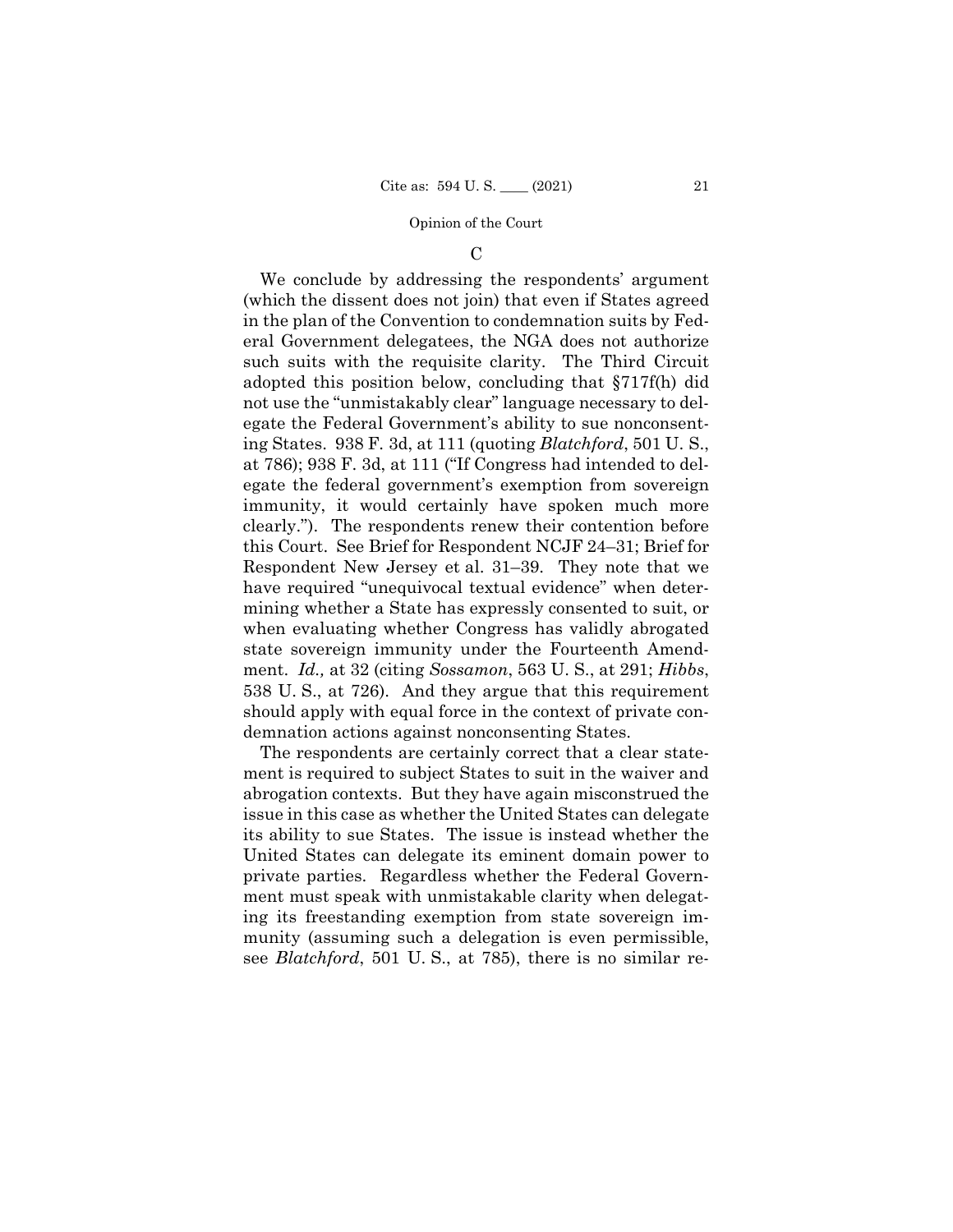#### $\mathcal{C}$

We conclude by addressing the respondents' argument (which the dissent does not join) that even if States agreed in the plan of the Convention to condemnation suits by Federal Government delegatees, the NGA does not authorize such suits with the requisite clarity. The Third Circuit adopted this position below, concluding that §717f(h) did not use the "unmistakably clear" language necessary to delegate the Federal Government's ability to sue nonconsenting States. 938 F. 3d, at 111 (quoting *Blatchford*, 501 U. S., at 786); 938 F. 3d, at 111 ("If Congress had intended to delegate the federal government's exemption from sovereign immunity, it would certainly have spoken much more clearly."). The respondents renew their contention before this Court. See Brief for Respondent NCJF 24–31; Brief for Respondent New Jersey et al. 31–39. They note that we have required "unequivocal textual evidence" when determining whether a State has expressly consented to suit, or when evaluating whether Congress has validly abrogated state sovereign immunity under the Fourteenth Amendment. *Id.,* at 32 (citing *Sossamon*, 563 U. S., at 291; *Hibbs*, 538 U. S., at 726). And they argue that this requirement should apply with equal force in the context of private condemnation actions against nonconsenting States.

The respondents are certainly correct that a clear statement is required to subject States to suit in the waiver and abrogation contexts. But they have again misconstrued the issue in this case as whether the United States can delegate its ability to sue States. The issue is instead whether the United States can delegate its eminent domain power to private parties. Regardless whether the Federal Government must speak with unmistakable clarity when delegating its freestanding exemption from state sovereign immunity (assuming such a delegation is even permissible, see *Blatchford*, 501 U. S., at 785), there is no similar re-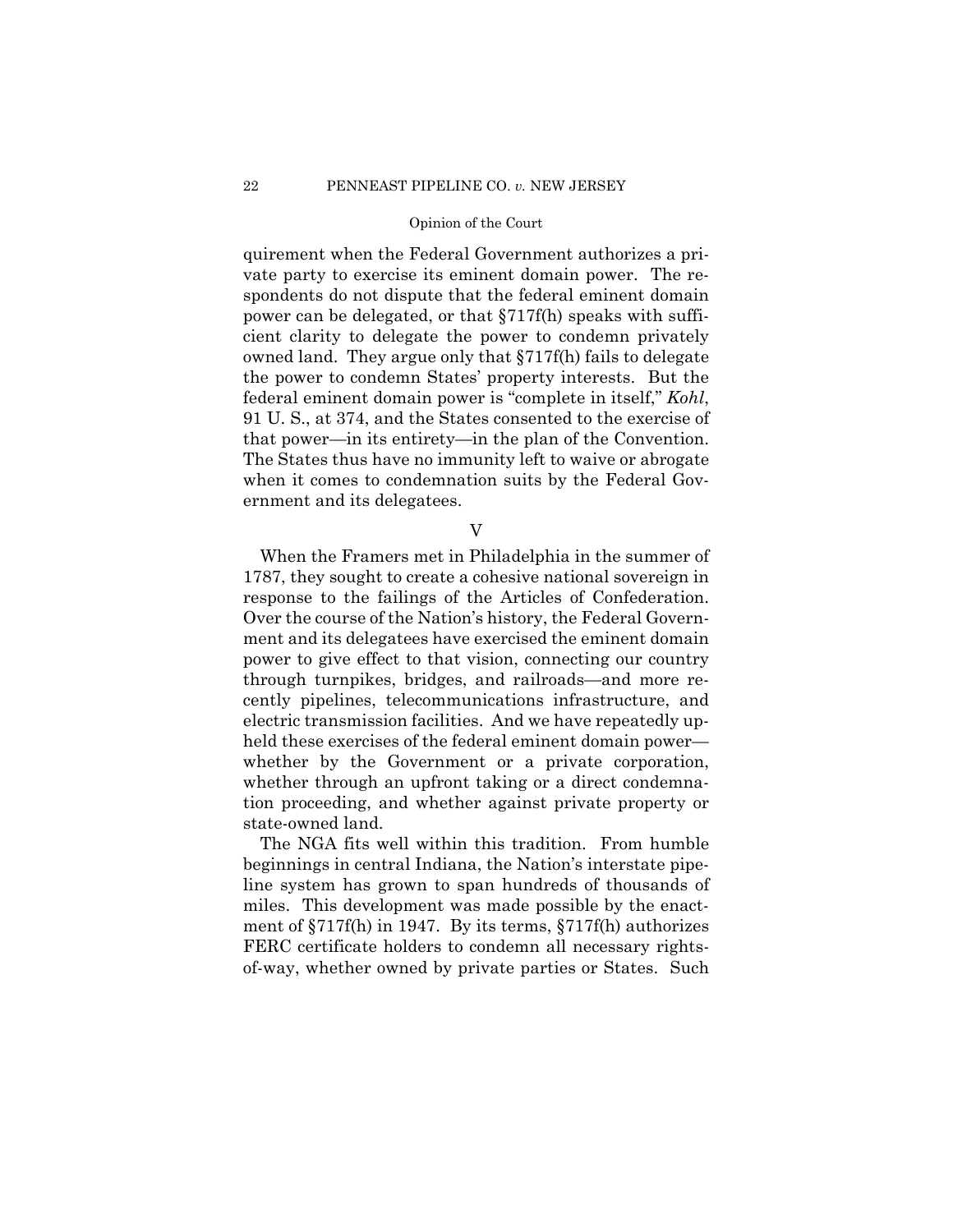that power—in its entirety—in the plan of the Convention. quirement when the Federal Government authorizes a private party to exercise its eminent domain power. The respondents do not dispute that the federal eminent domain power can be delegated, or that §717f(h) speaks with sufficient clarity to delegate the power to condemn privately owned land. They argue only that §717f(h) fails to delegate the power to condemn States' property interests. But the federal eminent domain power is "complete in itself," *Kohl*, 91 U. S., at 374, and the States consented to the exercise of The States thus have no immunity left to waive or abrogate when it comes to condemnation suits by the Federal Government and its delegatees.

V

When the Framers met in Philadelphia in the summer of 1787, they sought to create a cohesive national sovereign in response to the failings of the Articles of Confederation. Over the course of the Nation's history, the Federal Government and its delegatees have exercised the eminent domain power to give effect to that vision, connecting our country through turnpikes, bridges, and railroads—and more recently pipelines, telecommunications infrastructure, and electric transmission facilities. And we have repeatedly upheld these exercises of the federal eminent domain power whether by the Government or a private corporation, whether through an upfront taking or a direct condemnation proceeding, and whether against private property or state-owned land.

The NGA fits well within this tradition. From humble beginnings in central Indiana, the Nation's interstate pipeline system has grown to span hundreds of thousands of miles. This development was made possible by the enactment of §717f(h) in 1947. By its terms, §717f(h) authorizes FERC certificate holders to condemn all necessary rightsof-way, whether owned by private parties or States. Such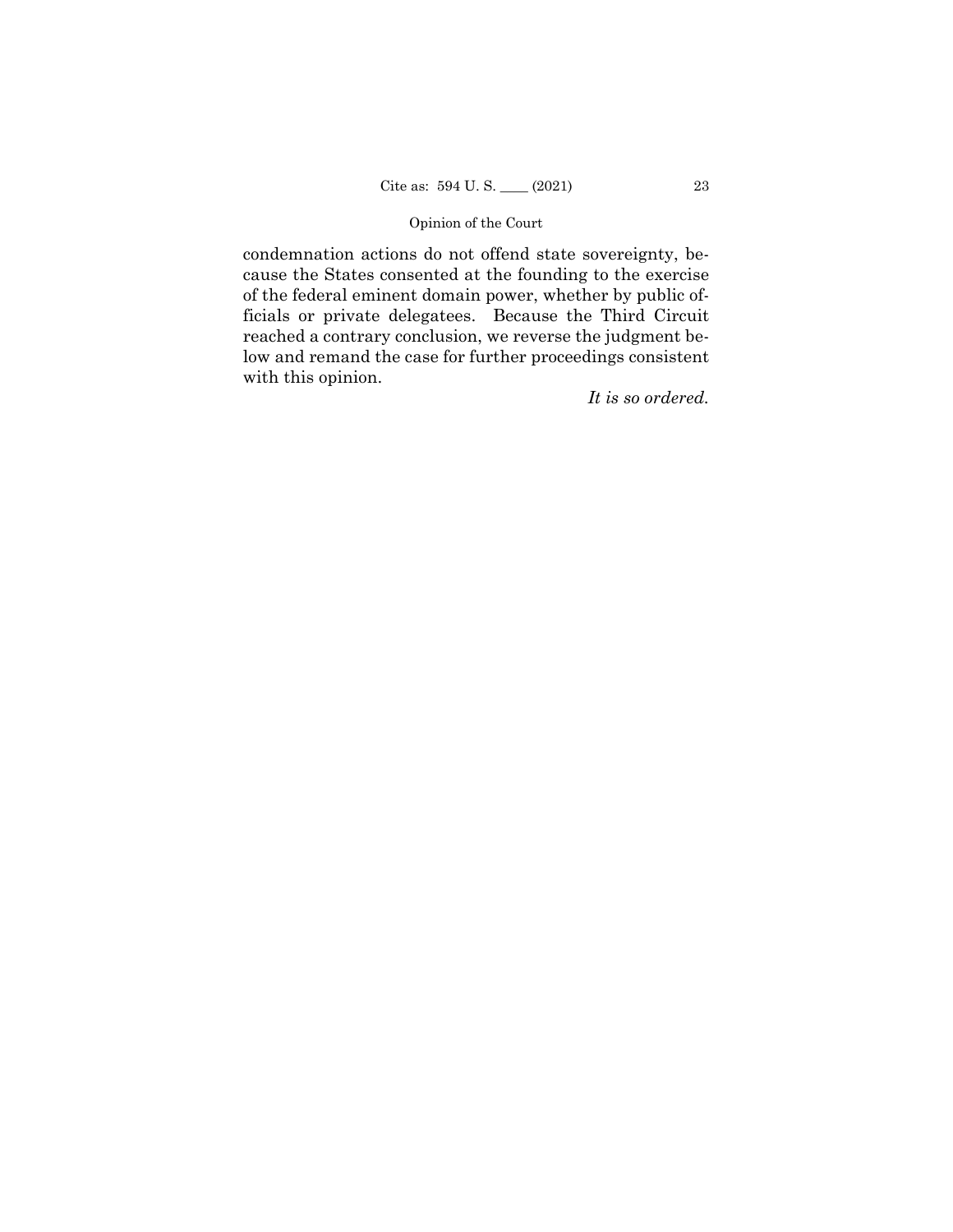condemnation actions do not offend state sovereignty, because the States consented at the founding to the exercise of the federal eminent domain power, whether by public officials or private delegatees. Because the Third Circuit reached a contrary conclusion, we reverse the judgment below and remand the case for further proceedings consistent with this opinion.

*It is so ordered.*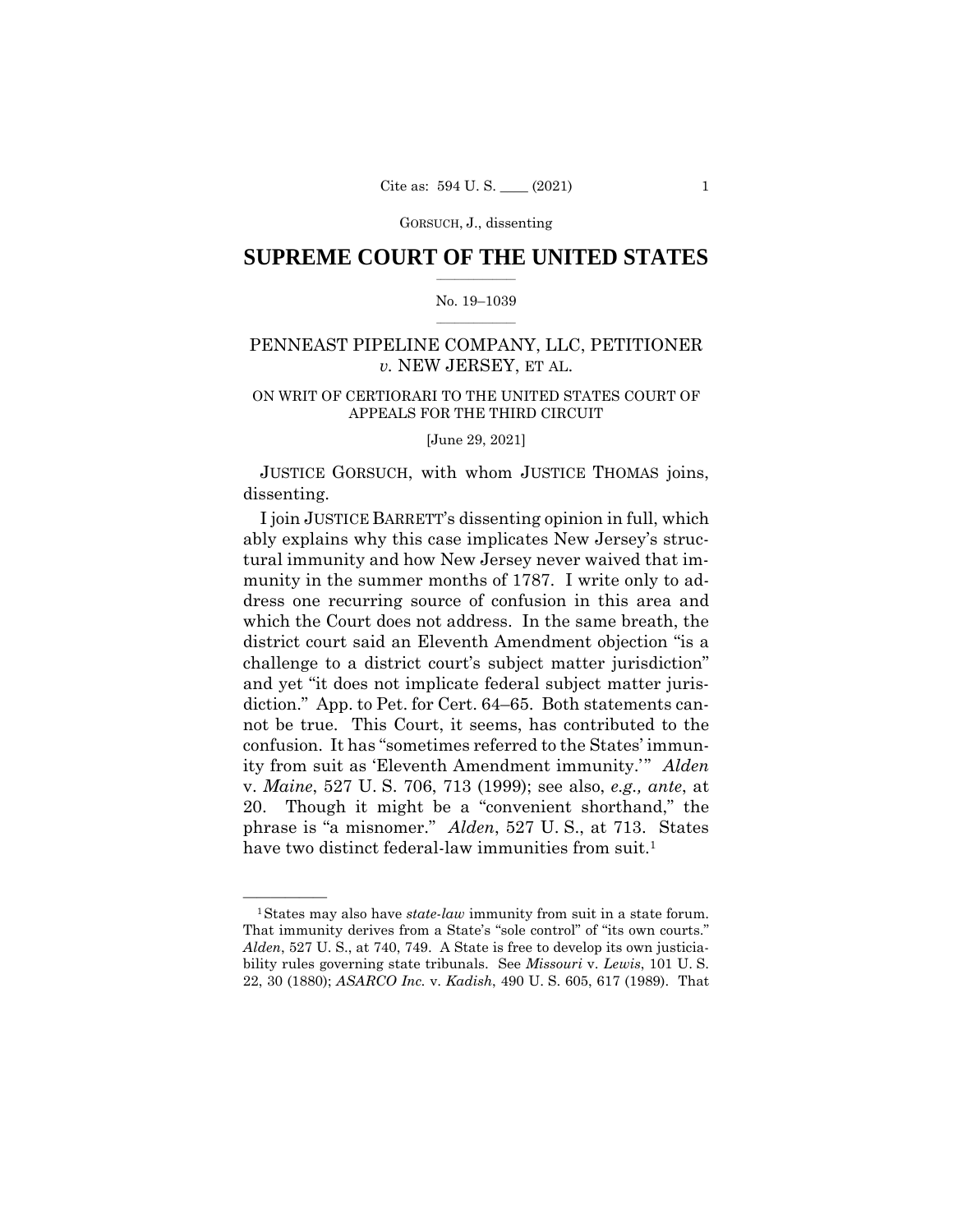## $\frac{1}{2}$  ,  $\frac{1}{2}$  ,  $\frac{1}{2}$  ,  $\frac{1}{2}$  ,  $\frac{1}{2}$  ,  $\frac{1}{2}$  ,  $\frac{1}{2}$ **SUPREME COURT OF THE UNITED STATES**

#### $\frac{1}{2}$  ,  $\frac{1}{2}$  ,  $\frac{1}{2}$  ,  $\frac{1}{2}$  ,  $\frac{1}{2}$  ,  $\frac{1}{2}$ No. 19–1039

# PENNEAST PIPELINE COMPANY, LLC, PETITIONER *v.* NEW JERSEY, ET AL.

# ON WRIT OF CERTIORARI TO THE UNITED STATES COURT OF APPEALS FOR THE THIRD CIRCUIT

[June 29, 2021]

JUSTICE GORSUCH, with whom JUSTICE THOMAS joins, dissenting.

 phrase is "a misnomer." *Alden*, 527 U. S., at 713. States I join JUSTICE BARRETT's dissenting opinion in full, which ably explains why this case implicates New Jersey's structural immunity and how New Jersey never waived that immunity in the summer months of 1787. I write only to address one recurring source of confusion in this area and which the Court does not address. In the same breath, the district court said an Eleventh Amendment objection "is a challenge to a district court's subject matter jurisdiction" and yet "it does not implicate federal subject matter jurisdiction." App. to Pet. for Cert. 64–65. Both statements cannot be true. This Court, it seems, has contributed to the confusion. It has "sometimes referred to the States' immunity from suit as 'Eleventh Amendment immunity.'" *Alden*  v. *Maine*, 527 U. S. 706, 713 (1999); see also, *e.g., ante*, at 20. Though it might be a "convenient shorthand," the have two distinct federal-law immunities from suit.<sup>1</sup>

<sup>&</sup>lt;sup>1</sup>States may also have *state-law* immunity from suit in a state forum. That immunity derives from a State's "sole control" of "its own courts." *Alden*, 527 U. S., at 740, 749. A State is free to develop its own justiciability rules governing state tribunals. See *Missouri* v. *Lewis*, 101 U. S. 22, 30 (1880); *ASARCO Inc.* v. *Kadish*, 490 U. S. 605, 617 (1989). That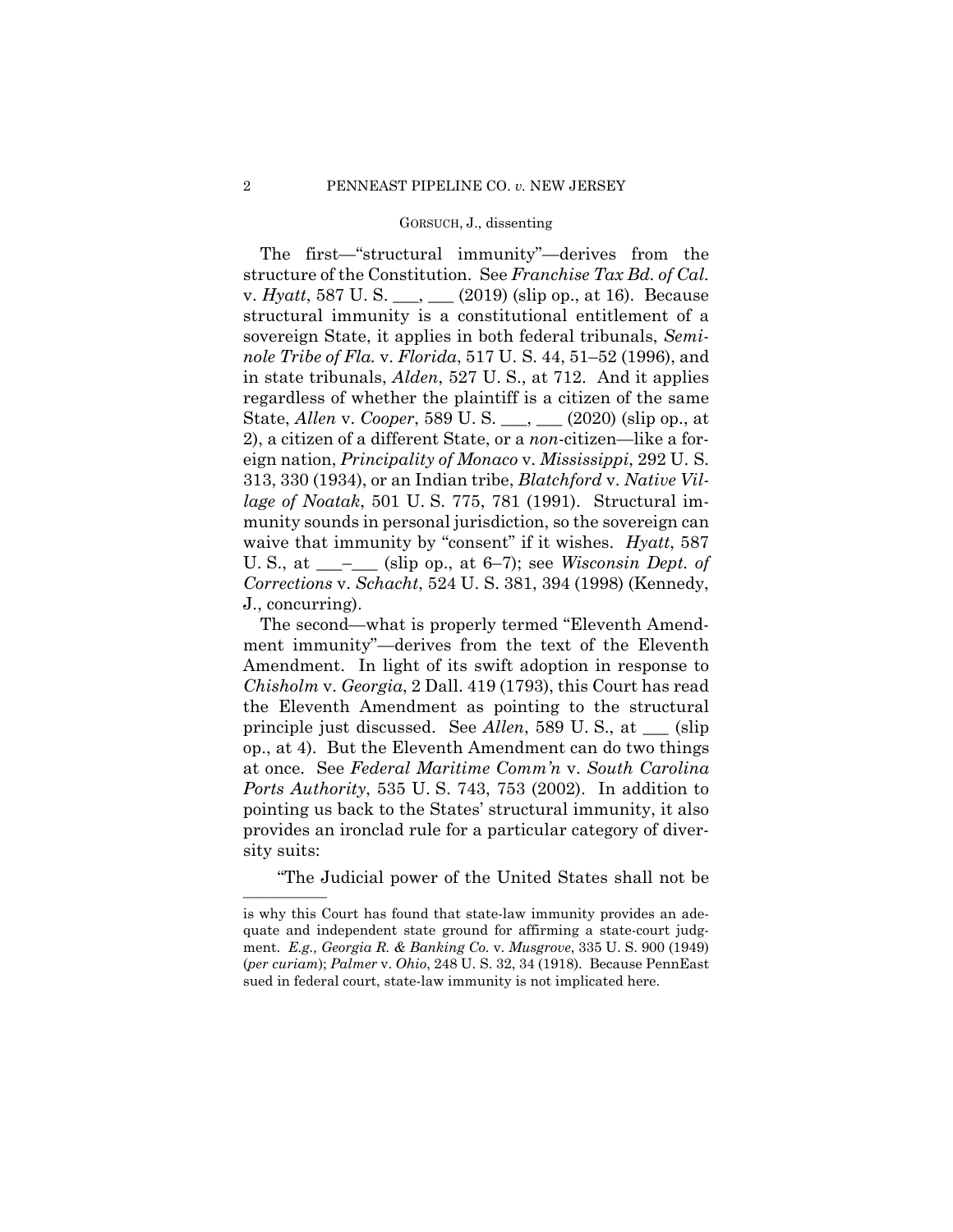The first—"structural immunity"—derives from the structure of the Constitution. See *Franchise Tax Bd. of Cal.*  v. *Hyatt*, 587 U. S. \_\_\_, \_\_\_ (2019) (slip op., at 16). Because structural immunity is a constitutional entitlement of a sovereign State, it applies in both federal tribunals, *Seminole Tribe of Fla.* v. *Florida*, 517 U. S. 44, 51–52 (1996), and in state tribunals, *Alden*, 527 U. S., at 712. And it applies regardless of whether the plaintiff is a citizen of the same State, *Allen* v. *Cooper*, 589 U. S. \_\_\_, \_\_\_ (2020) (slip op., at 2), a citizen of a different State, or a *non*-citizen—like a foreign nation, *Principality of Monaco* v. *Mississippi*, 292 U. S. 313, 330 (1934), or an Indian tribe, *Blatchford* v. *Native Village of Noatak*, 501 U. S. 775, 781 (1991). Structural immunity sounds in personal jurisdiction, so the sovereign can waive that immunity by "consent" if it wishes. *Hyatt*, 587 U. S., at \_\_\_–\_\_\_ (slip op., at 6–7); see *Wisconsin Dept. of Corrections* v. *Schacht*, 524 U. S. 381, 394 (1998) (Kennedy, J., concurring).

The second—what is properly termed "Eleventh Amendment immunity"—derives from the text of the Eleventh Amendment. In light of its swift adoption in response to *Chisholm* v. *Georgia*, 2 Dall. 419 (1793), this Court has read the Eleventh Amendment as pointing to the structural principle just discussed. See *Allen*, 589 U. S., at \_\_\_ (slip op., at 4). But the Eleventh Amendment can do two things at once. See *Federal Maritime Comm'n* v. *South Carolina Ports Authority*, 535 U. S. 743, 753 (2002). In addition to pointing us back to the States' structural immunity, it also provides an ironclad rule for a particular category of diversity suits:

"The Judicial power of the United States shall not be

——————

is why this Court has found that state-law immunity provides an adequate and independent state ground for affirming a state-court judgment. *E.g., Georgia R. & Banking Co.* v. *Musgrove*, 335 U. S. 900 (1949) (*per curiam*); *Palmer* v. *Ohio*, 248 U. S. 32, 34 (1918). Because PennEast sued in federal court, state-law immunity is not implicated here.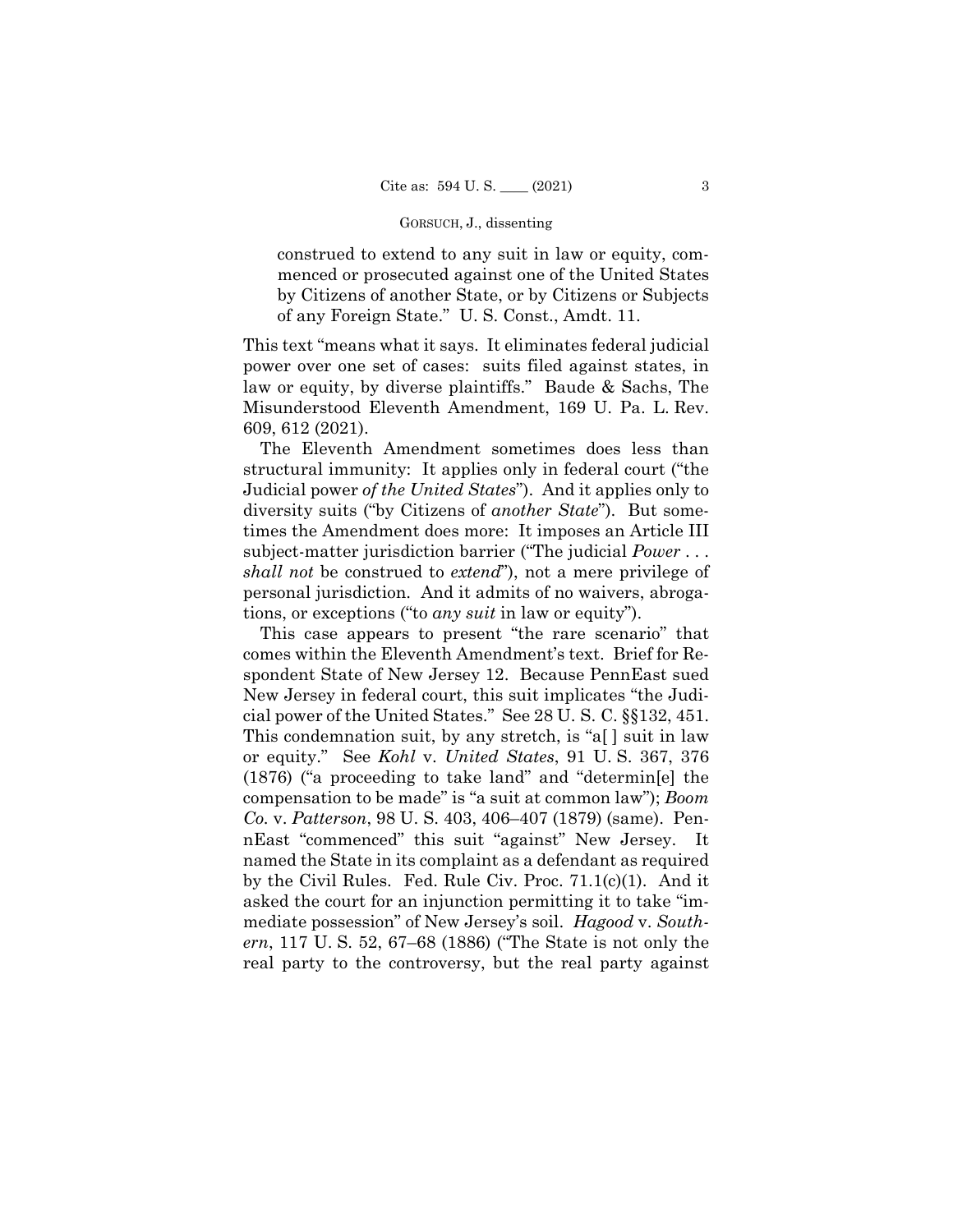construed to extend to any suit in law or equity, commenced or prosecuted against one of the United States by Citizens of another State, or by Citizens or Subjects of any Foreign State." U. S. Const., Amdt. 11.

This text "means what it says. It eliminates federal judicial power over one set of cases: suits filed against states, in law or equity, by diverse plaintiffs." Baude & Sachs, The Misunderstood Eleventh Amendment, 169 U. Pa. L. Rev. 609, 612 (2021).

 times the Amendment does more: It imposes an Article III The Eleventh Amendment sometimes does less than structural immunity: It applies only in federal court ("the Judicial power *of the United States*"). And it applies only to diversity suits ("by Citizens of *another State*"). But somesubject-matter jurisdiction barrier ("The judicial *Power* . . . *shall not* be construed to *extend*"), not a mere privilege of personal jurisdiction. And it admits of no waivers, abrogations, or exceptions ("to *any suit* in law or equity").

This case appears to present "the rare scenario" that comes within the Eleventh Amendment's text. Brief for Respondent State of New Jersey 12. Because PennEast sued New Jersey in federal court, this suit implicates "the Judicial power of the United States." See 28 U. S. C. §§132, 451. This condemnation suit, by any stretch, is "a[ ] suit in law or equity." See *Kohl* v. *United States*, 91 U. S. 367, 376 (1876) ("a proceeding to take land" and "determin[e] the compensation to be made" is "a suit at common law"); *Boom Co.* v. *Patterson*, 98 U. S. 403, 406–407 (1879) (same). PennEast "commenced" this suit "against" New Jersey. It named the State in its complaint as a defendant as required by the Civil Rules. Fed. Rule Civ. Proc. 71.1(c)(1). And it asked the court for an injunction permitting it to take "immediate possession" of New Jersey's soil. *Hagood* v. *Southern*, 117 U. S. 52, 67–68 (1886) ("The State is not only the real party to the controversy, but the real party against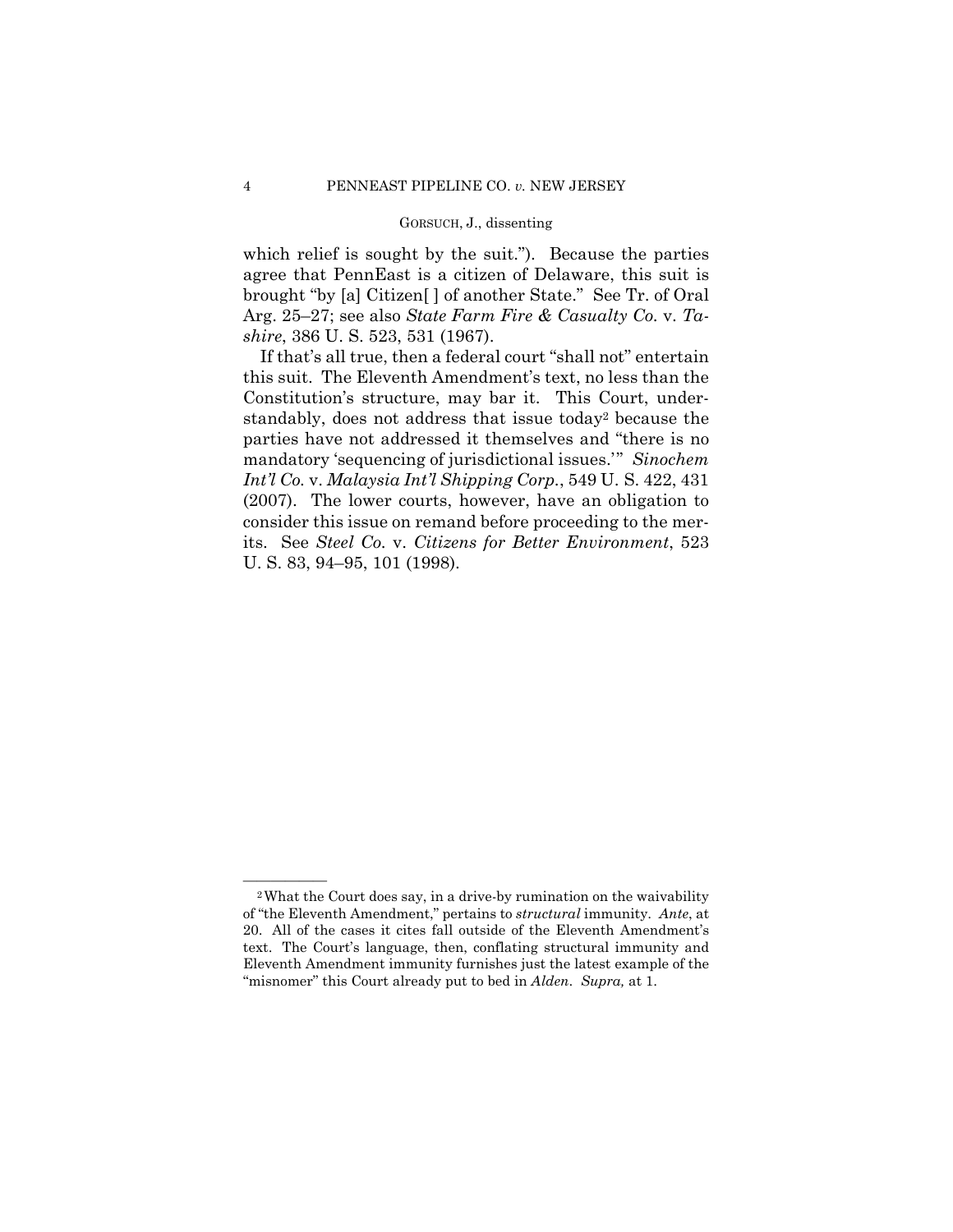which relief is sought by the suit."). Because the parties agree that PennEast is a citizen of Delaware, this suit is brought "by [a] Citizen[ ] of another State." See Tr. of Oral Arg. 25–27; see also *State Farm Fire & Casualty Co.* v. *Tashire*, 386 U. S. 523, 531 (1967).

If that's all true, then a federal court "shall not" entertain this suit. The Eleventh Amendment's text, no less than the Constitution's structure, may bar it. This Court, understandably, does not address that issue today2 because the parties have not addressed it themselves and "there is no mandatory 'sequencing of jurisdictional issues.'" *Sinochem Int'l Co.* v. *Malaysia Int'l Shipping Corp.*, 549 U. S. 422, 431 (2007). The lower courts, however, have an obligation to consider this issue on remand before proceeding to the merits. See *Steel Co.* v. *Citizens for Better Environment*, 523 U. S. 83, 94–95, 101 (1998).

<sup>&</sup>lt;sup>2</sup>What the Court does say, in a drive-by rumination on the waivability of "the Eleventh Amendment," pertains to *structural* immunity. *Ante*, at 20. All of the cases it cites fall outside of the Eleventh Amendment's text. The Court's language, then, conflating structural immunity and Eleventh Amendment immunity furnishes just the latest example of the "misnomer" this Court already put to bed in *Alden*. *Supra,* at 1.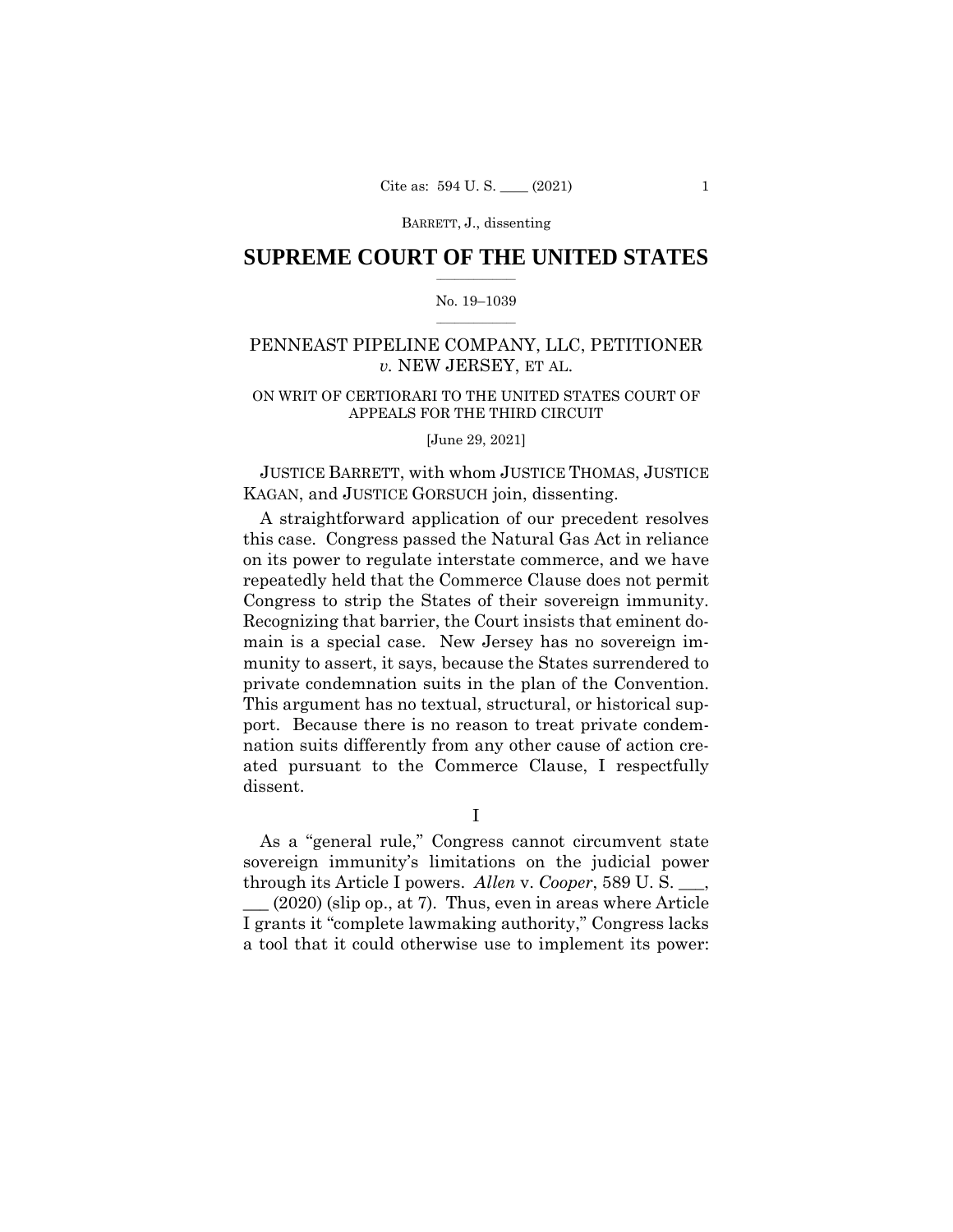## $\frac{1}{2}$  ,  $\frac{1}{2}$  ,  $\frac{1}{2}$  ,  $\frac{1}{2}$  ,  $\frac{1}{2}$  ,  $\frac{1}{2}$  ,  $\frac{1}{2}$ **SUPREME COURT OF THE UNITED STATES**

#### $\frac{1}{2}$  ,  $\frac{1}{2}$  ,  $\frac{1}{2}$  ,  $\frac{1}{2}$  ,  $\frac{1}{2}$  ,  $\frac{1}{2}$ No. 19–1039

# PENNEAST PIPELINE COMPANY, LLC, PETITIONER *v.* NEW JERSEY, ET AL.

# ON WRIT OF CERTIORARI TO THE UNITED STATES COURT OF APPEALS FOR THE THIRD CIRCUIT

[June 29, 2021]

JUSTICE BARRETT, with whom JUSTICE THOMAS, JUSTICE KAGAN, and JUSTICE GORSUCH join, dissenting.

 Congress to strip the States of their sovereign immunity. A straightforward application of our precedent resolves this case. Congress passed the Natural Gas Act in reliance on its power to regulate interstate commerce, and we have repeatedly held that the Commerce Clause does not permit Recognizing that barrier, the Court insists that eminent domain is a special case. New Jersey has no sovereign immunity to assert, it says, because the States surrendered to private condemnation suits in the plan of the Convention. This argument has no textual, structural, or historical support. Because there is no reason to treat private condemnation suits differently from any other cause of action created pursuant to the Commerce Clause, I respectfully dissent.

I

As a "general rule," Congress cannot circumvent state sovereign immunity's limitations on the judicial power through its Article I powers. *Allen* v. *Cooper*, 589 U. S. \_\_\_, \_\_\_ (2020) (slip op., at 7). Thus, even in areas where Article I grants it "complete lawmaking authority," Congress lacks a tool that it could otherwise use to implement its power: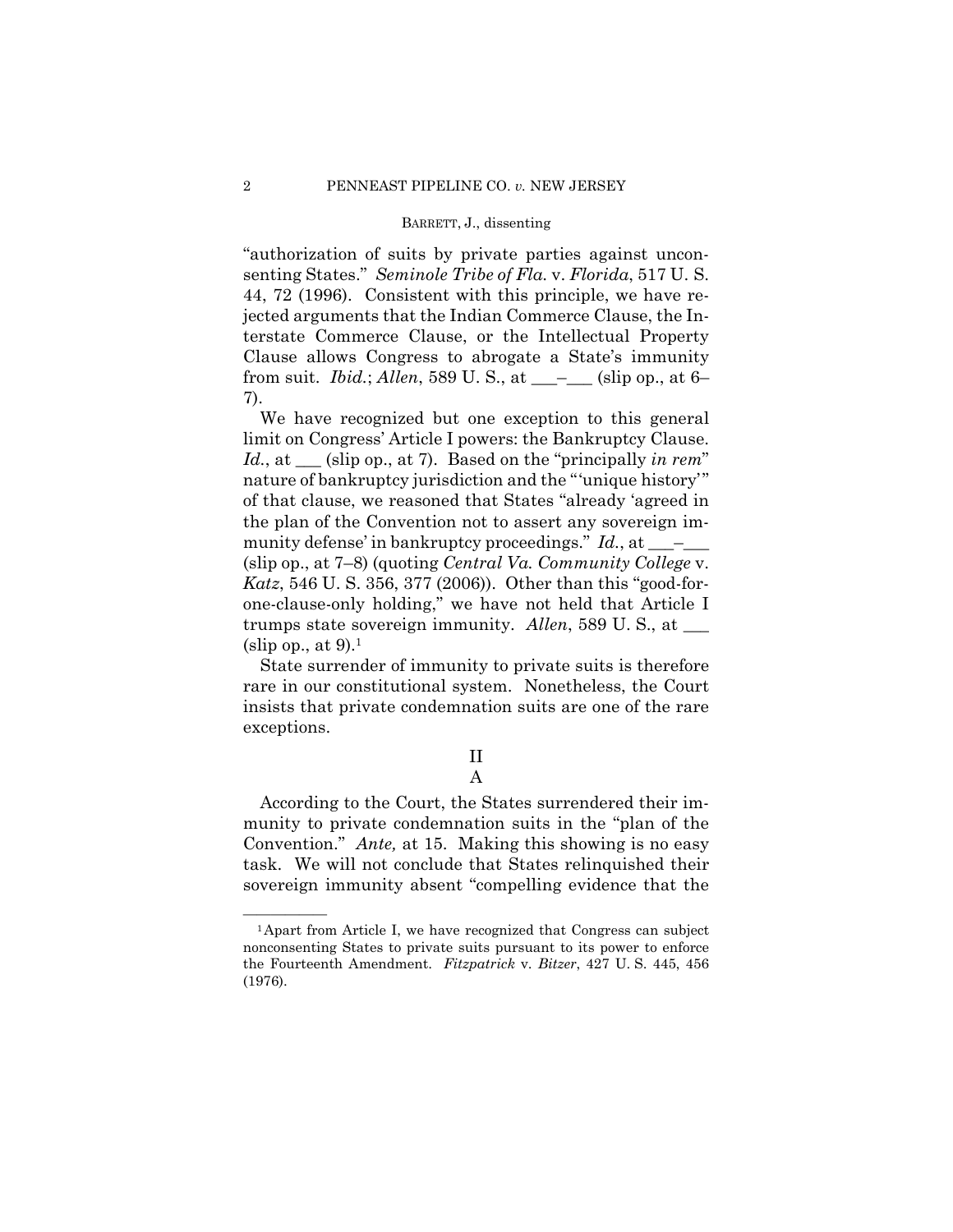"authorization of suits by private parties against unconsenting States." *Seminole Tribe of Fla.* v. *Florida*, 517 U. S. 44, 72 (1996). Consistent with this principle, we have rejected arguments that the Indian Commerce Clause, the Interstate Commerce Clause, or the Intellectual Property Clause allows Congress to abrogate a State's immunity from suit. *Ibid.*; *Allen*, 589 U. S., at \_\_\_–\_\_\_ (slip op., at 6– 7).

We have recognized but one exception to this general limit on Congress' Article I powers: the Bankruptcy Clause. *Id.*, at \_\_\_ (slip op., at 7). Based on the "principally *in rem*" nature of bankruptcy jurisdiction and the "'unique history'" of that clause, we reasoned that States "already 'agreed in the plan of the Convention not to assert any sovereign immunity defense' in bankruptcy proceedings." *Id.*, at \_\_\_\_ (slip op., at 7–8) (quoting *Central Va. Community College* v. *Katz*, 546 U. S. 356, 377 (2006)). Other than this "good-forone-clause-only holding," we have not held that Article I trumps state sovereign immunity. *Allen*, 589 U. S., at \_\_\_ (slip op., at  $9$ ).<sup>1</sup>

State surrender of immunity to private suits is therefore rare in our constitutional system. Nonetheless, the Court insists that private condemnation suits are one of the rare exceptions.

# II

# A

 Convention." *Ante,* at 15. Making this showing is no easy According to the Court, the States surrendered their immunity to private condemnation suits in the "plan of the task. We will not conclude that States relinquished their sovereign immunity absent "compelling evidence that the

 ${}^{1}$ Apart from Article I, we have recognized that Congress can subject nonconsenting States to private suits pursuant to its power to enforce the Fourteenth Amendment. *Fitzpatrick* v. *Bitzer*, 427 U. S. 445, 456 (1976).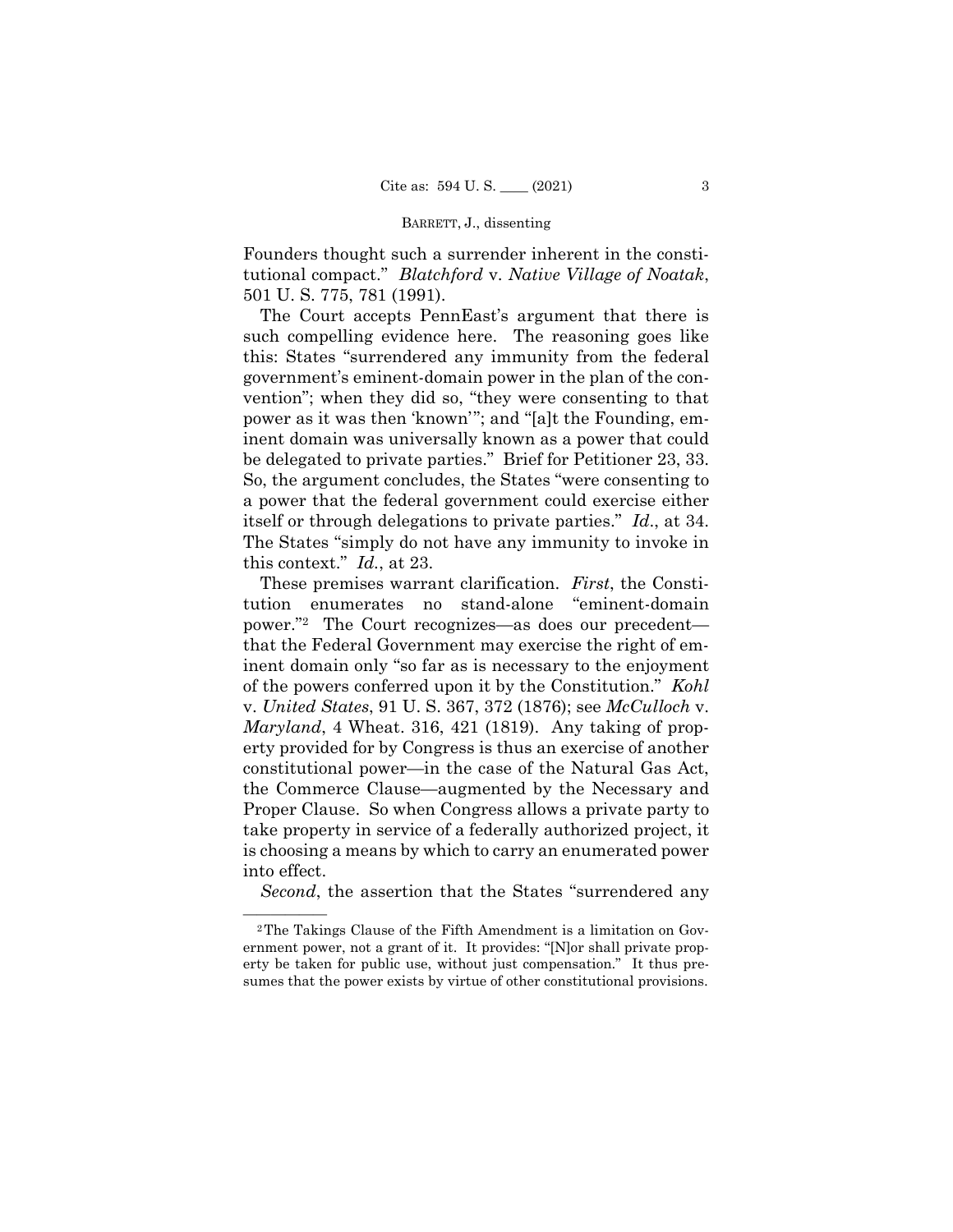Founders thought such a surrender inherent in the constitutional compact." *Blatchford* v. *Native Village of Noatak*, 501 U. S. 775, 781 (1991).

The Court accepts PennEast's argument that there is such compelling evidence here. The reasoning goes like this: States "surrendered any immunity from the federal government's eminent-domain power in the plan of the convention"; when they did so, "they were consenting to that power as it was then 'known'"; and "[a]t the Founding, eminent domain was universally known as a power that could be delegated to private parties." Brief for Petitioner 23, 33. So, the argument concludes, the States "were consenting to a power that the federal government could exercise either itself or through delegations to private parties." *Id*., at 34. The States "simply do not have any immunity to invoke in this context." *Id.*, at 23.

These premises warrant clarification. *First*, the Constitution enumerates no stand-alone "eminent-domain power."2 The Court recognizes—as does our precedent that the Federal Government may exercise the right of eminent domain only "so far as is necessary to the enjoyment of the powers conferred upon it by the Constitution." *Kohl*  v. *United States*, 91 U. S. 367, 372 (1876); see *McCulloch* v. *Maryland*, 4 Wheat. 316, 421 (1819). Any taking of property provided for by Congress is thus an exercise of another constitutional power—in the case of the Natural Gas Act, the Commerce Clause—augmented by the Necessary and Proper Clause. So when Congress allows a private party to take property in service of a federally authorized project, it is choosing a means by which to carry an enumerated power into effect.

*Second*, the assertion that the States "surrendered any

<sup>&</sup>lt;sup>2</sup>The Takings Clause of the Fifth Amendment is a limitation on Government power, not a grant of it. It provides: "[N]or shall private property be taken for public use, without just compensation." It thus presumes that the power exists by virtue of other constitutional provisions.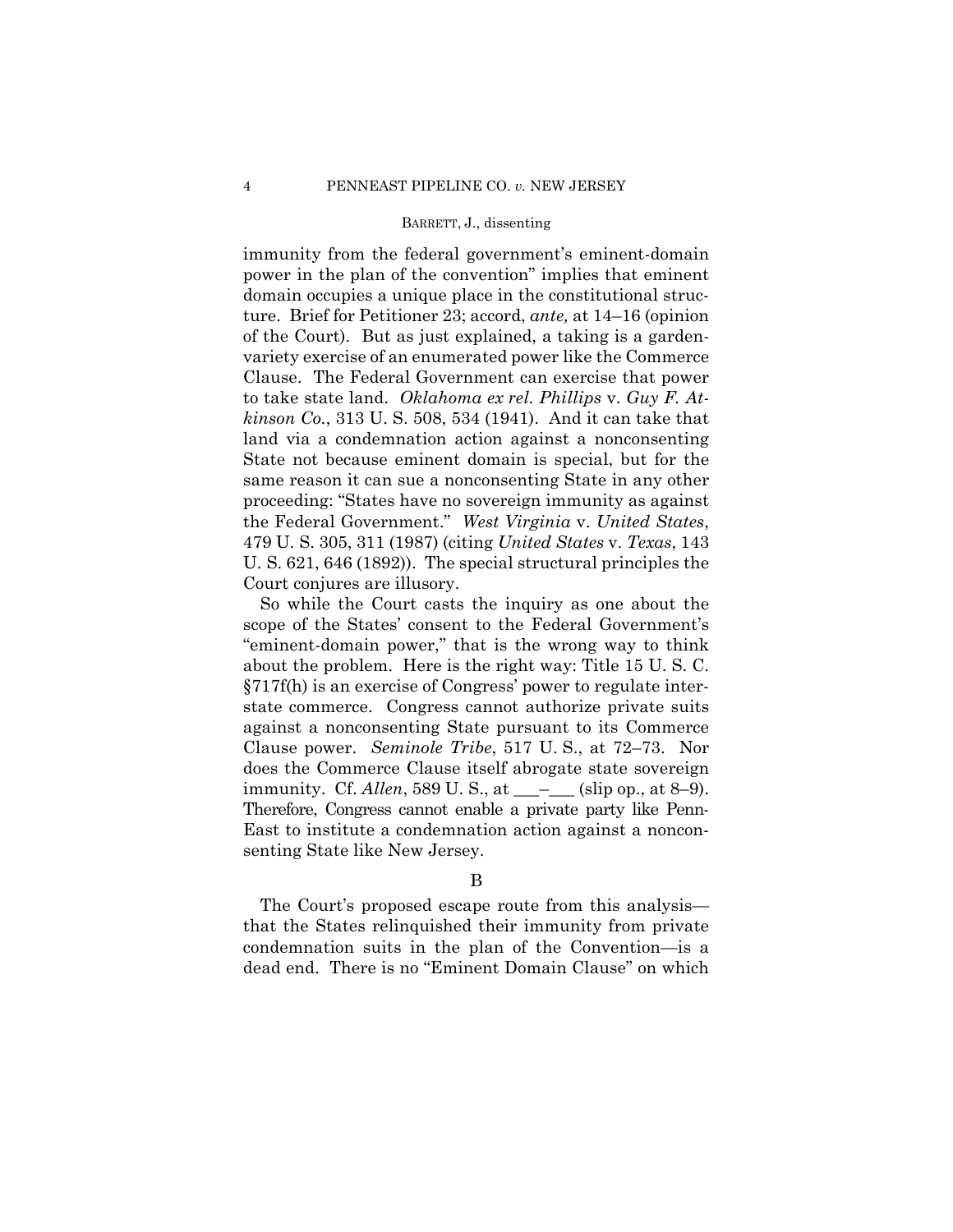immunity from the federal government's eminent-domain power in the plan of the convention" implies that eminent domain occupies a unique place in the constitutional structure. Brief for Petitioner 23; accord, *ante,* at 14–16 (opinion of the Court). But as just explained, a taking is a gardenvariety exercise of an enumerated power like the Commerce Clause. The Federal Government can exercise that power to take state land. *Oklahoma ex rel. Phillips* v. *Guy F. Atkinson Co.*, 313 U. S. 508, 534 (1941). And it can take that land via a condemnation action against a nonconsenting State not because eminent domain is special, but for the same reason it can sue a nonconsenting State in any other proceeding: "States have no sovereign immunity as against the Federal Government." *West Virginia* v. *United States*, 479 U. S. 305, 311 (1987) (citing *United States* v. *Texas*, 143 U. S. 621, 646 (1892)). The special structural principles the Court conjures are illusory.

immunity. Cf. *Allen*, 589 U. S., at \_\_\_<sup>\_</sup>\_\_\_ (slip op., at 8–9). Therefore, Congress cannot enable a private party like Penn-So while the Court casts the inquiry as one about the scope of the States' consent to the Federal Government's "eminent-domain power," that is the wrong way to think about the problem. Here is the right way: Title 15 U. S. C. §717f(h) is an exercise of Congress' power to regulate interstate commerce. Congress cannot authorize private suits against a nonconsenting State pursuant to its Commerce Clause power. *Seminole Tribe*, 517 U. S., at 72–73. Nor does the Commerce Clause itself abrogate state sovereign East to institute a condemnation action against a nonconsenting State like New Jersey.

The Court's proposed escape route from this analysis that the States relinquished their immunity from private condemnation suits in the plan of the Convention—is a dead end. There is no "Eminent Domain Clause" on which

B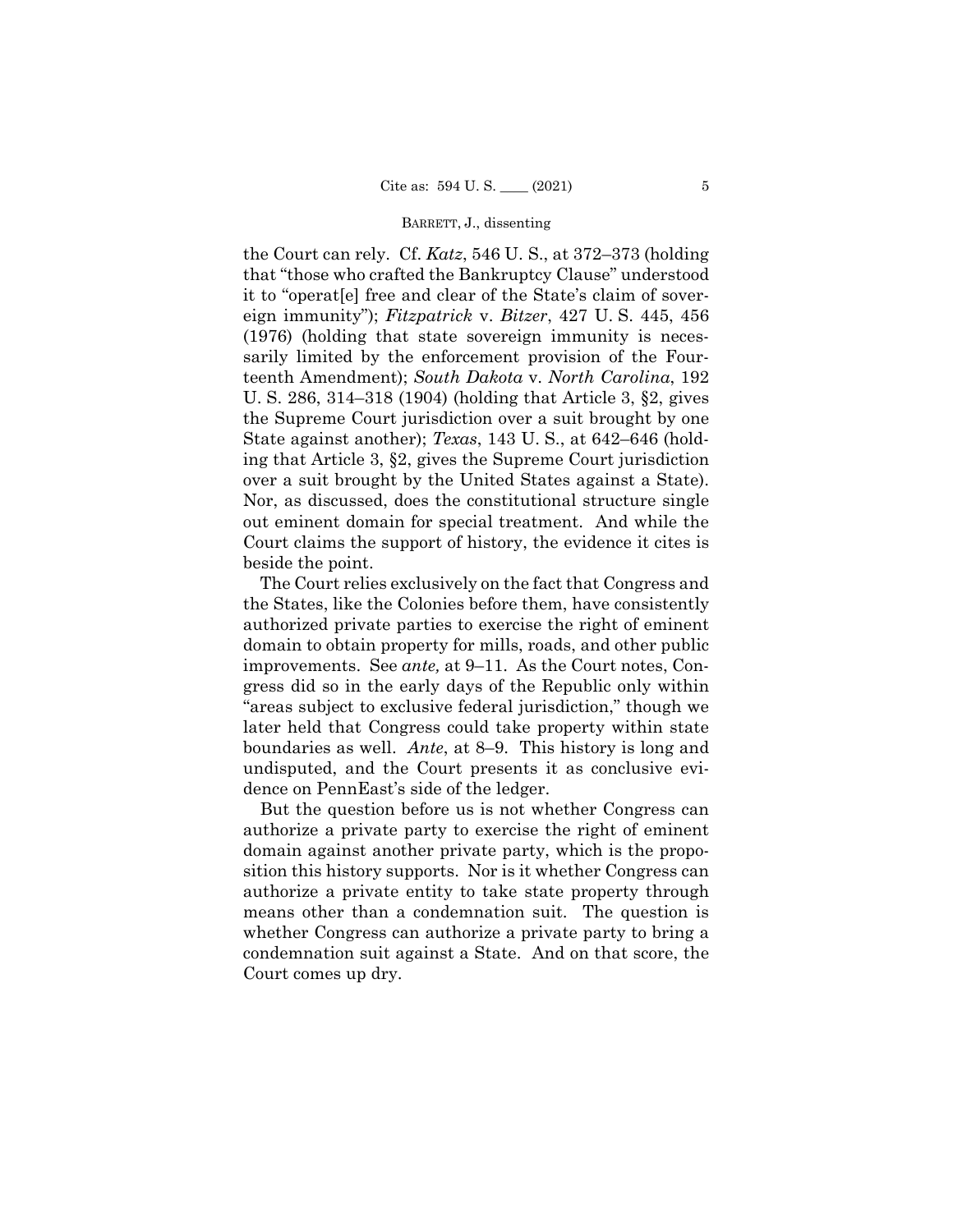eign immunity"); *Fitzpatrick* v. *Bitzer*, 427 U. S. 445, 456 (1976) (holding that state sovereign immunity is necesthe Court can rely. Cf. *Katz*, 546 U. S., at 372–373 (holding that "those who crafted the Bankruptcy Clause" understood it to "operat[e] free and clear of the State's claim of soversarily limited by the enforcement provision of the Fourteenth Amendment); *South Dakota* v. *North Carolina*, 192 U. S. 286, 314–318 (1904) (holding that Article 3, §2, gives the Supreme Court jurisdiction over a suit brought by one State against another); *Texas*, 143 U. S., at 642–646 (holding that Article 3, §2, gives the Supreme Court jurisdiction over a suit brought by the United States against a State). Nor, as discussed, does the constitutional structure single out eminent domain for special treatment. And while the Court claims the support of history, the evidence it cites is beside the point.

The Court relies exclusively on the fact that Congress and the States, like the Colonies before them, have consistently authorized private parties to exercise the right of eminent domain to obtain property for mills, roads, and other public improvements. See *ante,* at 9–11. As the Court notes, Congress did so in the early days of the Republic only within "areas subject to exclusive federal jurisdiction," though we later held that Congress could take property within state boundaries as well. *Ante*, at 8–9. This history is long and undisputed, and the Court presents it as conclusive evidence on PennEast's side of the ledger.

But the question before us is not whether Congress can authorize a private party to exercise the right of eminent domain against another private party, which is the proposition this history supports. Nor is it whether Congress can authorize a private entity to take state property through means other than a condemnation suit. The question is whether Congress can authorize a private party to bring a condemnation suit against a State. And on that score, the Court comes up dry.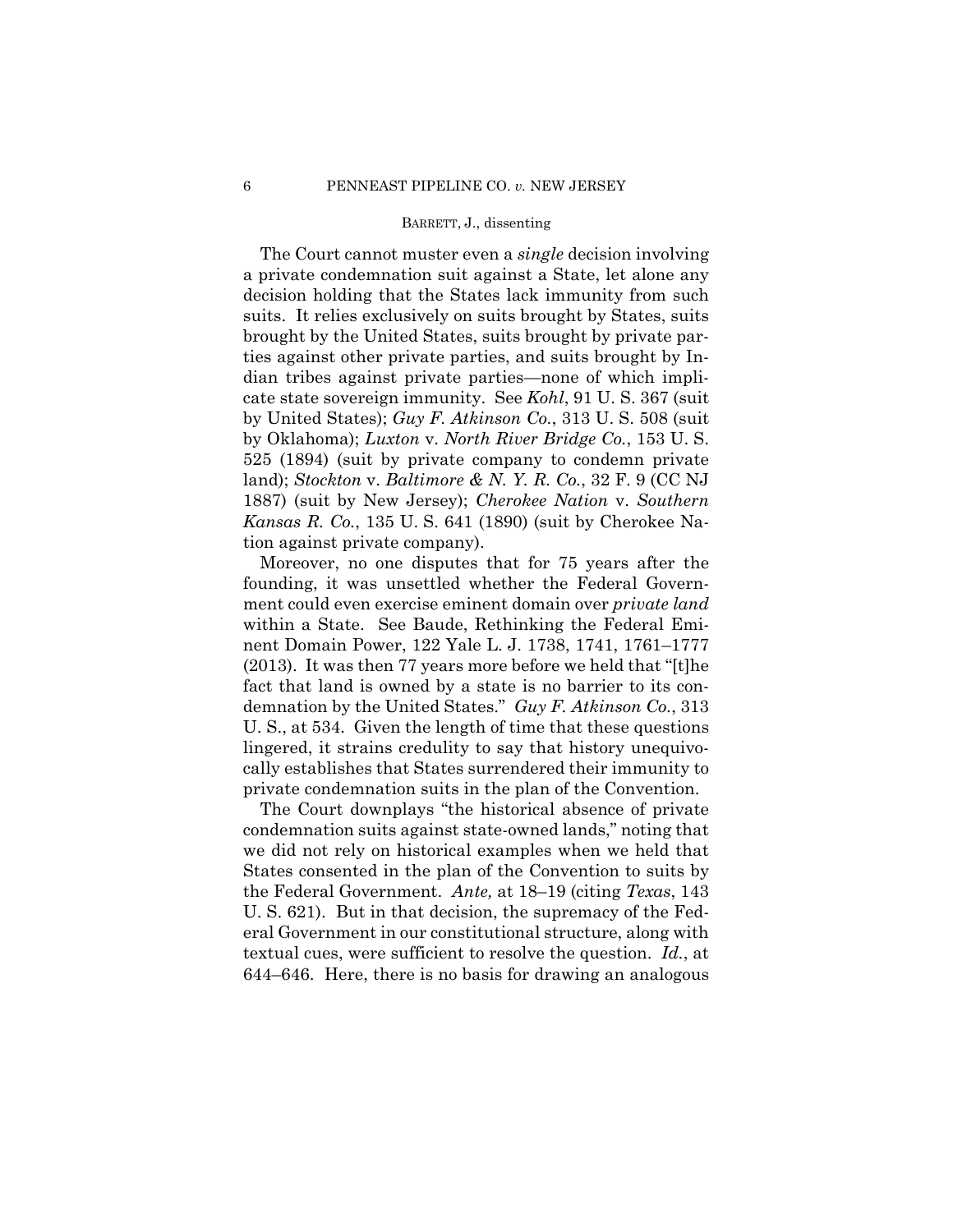The Court cannot muster even a *single* decision involving a private condemnation suit against a State, let alone any decision holding that the States lack immunity from such suits. It relies exclusively on suits brought by States, suits brought by the United States, suits brought by private parties against other private parties, and suits brought by Indian tribes against private parties—none of which implicate state sovereign immunity. See *Kohl*, 91 U. S. 367 (suit by United States); *Guy F. Atkinson Co.*, 313 U. S. 508 (suit by Oklahoma); *Luxton* v. *North River Bridge Co.*, 153 U. S. 525 (1894) (suit by private company to condemn private land); *Stockton* v. *Baltimore & N. Y. R. Co.*, 32 F. 9 (CC NJ 1887) (suit by New Jersey); *Cherokee Nation* v. *Southern Kansas R. Co.*, 135 U. S. 641 (1890) (suit by Cherokee Nation against private company).

Moreover, no one disputes that for 75 years after the founding, it was unsettled whether the Federal Government could even exercise eminent domain over *private land*  within a State. See Baude, Rethinking the Federal Eminent Domain Power, 122 Yale L. J. 1738, 1741, 1761–1777 (2013). It was then 77 years more before we held that "[t]he fact that land is owned by a state is no barrier to its condemnation by the United States." *Guy F. Atkinson Co.*, 313 U. S., at 534. Given the length of time that these questions lingered, it strains credulity to say that history unequivocally establishes that States surrendered their immunity to private condemnation suits in the plan of the Convention.

The Court downplays "the historical absence of private condemnation suits against state-owned lands," noting that we did not rely on historical examples when we held that States consented in the plan of the Convention to suits by the Federal Government. *Ante,* at 18–19 (citing *Texas*, 143 U. S. 621). But in that decision, the supremacy of the Federal Government in our constitutional structure, along with textual cues, were sufficient to resolve the question. *Id.*, at 644–646. Here, there is no basis for drawing an analogous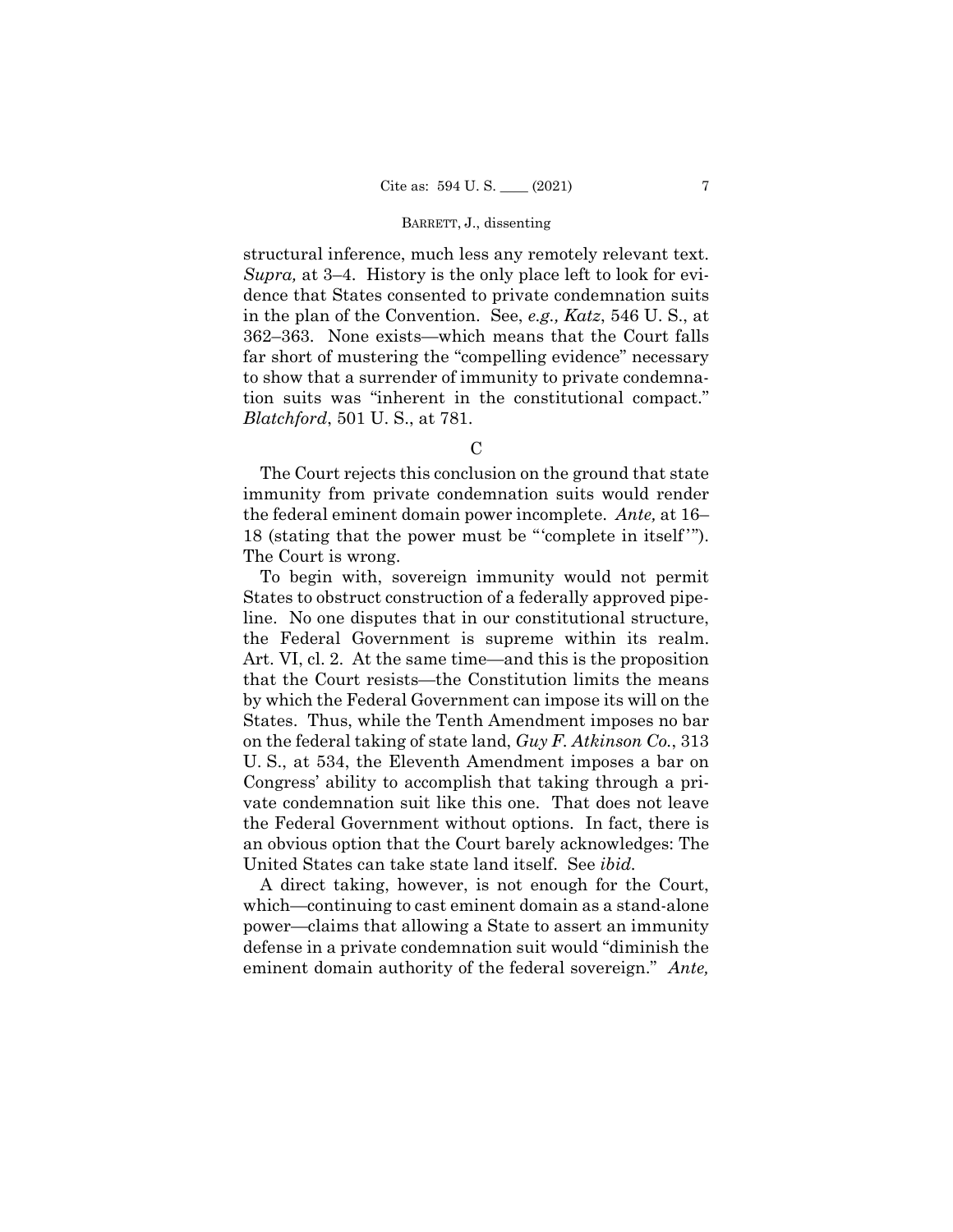structural inference, much less any remotely relevant text. *Supra,* at 3–4. History is the only place left to look for evidence that States consented to private condemnation suits in the plan of the Convention. See, *e.g., Katz*, 546 U. S., at 362–363. None exists—which means that the Court falls far short of mustering the "compelling evidence" necessary to show that a surrender of immunity to private condemnation suits was "inherent in the constitutional compact." *Blatchford*, 501 U. S., at 781.

#### $\Gamma$

The Court rejects this conclusion on the ground that state immunity from private condemnation suits would render the federal eminent domain power incomplete. *Ante,* at 16– 18 (stating that the power must be "complete in itself"). The Court is wrong.

 vate condemnation suit like this one. That does not leave To begin with, sovereign immunity would not permit States to obstruct construction of a federally approved pipeline. No one disputes that in our constitutional structure, the Federal Government is supreme within its realm. Art. VI, cl. 2. At the same time—and this is the proposition that the Court resists—the Constitution limits the means by which the Federal Government can impose its will on the States. Thus, while the Tenth Amendment imposes no bar on the federal taking of state land, *Guy F. Atkinson Co.*, 313 U. S., at 534, the Eleventh Amendment imposes a bar on Congress' ability to accomplish that taking through a prithe Federal Government without options. In fact, there is an obvious option that the Court barely acknowledges: The United States can take state land itself. See *ibid.* 

A direct taking, however, is not enough for the Court, which—continuing to cast eminent domain as a stand-alone power—claims that allowing a State to assert an immunity defense in a private condemnation suit would "diminish the eminent domain authority of the federal sovereign." *Ante,*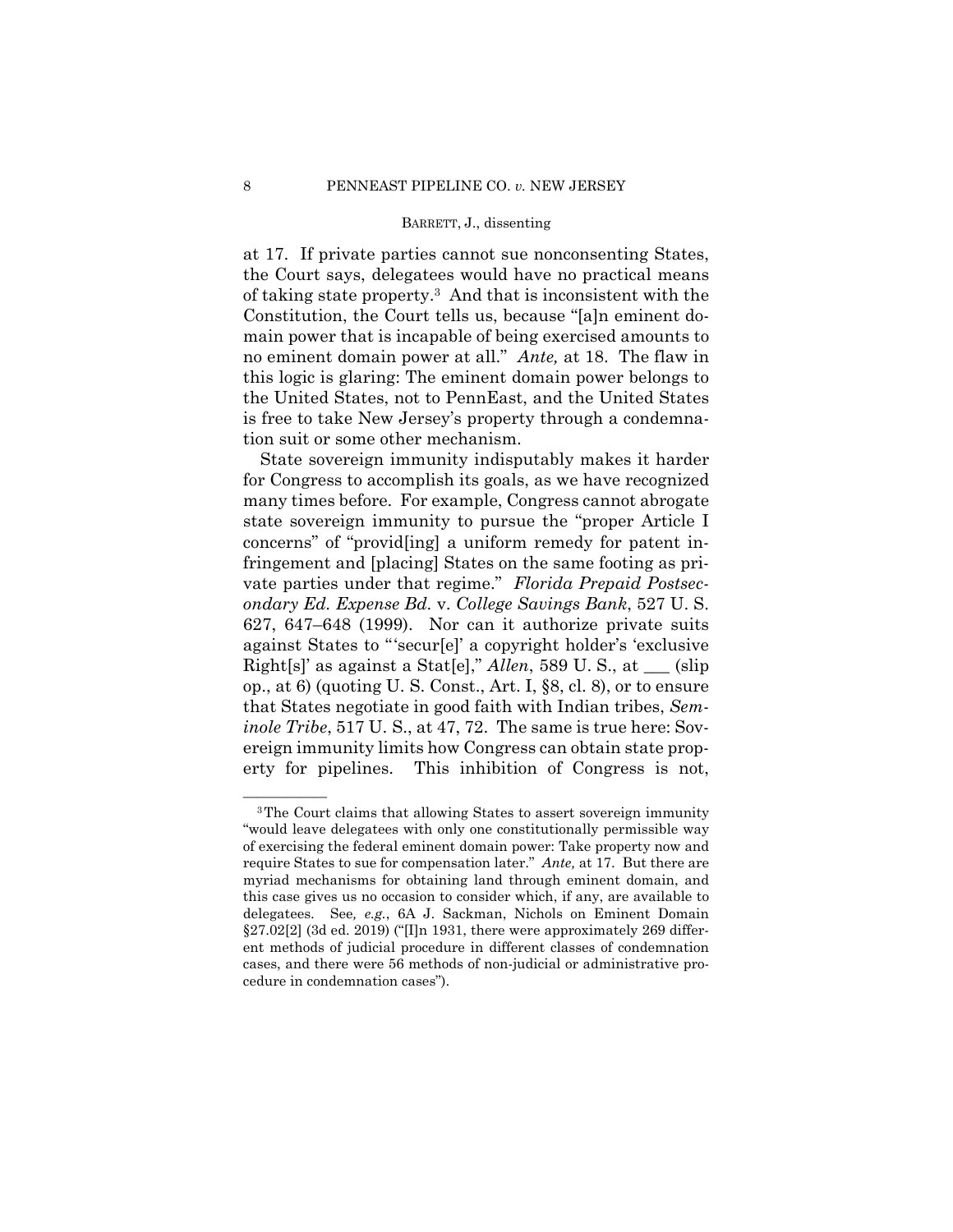at 17. If private parties cannot sue nonconsenting States, the Court says, delegatees would have no practical means of taking state property.3 And that is inconsistent with the Constitution, the Court tells us, because "[a]n eminent domain power that is incapable of being exercised amounts to no eminent domain power at all." *Ante,* at 18. The flaw in this logic is glaring: The eminent domain power belongs to the United States, not to PennEast, and the United States is free to take New Jersey's property through a condemnation suit or some other mechanism.

State sovereign immunity indisputably makes it harder for Congress to accomplish its goals, as we have recognized many times before. For example, Congress cannot abrogate state sovereign immunity to pursue the "proper Article I concerns" of "provid[ing] a uniform remedy for patent infringement and [placing] States on the same footing as private parties under that regime." *Florida Prepaid Postsecondary Ed. Expense Bd.* v. *College Savings Bank*, 527 U. S. 627, 647–648 (1999). Nor can it authorize private suits against States to "'secur[e]' a copyright holder's 'exclusive Right[s]' as against a Stat[e]," *Allen*, 589 U. S., at \_\_\_ (slip op., at 6) (quoting U. S. Const., Art. I, §8, cl. 8), or to ensure that States negotiate in good faith with Indian tribes, *Seminole Tribe*, 517 U. S., at 47, 72. The same is true here: Sovereign immunity limits how Congress can obtain state property for pipelines. This inhibition of Congress is not,

 of exercising the federal eminent domain power: Take property now and require States to sue for compensation later." *Ante,* at 17. But there are <sup>3</sup>The Court claims that allowing States to assert sovereign immunity "would leave delegatees with only one constitutionally permissible way myriad mechanisms for obtaining land through eminent domain, and this case gives us no occasion to consider which, if any, are available to delegatees. See*, e.g.*, 6A J. Sackman, Nichols on Eminent Domain §27.02[2] (3d ed. 2019) ("[I]n 1931, there were approximately 269 different methods of judicial procedure in different classes of condemnation cases, and there were 56 methods of non-judicial or administrative procedure in condemnation cases").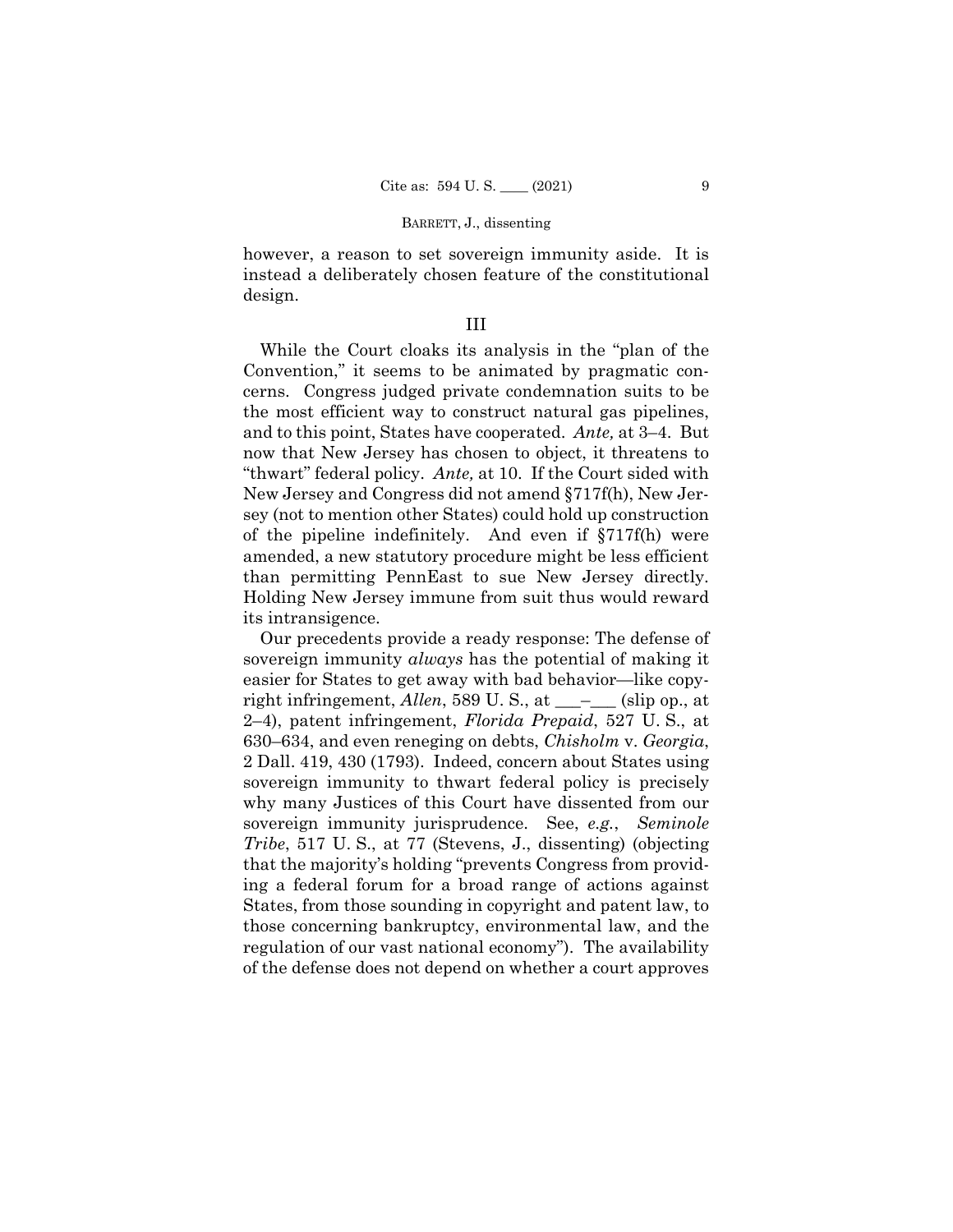however, a reason to set sovereign immunity aside. It is instead a deliberately chosen feature of the constitutional design.

## III

While the Court cloaks its analysis in the "plan of the Convention," it seems to be animated by pragmatic concerns. Congress judged private condemnation suits to be the most efficient way to construct natural gas pipelines, and to this point, States have cooperated. *Ante,* at 3–4. But now that New Jersey has chosen to object, it threatens to "thwart" federal policy. *Ante,* at 10. If the Court sided with New Jersey and Congress did not amend §717f(h), New Jersey (not to mention other States) could hold up construction of the pipeline indefinitely. And even if §717f(h) were amended, a new statutory procedure might be less efficient than permitting PennEast to sue New Jersey directly. Holding New Jersey immune from suit thus would reward its intransigence.

Our precedents provide a ready response: The defense of sovereign immunity *always* has the potential of making it easier for States to get away with bad behavior—like copyright infringement,  $Allen$ , 589 U. S., at  $\_\_\_\_\_\_$  (slip op., at 2–4), patent infringement, *Florida Prepaid*, 527 U. S., at 630–634, and even reneging on debts, *Chisholm* v. *Georgia*, 2 Dall. 419, 430 (1793). Indeed, concern about States using sovereign immunity to thwart federal policy is precisely why many Justices of this Court have dissented from our sovereign immunity jurisprudence. See, *e.g.*, *Seminole Tribe*, 517 U. S., at 77 (Stevens, J., dissenting) (objecting that the majority's holding "prevents Congress from providing a federal forum for a broad range of actions against States, from those sounding in copyright and patent law, to those concerning bankruptcy, environmental law, and the regulation of our vast national economy"). The availability of the defense does not depend on whether a court approves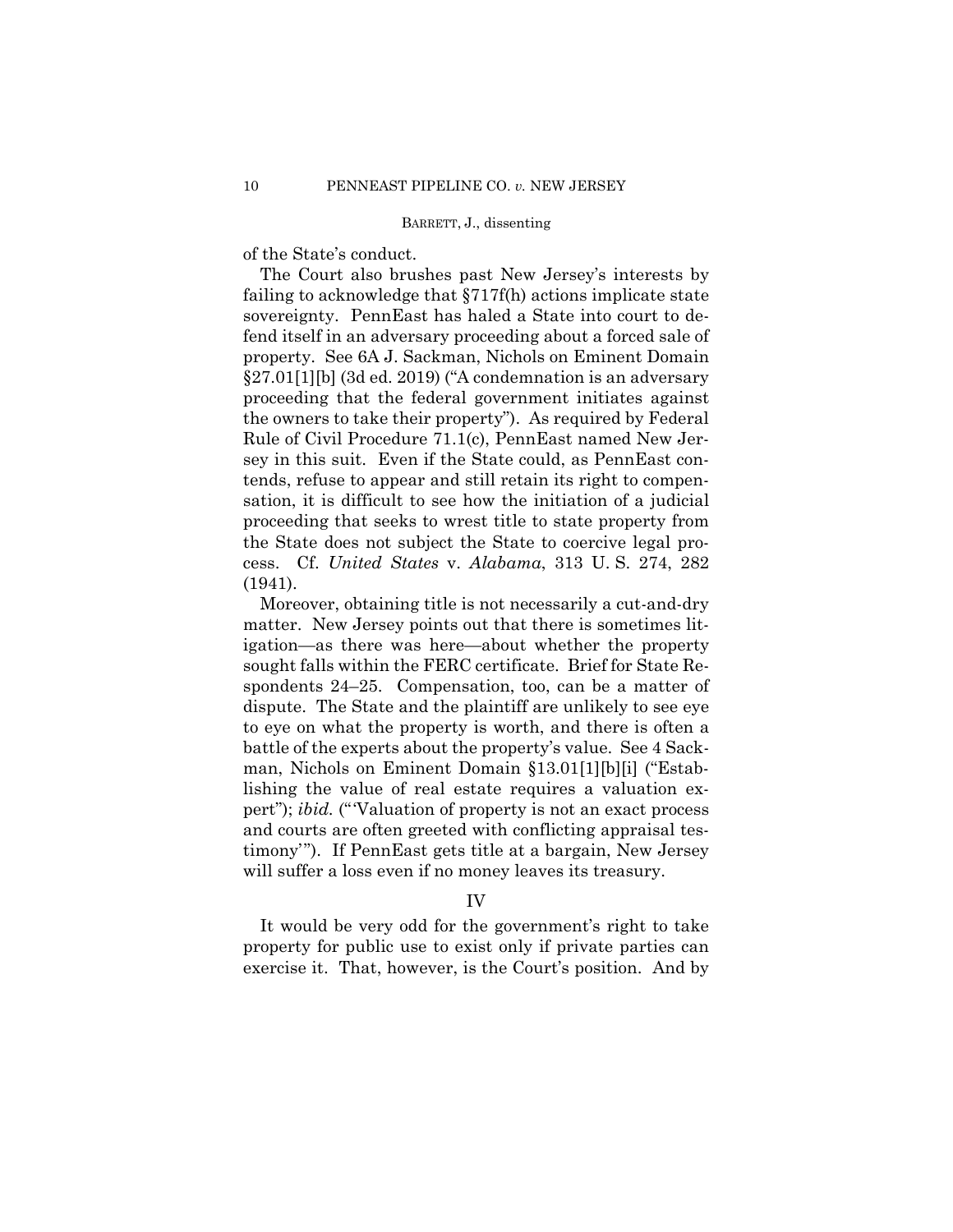of the State's conduct.

The Court also brushes past New Jersey's interests by failing to acknowledge that §717f(h) actions implicate state sovereignty. PennEast has haled a State into court to defend itself in an adversary proceeding about a forced sale of property. See 6A J. Sackman, Nichols on Eminent Domain §27.01[1][b] (3d ed. 2019) ("A condemnation is an adversary proceeding that the federal government initiates against the owners to take their property"). As required by Federal Rule of Civil Procedure 71.1(c), PennEast named New Jersey in this suit. Even if the State could, as PennEast contends, refuse to appear and still retain its right to compensation, it is difficult to see how the initiation of a judicial proceeding that seeks to wrest title to state property from the State does not subject the State to coercive legal process. Cf. *United States* v. *Alabama*, 313 U. S. 274, 282 (1941).

Moreover, obtaining title is not necessarily a cut-and-dry matter. New Jersey points out that there is sometimes litigation—as there was here—about whether the property sought falls within the FERC certificate. Brief for State Respondents 24–25. Compensation, too, can be a matter of dispute. The State and the plaintiff are unlikely to see eye to eye on what the property is worth, and there is often a battle of the experts about the property's value. See 4 Sackman, Nichols on Eminent Domain §13.01[1][b][i] ("Establishing the value of real estate requires a valuation expert"); *ibid.* ("Valuation of property is not an exact process and courts are often greeted with conflicting appraisal testimony'"). If PennEast gets title at a bargain, New Jersey will suffer a loss even if no money leaves its treasury.

# IV

It would be very odd for the government's right to take property for public use to exist only if private parties can exercise it. That, however, is the Court's position. And by